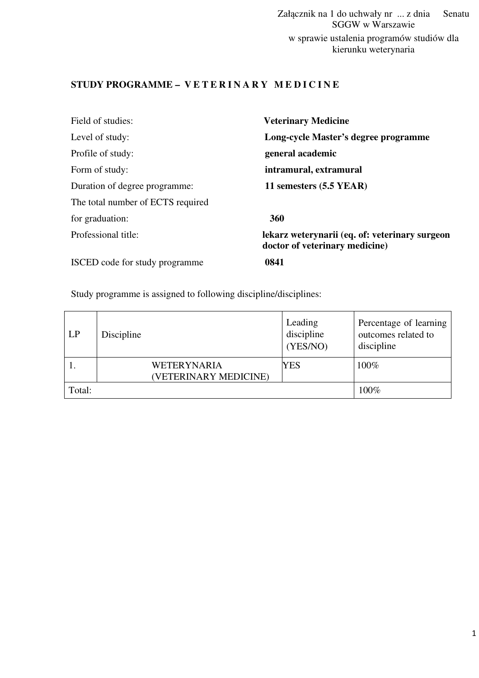Załącznik na 1 do uchwały nr ... z dnia Senatu SGGW w Warszawie w sprawie ustalenia programów studiów dla kierunku weterynaria

## STUDY PROGRAMME - VETERINARY MEDICINE

| Field of studies:                 | <b>Veterinary Medicine</b>                                                       |
|-----------------------------------|----------------------------------------------------------------------------------|
| Level of study:                   | Long-cycle Master's degree programme                                             |
| Profile of study:                 | general academic                                                                 |
| Form of study:                    | intramural, extramural                                                           |
| Duration of degree programme:     | 11 semesters (5.5 YEAR)                                                          |
| The total number of ECTS required |                                                                                  |
| for graduation:                   | 360                                                                              |
| Professional title:               | lekarz weterynarii (eq. of: veterinary surgeon<br>doctor of veterinary medicine) |
| ISCED code for study programme    | 0841                                                                             |

## Study programme is assigned to following discipline/disciplines:

| LP     | Discipline                           | Leading<br>discipline<br>(YES/NO) | Percentage of learning<br>outcomes related to<br>discipline |
|--------|--------------------------------------|-----------------------------------|-------------------------------------------------------------|
|        | WETERYNARIA<br>(VETERINARY MEDICINE) | YES                               | 100%                                                        |
| Total: |                                      |                                   | 100%                                                        |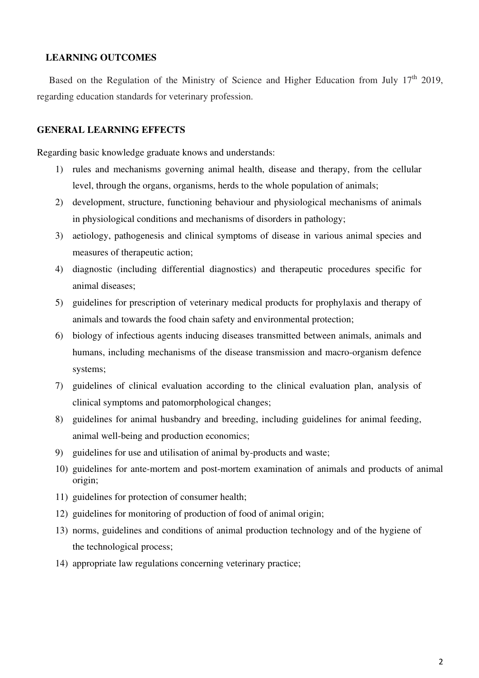### **LEARNING OUTCOMES**

Based on the Regulation of the Ministry of Science and Higher Education from July 17<sup>th</sup> 2019, regarding education standards for veterinary profession.

### **GENERAL LEARNING EFFECTS**

Regarding basic knowledge graduate knows and understands:

- 1) rules and mechanisms governing animal health, disease and therapy, from the cellular level, through the organs, organisms, herds to the whole population of animals;
- 2) development, structure, functioning behaviour and physiological mechanisms of animals in physiological conditions and mechanisms of disorders in pathology;
- 3) aetiology, pathogenesis and clinical symptoms of disease in various animal species and measures of therapeutic action;
- 4) diagnostic (including differential diagnostics) and therapeutic procedures specific for animal diseases;
- 5) guidelines for prescription of veterinary medical products for prophylaxis and therapy of animals and towards the food chain safety and environmental protection;
- 6) biology of infectious agents inducing diseases transmitted between animals, animals and humans, including mechanisms of the disease transmission and macro-organism defence systems;
- 7) guidelines of clinical evaluation according to the clinical evaluation plan, analysis of clinical symptoms and patomorphological changes;
- 8) guidelines for animal husbandry and breeding, including guidelines for animal feeding, animal well-being and production economics;
- 9) guidelines for use and utilisation of animal by-products and waste;
- 10) guidelines for ante-mortem and post-mortem examination of animals and products of animal origin;
- 11) guidelines for protection of consumer health;
- 12) guidelines for monitoring of production of food of animal origin;
- 13) norms, guidelines and conditions of animal production technology and of the hygiene of the technological process;
- 14) appropriate law regulations concerning veterinary practice;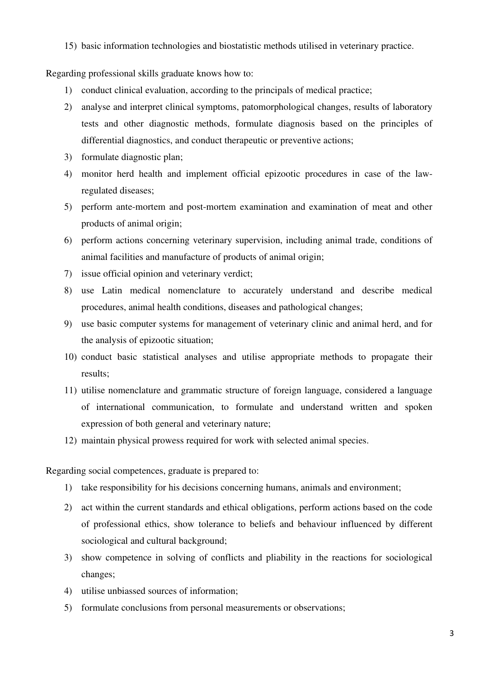15) basic information technologies and biostatistic methods utilised in veterinary practice.

Regarding professional skills graduate knows how to:

- 1) conduct clinical evaluation, according to the principals of medical practice;
- 2) analyse and interpret clinical symptoms, patomorphological changes, results of laboratory tests and other diagnostic methods, formulate diagnosis based on the principles of differential diagnostics, and conduct therapeutic or preventive actions;
- 3) formulate diagnostic plan;
- 4) monitor herd health and implement official epizootic procedures in case of the lawregulated diseases;
- 5) perform ante-mortem and post-mortem examination and examination of meat and other products of animal origin;
- 6) perform actions concerning veterinary supervision, including animal trade, conditions of animal facilities and manufacture of products of animal origin;
- 7) issue official opinion and veterinary verdict;
- 8) use Latin medical nomenclature to accurately understand and describe medical procedures, animal health conditions, diseases and pathological changes;
- 9) use basic computer systems for management of veterinary clinic and animal herd, and for the analysis of epizootic situation;
- 10) conduct basic statistical analyses and utilise appropriate methods to propagate their results;
- 11) utilise nomenclature and grammatic structure of foreign language, considered a language of international communication, to formulate and understand written and spoken expression of both general and veterinary nature;
- 12) maintain physical prowess required for work with selected animal species.

Regarding social competences, graduate is prepared to:

- 1) take responsibility for his decisions concerning humans, animals and environment;
- 2) act within the current standards and ethical obligations, perform actions based on the code of professional ethics, show tolerance to beliefs and behaviour influenced by different sociological and cultural background;
- 3) show competence in solving of conflicts and pliability in the reactions for sociological changes;
- 4) utilise unbiassed sources of information;
- 5) formulate conclusions from personal measurements or observations;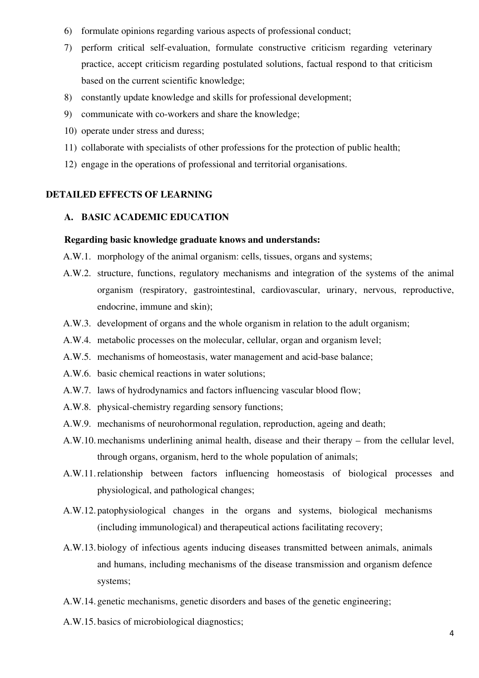- 6) formulate opinions regarding various aspects of professional conduct;
- 7) perform critical self-evaluation, formulate constructive criticism regarding veterinary practice, accept criticism regarding postulated solutions, factual respond to that criticism based on the current scientific knowledge;
- 8) constantly update knowledge and skills for professional development;
- 9) communicate with co-workers and share the knowledge;
- 10) operate under stress and duress;
- 11) collaborate with specialists of other professions for the protection of public health;
- 12) engage in the operations of professional and territorial organisations.

## **DETAILED EFFECTS OF LEARNING**

## **A. BASIC ACADEMIC EDUCATION**

### **Regarding basic knowledge graduate knows and understands:**

- A.W.1. morphology of the animal organism: cells, tissues, organs and systems;
- A.W.2. structure, functions, regulatory mechanisms and integration of the systems of the animal organism (respiratory, gastrointestinal, cardiovascular, urinary, nervous, reproductive, endocrine, immune and skin);
- A.W.3. development of organs and the whole organism in relation to the adult organism;
- A.W.4. metabolic processes on the molecular, cellular, organ and organism level;
- A.W.5. mechanisms of homeostasis, water management and acid-base balance;
- A.W.6. basic chemical reactions in water solutions;
- A.W.7. laws of hydrodynamics and factors influencing vascular blood flow;
- A.W.8. physical-chemistry regarding sensory functions;
- A.W.9. mechanisms of neurohormonal regulation, reproduction, ageing and death;
- A.W.10.mechanisms underlining animal health, disease and their therapy from the cellular level, through organs, organism, herd to the whole population of animals;
- A.W.11.relationship between factors influencing homeostasis of biological processes and physiological, and pathological changes;
- A.W.12. patophysiological changes in the organs and systems, biological mechanisms (including immunological) and therapeutical actions facilitating recovery;
- A.W.13. biology of infectious agents inducing diseases transmitted between animals, animals and humans, including mechanisms of the disease transmission and organism defence systems;
- A.W.14. genetic mechanisms, genetic disorders and bases of the genetic engineering;
- A.W.15. basics of microbiological diagnostics;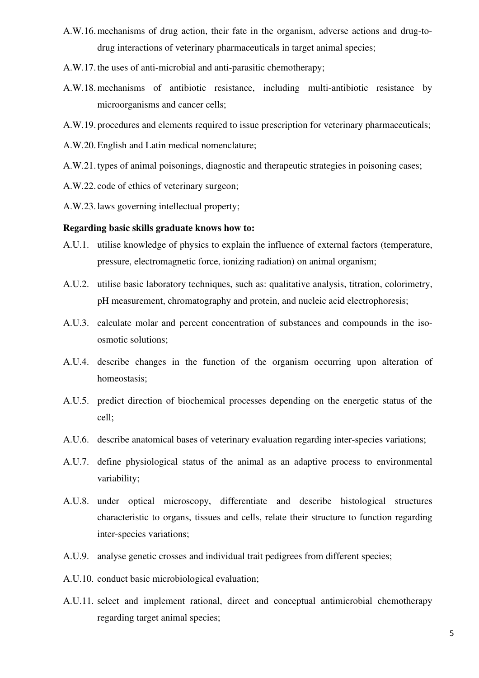- A.W.16.mechanisms of drug action, their fate in the organism, adverse actions and drug-todrug interactions of veterinary pharmaceuticals in target animal species;
- A.W.17.the uses of anti-microbial and anti-parasitic chemotherapy;
- A.W.18.mechanisms of antibiotic resistance, including multi-antibiotic resistance by microorganisms and cancer cells;
- A.W.19. procedures and elements required to issue prescription for veterinary pharmaceuticals;
- A.W.20.English and Latin medical nomenclature;
- A.W.21.types of animal poisonings, diagnostic and therapeutic strategies in poisoning cases;
- A.W.22. code of ethics of veterinary surgeon;
- A.W.23.laws governing intellectual property;

### **Regarding basic skills graduate knows how to:**

- A.U.1. utilise knowledge of physics to explain the influence of external factors (temperature, pressure, electromagnetic force, ionizing radiation) on animal organism;
- A.U.2. utilise basic laboratory techniques, such as: qualitative analysis, titration, colorimetry, pH measurement, chromatography and protein, and nucleic acid electrophoresis;
- A.U.3. calculate molar and percent concentration of substances and compounds in the isoosmotic solutions;
- A.U.4. describe changes in the function of the organism occurring upon alteration of homeostasis;
- A.U.5. predict direction of biochemical processes depending on the energetic status of the cell;
- A.U.6. describe anatomical bases of veterinary evaluation regarding inter-species variations;
- A.U.7. define physiological status of the animal as an adaptive process to environmental variability;
- A.U.8. under optical microscopy, differentiate and describe histological structures characteristic to organs, tissues and cells, relate their structure to function regarding inter-species variations;
- A.U.9. analyse genetic crosses and individual trait pedigrees from different species;
- A.U.10. conduct basic microbiological evaluation;
- A.U.11. select and implement rational, direct and conceptual antimicrobial chemotherapy regarding target animal species;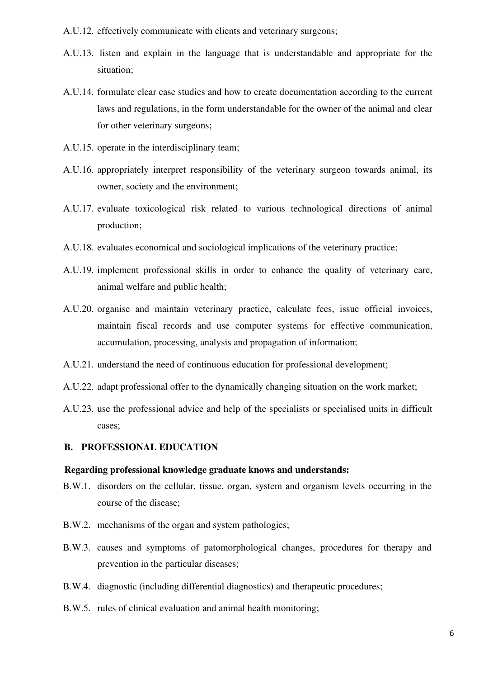A.U.12. effectively communicate with clients and veterinary surgeons;

- A.U.13. listen and explain in the language that is understandable and appropriate for the situation;
- A.U.14. formulate clear case studies and how to create documentation according to the current laws and regulations, in the form understandable for the owner of the animal and clear for other veterinary surgeons;
- A.U.15. operate in the interdisciplinary team;
- A.U.16. appropriately interpret responsibility of the veterinary surgeon towards animal, its owner, society and the environment;
- A.U.17. evaluate toxicological risk related to various technological directions of animal production;
- A.U.18. evaluates economical and sociological implications of the veterinary practice;
- A.U.19. implement professional skills in order to enhance the quality of veterinary care, animal welfare and public health;
- A.U.20. organise and maintain veterinary practice, calculate fees, issue official invoices, maintain fiscal records and use computer systems for effective communication, accumulation, processing, analysis and propagation of information;
- A.U.21. understand the need of continuous education for professional development;
- A.U.22. adapt professional offer to the dynamically changing situation on the work market;
- A.U.23. use the professional advice and help of the specialists or specialised units in difficult cases;

### **B. PROFESSIONAL EDUCATION**

### **Regarding professional knowledge graduate knows and understands:**

- B.W.1. disorders on the cellular, tissue, organ, system and organism levels occurring in the course of the disease;
- B.W.2. mechanisms of the organ and system pathologies;
- B.W.3. causes and symptoms of patomorphological changes, procedures for therapy and prevention in the particular diseases;
- B.W.4. diagnostic (including differential diagnostics) and therapeutic procedures;
- B.W.5. rules of clinical evaluation and animal health monitoring;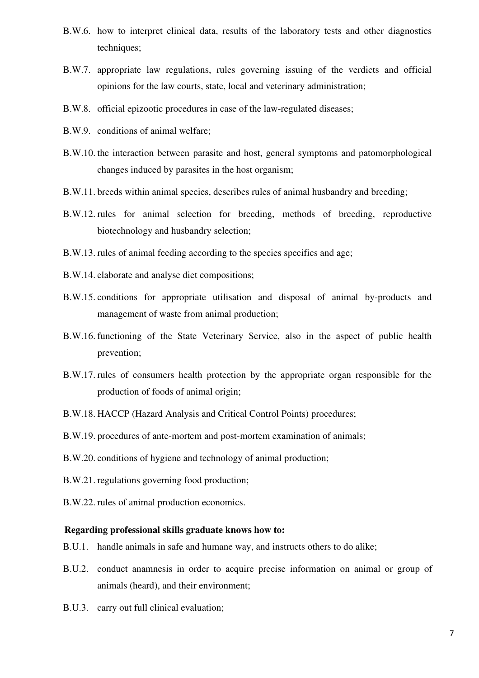- B.W.6. how to interpret clinical data, results of the laboratory tests and other diagnostics techniques;
- B.W.7. appropriate law regulations, rules governing issuing of the verdicts and official opinions for the law courts, state, local and veterinary administration;
- B.W.8. official epizootic procedures in case of the law-regulated diseases;
- B.W.9. conditions of animal welfare;
- B.W.10. the interaction between parasite and host, general symptoms and patomorphological changes induced by parasites in the host organism;
- B.W.11. breeds within animal species, describes rules of animal husbandry and breeding;
- B.W.12. rules for animal selection for breeding, methods of breeding, reproductive biotechnology and husbandry selection;
- B.W.13. rules of animal feeding according to the species specifics and age;
- B.W.14. elaborate and analyse diet compositions;
- B.W.15. conditions for appropriate utilisation and disposal of animal by-products and management of waste from animal production;
- B.W.16. functioning of the State Veterinary Service, also in the aspect of public health prevention;
- B.W.17. rules of consumers health protection by the appropriate organ responsible for the production of foods of animal origin;
- B.W.18. HACCP (Hazard Analysis and Critical Control Points) procedures;
- B.W.19. procedures of ante-mortem and post-mortem examination of animals;
- B.W.20. conditions of hygiene and technology of animal production;
- B.W.21. regulations governing food production;
- B.W.22. rules of animal production economics.

### **Regarding professional skills graduate knows how to:**

- B.U.1. handle animals in safe and humane way, and instructs others to do alike;
- B.U.2. conduct anamnesis in order to acquire precise information on animal or group of animals (heard), and their environment;
- B.U.3. carry out full clinical evaluation;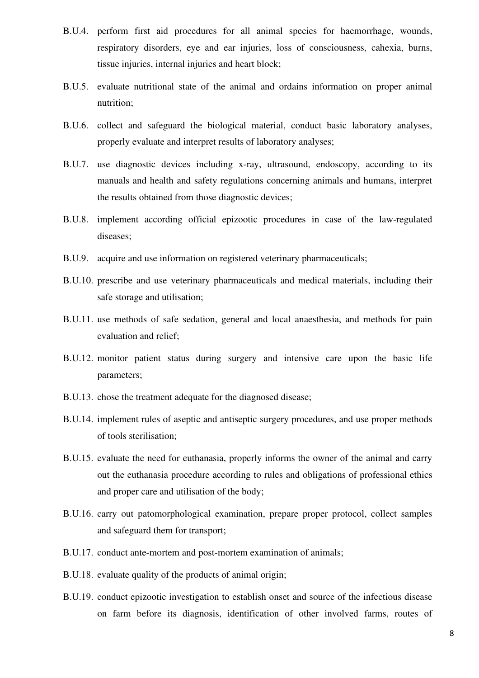- B.U.4. perform first aid procedures for all animal species for haemorrhage, wounds, respiratory disorders, eye and ear injuries, loss of consciousness, cahexia, burns, tissue injuries, internal injuries and heart block;
- B.U.5. evaluate nutritional state of the animal and ordains information on proper animal nutrition;
- B.U.6. collect and safeguard the biological material, conduct basic laboratory analyses, properly evaluate and interpret results of laboratory analyses;
- B.U.7. use diagnostic devices including x-ray, ultrasound, endoscopy, according to its manuals and health and safety regulations concerning animals and humans, interpret the results obtained from those diagnostic devices;
- B.U.8. implement according official epizootic procedures in case of the law-regulated diseases;
- B.U.9. acquire and use information on registered veterinary pharmaceuticals;
- B.U.10. prescribe and use veterinary pharmaceuticals and medical materials, including their safe storage and utilisation;
- B.U.11. use methods of safe sedation, general and local anaesthesia, and methods for pain evaluation and relief;
- B.U.12. monitor patient status during surgery and intensive care upon the basic life parameters;
- B.U.13. chose the treatment adequate for the diagnosed disease;
- B.U.14. implement rules of aseptic and antiseptic surgery procedures, and use proper methods of tools sterilisation;
- B.U.15. evaluate the need for euthanasia, properly informs the owner of the animal and carry out the euthanasia procedure according to rules and obligations of professional ethics and proper care and utilisation of the body;
- B.U.16. carry out patomorphological examination, prepare proper protocol, collect samples and safeguard them for transport;
- B.U.17. conduct ante-mortem and post-mortem examination of animals;
- B.U.18. evaluate quality of the products of animal origin;
- B.U.19. conduct epizootic investigation to establish onset and source of the infectious disease on farm before its diagnosis, identification of other involved farms, routes of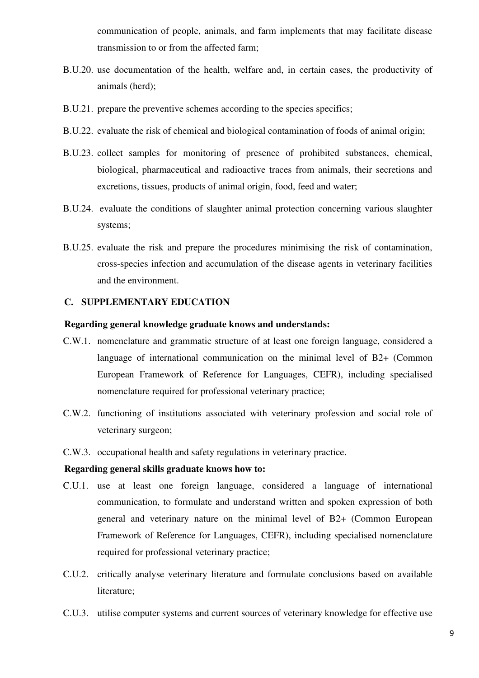communication of people, animals, and farm implements that may facilitate disease transmission to or from the affected farm;

- B.U.20. use documentation of the health, welfare and, in certain cases, the productivity of animals (herd);
- B.U.21. prepare the preventive schemes according to the species specifics;
- B.U.22. evaluate the risk of chemical and biological contamination of foods of animal origin;
- B.U.23. collect samples for monitoring of presence of prohibited substances, chemical, biological, pharmaceutical and radioactive traces from animals, their secretions and excretions, tissues, products of animal origin, food, feed and water;
- B.U.24. evaluate the conditions of slaughter animal protection concerning various slaughter systems;
- B.U.25. evaluate the risk and prepare the procedures minimising the risk of contamination, cross-species infection and accumulation of the disease agents in veterinary facilities and the environment.

### **C. SUPPLEMENTARY EDUCATION**

### **Regarding general knowledge graduate knows and understands:**

- C.W.1. nomenclature and grammatic structure of at least one foreign language, considered a language of international communication on the minimal level of B2+ (Common European Framework of Reference for Languages, CEFR), including specialised nomenclature required for professional veterinary practice;
- C.W.2. functioning of institutions associated with veterinary profession and social role of veterinary surgeon;
- C.W.3. occupational health and safety regulations in veterinary practice.

### **Regarding general skills graduate knows how to:**

- C.U.1. use at least one foreign language, considered a language of international communication, to formulate and understand written and spoken expression of both general and veterinary nature on the minimal level of B2+ (Common European Framework of Reference for Languages, CEFR), including specialised nomenclature required for professional veterinary practice;
- C.U.2. critically analyse veterinary literature and formulate conclusions based on available literature;
- C.U.3. utilise computer systems and current sources of veterinary knowledge for effective use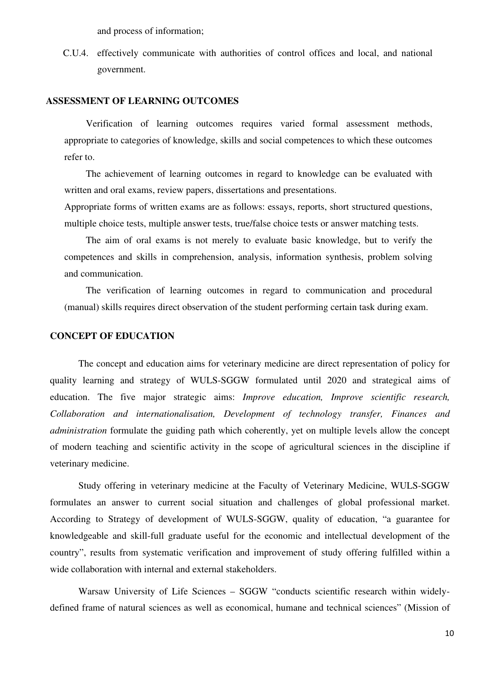and process of information;

C.U.4. effectively communicate with authorities of control offices and local, and national government.

### **ASSESSMENT OF LEARNING OUTCOMES**

Verification of learning outcomes requires varied formal assessment methods, appropriate to categories of knowledge, skills and social competences to which these outcomes refer to.

The achievement of learning outcomes in regard to knowledge can be evaluated with written and oral exams, review papers, dissertations and presentations.

Appropriate forms of written exams are as follows: essays, reports, short structured questions, multiple choice tests, multiple answer tests, true/false choice tests or answer matching tests.

The aim of oral exams is not merely to evaluate basic knowledge, but to verify the competences and skills in comprehension, analysis, information synthesis, problem solving and communication.

The verification of learning outcomes in regard to communication and procedural (manual) skills requires direct observation of the student performing certain task during exam.

### **CONCEPT OF EDUCATION**

The concept and education aims for veterinary medicine are direct representation of policy for quality learning and strategy of WULS-SGGW formulated until 2020 and strategical aims of education. The five major strategic aims: *Improve education, Improve scientific research, Collaboration and internationalisation, Development of technology transfer, Finances and administration* formulate the guiding path which coherently, yet on multiple levels allow the concept of modern teaching and scientific activity in the scope of agricultural sciences in the discipline if veterinary medicine.

Study offering in veterinary medicine at the Faculty of Veterinary Medicine, WULS-SGGW formulates an answer to current social situation and challenges of global professional market. According to Strategy of development of WULS-SGGW, quality of education, "a guarantee for knowledgeable and skill-full graduate useful for the economic and intellectual development of the country", results from systematic verification and improvement of study offering fulfilled within a wide collaboration with internal and external stakeholders.

Warsaw University of Life Sciences – SGGW "conducts scientific research within widelydefined frame of natural sciences as well as economical, humane and technical sciences" (Mission of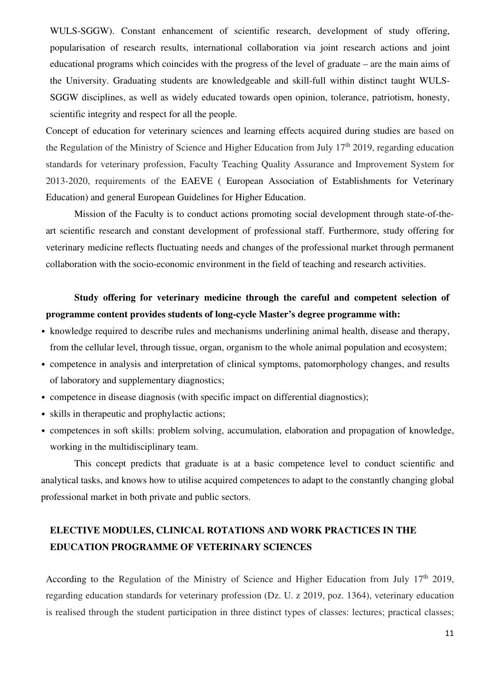WULS-SGGW). Constant enhancement of scientific research, development of study offering, popularisation of research results, international collaboration via joint research actions and joint educational programs which coincides with the progress of the level of graduate – are the main aims of the University. Graduating students are knowledgeable and skill-full within distinct taught WULS-SGGW disciplines, as well as widely educated towards open opinion, tolerance, patriotism, honesty, scientific integrity and respect for all the people.

Concept of education for veterinary sciences and learning effects acquired during studies are based on the Regulation of the Ministry of Science and Higher Education from July  $17<sup>th</sup> 2019$ , regarding education standards for veterinary profession, Faculty Teaching Quality Assurance and Improvement System for 2013-2020, requirements of the EAEVE ( European Association of Establishments for Veterinary Education) and general European Guidelines for Higher Education.

Mission of the Faculty is to conduct actions promoting social development through state-of-theart scientific research and constant development of professional staff. Furthermore, study offering for veterinary medicine reflects fluctuating needs and changes of the professional market through permanent collaboration with the socio-economic environment in the field of teaching and research activities.

# **Study offering for veterinary medicine through the careful and competent selection of programme content provides students of long-cycle Master's degree programme with:**

- knowledge required to describe rules and mechanisms underlining animal health, disease and therapy, from the cellular level, through tissue, organ, organism to the whole animal population and ecosystem;
- competence in analysis and interpretation of clinical symptoms, patomorphology changes, and results of laboratory and supplementary diagnostics;
- competence in disease diagnosis (with specific impact on differential diagnostics);
- skills in therapeutic and prophylactic actions;
- competences in soft skills: problem solving, accumulation, elaboration and propagation of knowledge, working in the multidisciplinary team.

This concept predicts that graduate is at a basic competence level to conduct scientific and analytical tasks, and knows how to utilise acquired competences to adapt to the constantly changing global professional market in both private and public sectors.

# **ELECTIVE MODULES, CLINICAL ROTATIONS AND WORK PRACTICES IN THE EDUCATION PROGRAMME OF VETERINARY SCIENCES**

According to the Regulation of the Ministry of Science and Higher Education from July  $17<sup>th</sup> 2019$ , regarding education standards for veterinary profession (Dz. U. z 2019, poz. 1364), veterinary education is realised through the student participation in three distinct types of classes: lectures; practical classes;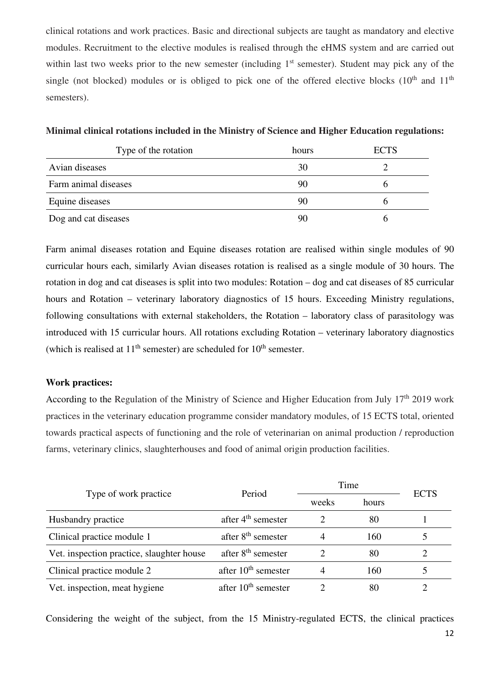clinical rotations and work practices. Basic and directional subjects are taught as mandatory and elective modules. Recruitment to the elective modules is realised through the eHMS system and are carried out within last two weeks prior to the new semester (including  $1<sup>st</sup>$  semester). Student may pick any of the single (not blocked) modules or is obliged to pick one of the offered elective blocks  $(10<sup>th</sup>$  and  $11<sup>th</sup>$ semesters).

| Type of the rotation | hours | <b>ECTS</b> |
|----------------------|-------|-------------|
| Avian diseases       | 30    |             |
| Farm animal diseases | 90    |             |
| Equine diseases      | 90    |             |
| Dog and cat diseases | 90    |             |

**Minimal clinical rotations included in the Ministry of Science and Higher Education regulations:** 

Farm animal diseases rotation and Equine diseases rotation are realised within single modules of 90 curricular hours each, similarly Avian diseases rotation is realised as a single module of 30 hours. The rotation in dog and cat diseases is split into two modules: Rotation – dog and cat diseases of 85 curricular hours and Rotation – veterinary laboratory diagnostics of 15 hours. Exceeding Ministry regulations, following consultations with external stakeholders, the Rotation – laboratory class of parasitology was introduced with 15 curricular hours. All rotations excluding Rotation – veterinary laboratory diagnostics (which is realised at  $11<sup>th</sup>$  semester) are scheduled for  $10<sup>th</sup>$  semester.

### **Work practices:**

According to the Regulation of the Ministry of Science and Higher Education from July  $17<sup>th</sup> 2019$  work practices in the veterinary education programme consider mandatory modules, of 15 ECTS total, oriented towards practical aspects of functioning and the role of veterinarian on animal production / reproduction farms, veterinary clinics, slaughterhouses and food of animal origin production facilities.

|                                           | Period                         | Time  |       | <b>ECTS</b> |
|-------------------------------------------|--------------------------------|-------|-------|-------------|
| Type of work practice                     |                                | weeks | hours |             |
| Husbandry practice                        | after $4th$ semester           |       | 80    |             |
| Clinical practice module 1                | after 8 <sup>th</sup> semester |       | 160   |             |
| Vet. inspection practice, slaughter house | after 8 <sup>th</sup> semester |       | 80    |             |
| Clinical practice module 2                | after $10th$ semester          |       | 160   |             |
| Vet. inspection, meat hygiene             | after $10th$ semester          |       | 80    |             |

Considering the weight of the subject, from the 15 Ministry-regulated ECTS, the clinical practices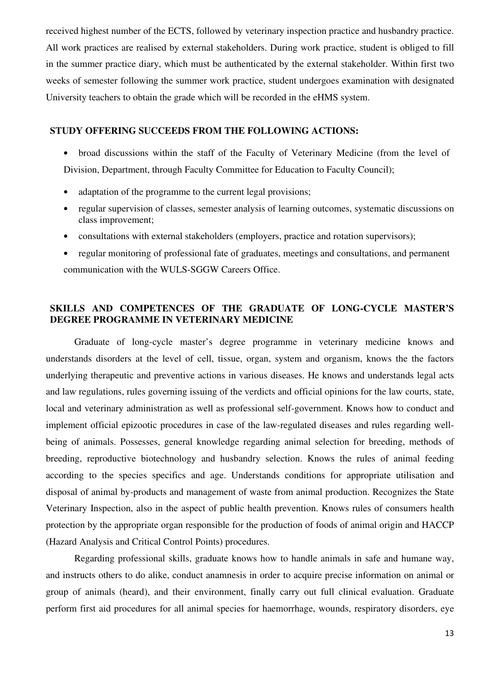received highest number of the ECTS, followed by veterinary inspection practice and husbandry practice. All work practices are realised by external stakeholders. During work practice, student is obliged to fill in the summer practice diary, which must be authenticated by the external stakeholder. Within first two weeks of semester following the summer work practice, student undergoes examination with designated University teachers to obtain the grade which will be recorded in the eHMS system.

## **STUDY OFFERING SUCCEEDS FROM THE FOLLOWING ACTIONS:**

- broad discussions within the staff of the Faculty of Veterinary Medicine (from the level of Division, Department, through Faculty Committee for Education to Faculty Council);
- adaptation of the programme to the current legal provisions;
- regular supervision of classes, semester analysis of learning outcomes, systematic discussions on class improvement;
- consultations with external stakeholders (employers, practice and rotation supervisors);
- regular monitoring of professional fate of graduates, meetings and consultations, and permanent communication with the WULS-SGGW Careers Office.

## **SKILLS AND COMPETENCES OF THE GRADUATE OF LONG-CYCLE MASTER'S DEGREE PROGRAMME IN VETERINARY MEDICINE**

Graduate of long-cycle master's degree programme in veterinary medicine knows and understands disorders at the level of cell, tissue, organ, system and organism, knows the the factors underlying therapeutic and preventive actions in various diseases. He knows and understands legal acts and law regulations, rules governing issuing of the verdicts and official opinions for the law courts, state, local and veterinary administration as well as professional self-government. Knows how to conduct and implement official epizootic procedures in case of the law-regulated diseases and rules regarding wellbeing of animals. Possesses, general knowledge regarding animal selection for breeding, methods of breeding, reproductive biotechnology and husbandry selection. Knows the rules of animal feeding according to the species specifics and age. Understands conditions for appropriate utilisation and disposal of animal by-products and management of waste from animal production. Recognizes the State Veterinary Inspection, also in the aspect of public health prevention. Knows rules of consumers health protection by the appropriate organ responsible for the production of foods of animal origin and HACCP (Hazard Analysis and Critical Control Points) procedures.

Regarding professional skills, graduate knows how to handle animals in safe and humane way, and instructs others to do alike, conduct anamnesis in order to acquire precise information on animal or group of animals (heard), and their environment, finally carry out full clinical evaluation. Graduate perform first aid procedures for all animal species for haemorrhage, wounds, respiratory disorders, eye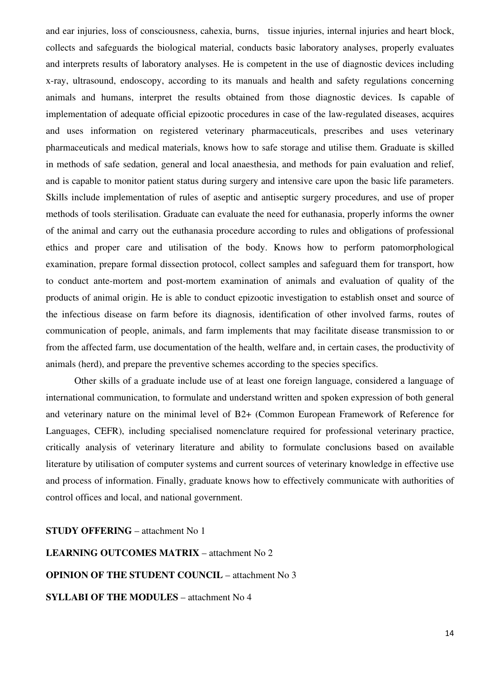and ear injuries, loss of consciousness, cahexia, burns, tissue injuries, internal injuries and heart block, collects and safeguards the biological material, conducts basic laboratory analyses, properly evaluates and interprets results of laboratory analyses. He is competent in the use of diagnostic devices including x-ray, ultrasound, endoscopy, according to its manuals and health and safety regulations concerning animals and humans, interpret the results obtained from those diagnostic devices. Is capable of implementation of adequate official epizootic procedures in case of the law-regulated diseases, acquires and uses information on registered veterinary pharmaceuticals, prescribes and uses veterinary pharmaceuticals and medical materials, knows how to safe storage and utilise them. Graduate is skilled in methods of safe sedation, general and local anaesthesia, and methods for pain evaluation and relief, and is capable to monitor patient status during surgery and intensive care upon the basic life parameters. Skills include implementation of rules of aseptic and antiseptic surgery procedures, and use of proper methods of tools sterilisation. Graduate can evaluate the need for euthanasia, properly informs the owner of the animal and carry out the euthanasia procedure according to rules and obligations of professional ethics and proper care and utilisation of the body. Knows how to perform patomorphological examination, prepare formal dissection protocol, collect samples and safeguard them for transport, how to conduct ante-mortem and post-mortem examination of animals and evaluation of quality of the products of animal origin. He is able to conduct epizootic investigation to establish onset and source of the infectious disease on farm before its diagnosis, identification of other involved farms, routes of communication of people, animals, and farm implements that may facilitate disease transmission to or from the affected farm, use documentation of the health, welfare and, in certain cases, the productivity of animals (herd), and prepare the preventive schemes according to the species specifics.

Other skills of a graduate include use of at least one foreign language, considered a language of international communication, to formulate and understand written and spoken expression of both general and veterinary nature on the minimal level of B2+ (Common European Framework of Reference for Languages, CEFR), including specialised nomenclature required for professional veterinary practice, critically analysis of veterinary literature and ability to formulate conclusions based on available literature by utilisation of computer systems and current sources of veterinary knowledge in effective use and process of information. Finally, graduate knows how to effectively communicate with authorities of control offices and local, and national government.

**STUDY OFFERING** – attachment No 1 **LEARNING OUTCOMES MATRIX** – attachment No 2 **OPINION OF THE STUDENT COUNCIL** – attachment No 3 **SYLLABI OF THE MODULES** – attachment No 4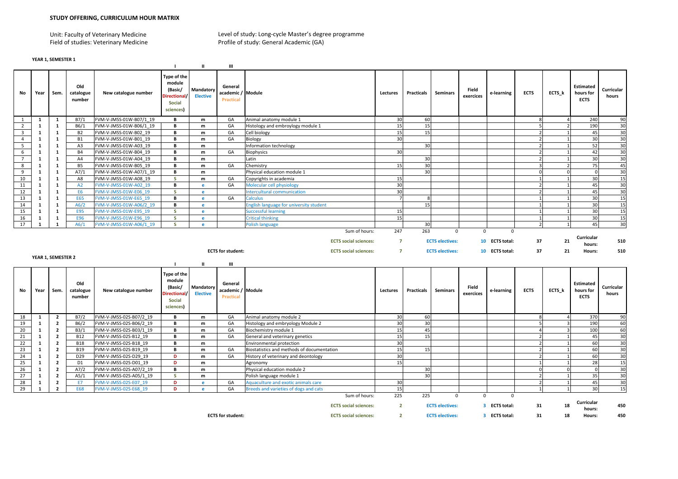Unit: Faculty of Veterinary MedicineField of studies: Veterinary Medicine  Level of study: Long-cycle Master's degree programme Profile of study: General Academic (GA)

|  | YEAR 1, SEMESTER 1 |  |
|--|--------------------|--|

|                         |              |                    |                            |                         |                                                                                      | ш                                 | Ш                                                     |                                                |                       |                   |                                       |                    |                                   |                         |                         |                                              |                     |
|-------------------------|--------------|--------------------|----------------------------|-------------------------|--------------------------------------------------------------------------------------|-----------------------------------|-------------------------------------------------------|------------------------------------------------|-----------------------|-------------------|---------------------------------------|--------------------|-----------------------------------|-------------------------|-------------------------|----------------------------------------------|---------------------|
| No                      | Year         | Sem.               | Old<br>catalogue<br>number | New catalogue number    | Type of the<br>module<br>(Basic/<br><b>Directional</b><br>Social<br>sciences)        | Mandatory<br><b>Elective</b>      | General<br>academic / Module<br><b>Practical</b>      |                                                | Lectures              | Practicals        | Seminars                              | Field<br>exercices | e-learning                        | <b>ECTS</b>             | ECTS_k                  | <b>Estimated</b><br>hours for<br><b>ECTS</b> | Curricular<br>hours |
| 1                       | 1            | 1                  | B7/1                       | FVM-V-JMSS-01W-B07/1 19 | в                                                                                    | m                                 | GA                                                    | Animal anatomy module 1                        | 30                    | 60                |                                       |                    |                                   | 8                       |                         | 240                                          | 90                  |
| $\overline{2}$          | 1            | $\mathbf{1}$       | B6/1                       | FVM-V-JMSS-01W-B06/1 19 | B                                                                                    | m                                 | GA                                                    | Histology and embroylogy module 1              | 15                    | 15                |                                       |                    |                                   | 5                       |                         | 190                                          | 30                  |
| $\overline{\mathbf{3}}$ | 1            | 1                  | <b>B2</b>                  | FVM-V-JMSS-01W-B02 19   | В                                                                                    | m                                 | GA                                                    | Cell biology                                   | 15                    | 15                |                                       |                    |                                   | $\overline{2}$          |                         | 45                                           | 30                  |
| $\overline{4}$          | 1            | $\mathbf{1}$       | <b>B1</b>                  | FVM-V-JMSS-01W-B01 19   | в                                                                                    | m                                 | GA                                                    | Biology                                        | 30                    |                   |                                       |                    |                                   | 2                       |                         | 30                                           | 30                  |
| 5                       | 1            | $\mathbf{1}$       | A3                         | FVM-V-JMSS-01W-A03 19   | В                                                                                    | m                                 |                                                       | nformation technology                          |                       | 30                |                                       |                    |                                   | $\overline{2}$          |                         | 52                                           | 30                  |
| 6                       | 1            | $\mathbf{1}$       | <b>B4</b>                  | FVM-V-JMSS-01W-B04 19   | В                                                                                    | m                                 | GA                                                    | <b>Biophysics</b>                              | 30                    |                   |                                       |                    |                                   | $\overline{2}$          |                         | 42                                           | 30                  |
| $\overline{7}$          | $\mathbf{1}$ | 1                  | A4                         | FVM-V-JMSS-01W-A04 19   | В                                                                                    | m                                 |                                                       | Latin                                          |                       | 30                |                                       |                    |                                   | $\mathcal{P}$           |                         | 30                                           | 30                  |
| 8                       | $\mathbf{1}$ | $\mathbf{1}$       | <b>B5</b>                  | FVM-V-JMSS-01W-B05 19   | в                                                                                    | m                                 | GA                                                    | Chemistry                                      | 15                    | 30                |                                       |                    |                                   | $\overline{\mathbf{3}}$ |                         | 75                                           | 45                  |
| 9                       | 1            | 1                  | A7/1                       | FVM-V-JMSS-01W-A07/1 19 | В                                                                                    | m                                 |                                                       | Physical education module 1                    |                       | 30                |                                       |                    |                                   | $\Omega$                | $\Omega$                | $\Omega$                                     | 30                  |
| 10                      | <sup>1</sup> | 1                  | A8                         | FVM-V-JMSS-01W-A08 19   | s                                                                                    | m                                 | GA                                                    | Copyrights in academia                         | 15                    |                   |                                       |                    |                                   |                         |                         | 30                                           | 15                  |
| 11                      | 1            | 1                  | A2                         | FVM-V-JMSS-01W-A02 19   | В                                                                                    | e                                 | GA                                                    | Molecular cell physiology                      | 30                    |                   |                                       |                    |                                   | $\overline{2}$          |                         | 45                                           | 30                  |
| 12                      | 1            | $\mathbf{1}$       | E <sub>6</sub>             | FVM-V-JMSS-01W-E06 19   | S.                                                                                   | $\mathbf{e}$                      |                                                       | ntercultural communication                     | 30                    |                   |                                       |                    |                                   | $\overline{2}$          |                         | 45                                           | 30                  |
| 13                      | 1            | 1                  | E65                        | FVM-V-JMSS-01W-E65 19   | B                                                                                    | e                                 | GA                                                    | <b>Calculus</b>                                | $\overline{7}$        | 8                 |                                       |                    |                                   | $\mathbf{1}$            |                         | 30                                           | 15                  |
| 14                      | 1            | 1                  | A6/2                       | FVM-V-JMSS-01W-A06/2 19 | В                                                                                    | e                                 |                                                       | <b>English language for university student</b> |                       | 15                |                                       |                    |                                   | $\mathbf{1}$            |                         | 30                                           | 15                  |
| 15                      | 1            | $\mathbf{1}$       | <b>E95</b>                 | FVM-V-JMSS-01W-E95 19   | <b>S</b>                                                                             | e                                 |                                                       | <b>Successful learning</b>                     | 15                    |                   |                                       |                    |                                   | $\mathbf{1}$            |                         | 30                                           | 15                  |
| 16                      | 1            | 1                  | E96                        | FVM-V-JMSS-01W-E96 19   | $\mathsf{S}$                                                                         | e                                 |                                                       | <b>Critical thinking</b>                       | 15                    |                   |                                       |                    |                                   | $\mathbf{1}$            |                         | 30                                           | 15                  |
| 17                      | 1            | $\mathbf{1}$       | A6/1                       | FVM-V-JMSS-01W-A06/1_19 | $\mathsf{S}$                                                                         | e                                 |                                                       | Polish language<br>Sum of hours:               | 247                   | 30<br>263         | $\mathbf 0$                           | $\mathbf 0$        | $\mathbf{0}$                      | $\overline{2}$          |                         | 45                                           | 30                  |
|                         |              |                    |                            |                         |                                                                                      |                                   |                                                       | <b>ECTS</b> social sciences:                   | $\overline{7}$        |                   | <b>ECTS electives:</b>                |                    | 10 ECTS total:                    | 37                      | 21                      | Curricular                                   | 510                 |
|                         |              | YEAR 1, SEMESTER 2 |                            |                         |                                                                                      |                                   | <b>ECTS for student:</b>                              | <b>ECTS</b> social sciences:                   | $\overline{7}$        |                   | <b>ECTS electives:</b>                |                    | 10 ECTS total:                    | 37                      | 21                      | hours:<br>Hours:                             | 510                 |
| No                      | Year         | Sem.               | Old<br>catalogue<br>number | New catalogue number    | Type of the<br>module<br>(Basic/<br><b>Directional</b><br><b>Social</b><br>sciences) | ш<br>Mandatory<br><b>Elective</b> | Ш<br>General<br>academic / Module<br><b>Practical</b> |                                                | Lectures              | <b>Practicals</b> | <b>Seminars</b>                       | Field<br>exercices | e-learning                        | <b>ECTS</b>             | ECTS_k                  | <b>Estimated</b><br>hours for<br><b>ECTS</b> | Curricular<br>hours |
| 18                      | 1            | $\mathbf{2}$       | B7/2                       | FVM-V-JMSS-02S-B07/2 19 | в                                                                                    | m                                 | GA                                                    | Animal anatomy module 2                        | 30                    | 60                |                                       |                    |                                   | 8                       |                         | 370                                          | 90                  |
| 19                      | 1            | $\mathbf{2}$       | B6/2                       | FVM-V-JMSS-02S-B06/2 19 | В                                                                                    | m                                 | GA                                                    | Histology and embryology Module 2              | 30                    | 30                |                                       |                    |                                   | 5                       | 3                       | 190                                          | 60                  |
| 20                      | 1            | $\mathbf{2}$       | B3/1                       | FVM-V-JMSS-02S-B03/1 19 | B                                                                                    | m                                 | GA                                                    | Biochemistry module 1                          | 15                    | 45                |                                       |                    |                                   | $\Delta$                | $\overline{\mathbf{3}}$ | 100                                          | 60                  |
| 21                      | 1            | $\mathbf{2}$       | <b>B12</b>                 | FVM-V-JMSS-02S-B12 19   | В                                                                                    | m                                 | GA                                                    | General and veterinary genetics                | 15                    | 15                |                                       |                    |                                   | $\overline{2}$          |                         | 45                                           | 30                  |
| 22                      | 1            | $\mathbf{2}$       | <b>B18</b>                 | FVM-V-JMSS-02S-B18 19   | в                                                                                    | m                                 |                                                       | Environmental protection                       | 30                    |                   |                                       |                    |                                   | $\overline{2}$          |                         | 60                                           | 30                  |
| 23                      | 1            | $\mathbf{2}$       | <b>B19</b>                 | FVM-V-JMSS-02S-B19 19   | В                                                                                    | m                                 | GA                                                    | Biostatistics and methods of documentation     | 15                    | 15                |                                       |                    |                                   | $\overline{2}$          |                         | 60                                           | 30                  |
| 24                      | 1            | $\mathbf{2}$       | D29                        | FVM-V-JMSS-02S-D29 19   | D                                                                                    | m                                 | GA                                                    | History of veterinary and deontology           | 30                    |                   |                                       |                    |                                   | $\overline{2}$          |                         | 60                                           | 30                  |
| 25                      | 1            | $\mathbf{2}$       | D <sub>1</sub>             | FVM-V-JMSS-02S-D01 19   | D                                                                                    | ${\bf m}$                         |                                                       | Agronomy                                       | 15                    |                   |                                       |                    |                                   | $\mathbf{1}$            |                         | 28                                           | 15                  |
| 26                      | 1            | $\mathbf{2}$       | A7/2                       | FVM-V-JMSS-02S-A07/2 19 | В                                                                                    | ${\bf m}$                         |                                                       | Physical education module 2                    |                       | 30                |                                       |                    |                                   | $\Omega$                | $\Omega$                | $\Omega$                                     | 30                  |
| 27                      | $\mathbf{1}$ | $\mathbf{2}$       | A5/1                       | FVM-V-JMSS-02S-A05/1 19 | $\mathsf{S}$                                                                         | m                                 |                                                       | Polish language module 1                       |                       | 30                |                                       |                    |                                   | 2                       | $\mathbf{1}$            | 35                                           | 30                  |
| 28                      | 1            | $\overline{2}$     | E7                         | FVM-V-JMSS-02S-E07 19   | D                                                                                    | e                                 | GA                                                    | Aquaculture and exotic animals care            | 30                    |                   |                                       |                    |                                   | $\overline{2}$          |                         | 45                                           | 30                  |
| 29                      | $\mathbf{1}$ | $\overline{2}$     | <b>E68</b>                 | FVM-V-JMSS-02S-E68 19   | D                                                                                    | e.                                | GA                                                    | Breeds and varieties of dogs and cats          | 15                    |                   |                                       |                    |                                   | $\mathbf{1}$            |                         | 30                                           | 15                  |
|                         |              |                    |                            |                         |                                                                                      |                                   |                                                       | Sum of hours:<br><b>ECTS</b> social sciences:  | 225<br>$\overline{2}$ | 225               | $\mathbf 0$<br><b>ECTS electives:</b> | $\mathbf 0$<br>3.  | $\mathbf 0$<br><b>ECTS total:</b> | 31                      | 18                      | Curricular<br>hours:                         | 450                 |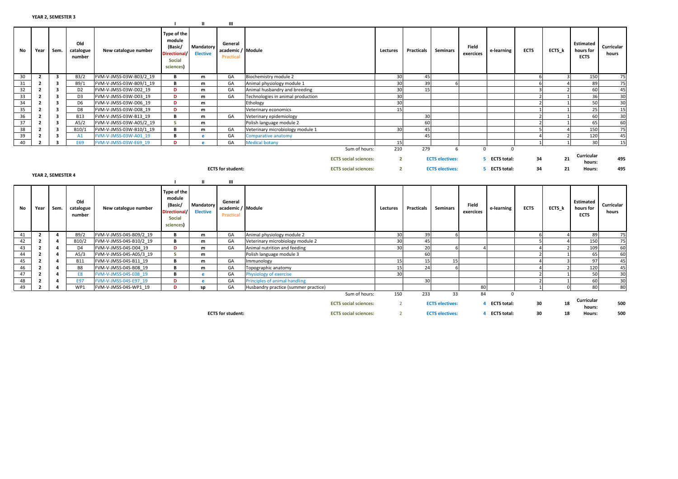|    |                         |                         |                            |                         | - 1                                                                                  | $\mathbf{u}$                 | Ш                                                |                                      |                                                              |                                  |                   |                                                  |                    |                                     |                |                          |                                              |                     |
|----|-------------------------|-------------------------|----------------------------|-------------------------|--------------------------------------------------------------------------------------|------------------------------|--------------------------------------------------|--------------------------------------|--------------------------------------------------------------|----------------------------------|-------------------|--------------------------------------------------|--------------------|-------------------------------------|----------------|--------------------------|----------------------------------------------|---------------------|
| No | Year                    | Sem.                    | Old<br>catalogue<br>number | New catalogue number    | Type of the<br>module<br>(Basic/<br><b>Directional</b><br>Social<br>sciences)        | Mandatory<br><b>Elective</b> | General<br>academic / Module<br><b>Practical</b> |                                      |                                                              | Lectures                         | <b>Practicals</b> | <b>Seminars</b>                                  | Field<br>exercices | e-learning                          | <b>ECTS</b>    | ECTS k                   | <b>Estimated</b><br>hours for<br><b>ECTS</b> | Curricular<br>hours |
| 30 | $\overline{2}$          | 3                       | B3/2                       | FVM-V-JMSS-03W-B03/2 19 | B                                                                                    | m                            | GA                                               | Biochemistry module 2                |                                                              | 30                               | 45                |                                                  |                    |                                     | 6              | $\mathbf{R}$             | 150                                          | 75                  |
| 31 | $\overline{2}$          | 3                       | B9/1                       | FVM-V-JMSS-03W-B09/1 19 | в                                                                                    | m                            | GA                                               | Animal physiology module 1           |                                                              | 30                               | 39                | 6                                                |                    |                                     | 6              |                          | 89                                           | 75                  |
| 32 | $\overline{2}$          | 3                       | D <sub>2</sub>             | FVM-V-JMSS-03W-D02 19   | D                                                                                    | m                            | GA                                               | Animal husbandry and breeding        |                                                              | 30                               | 15                |                                                  |                    |                                     | $\overline{3}$ | $\overline{\phantom{a}}$ | 60                                           | 45                  |
| 33 | $\overline{2}$          | $\overline{\mathbf{3}}$ | D <sub>3</sub>             | FVM-V-JMSS-03W-D03 19   | D                                                                                    | m                            | GA                                               | Technologies in animal production    |                                                              | 30                               |                   |                                                  |                    |                                     | $\overline{2}$ |                          | 36                                           | 30                  |
| 34 | $\overline{2}$          | 3                       | D <sub>6</sub>             | FVM-V-JMSS-03W-D06 19   | D                                                                                    | m                            |                                                  | Ethology                             |                                                              | 30                               |                   |                                                  |                    |                                     | $\overline{2}$ | $\mathbf{1}$             | 50                                           | 30                  |
| 35 | $\overline{2}$          | $\overline{\mathbf{3}}$ | D <sub>8</sub>             | FVM-V-JMSS-03W-D08 19   | D                                                                                    | m                            |                                                  | Veterinary economics                 |                                                              | 15                               |                   |                                                  |                    |                                     | $\mathbf{1}$   | $\mathbf{1}$             | 25                                           | 15                  |
| 36 | $\overline{2}$          | 3                       | <b>B13</b>                 | FVM-V-JMSS-03W-B13 19   | В                                                                                    | m                            | GA                                               | Veterinary epidemiology              |                                                              |                                  | 30                |                                                  |                    |                                     | $\mathcal{P}$  |                          | 60                                           | 30                  |
| 37 | $\overline{2}$          | $\overline{\mathbf{3}}$ | A5/2                       | FVM-V-JMSS-03W-A05/2 19 | -S                                                                                   | m                            |                                                  | Polish language module 2             |                                                              |                                  | 60                |                                                  |                    |                                     | $\overline{2}$ |                          | 65                                           | 60                  |
| 38 | $\overline{2}$          | 3                       | B10/1                      | FVM-V-JMSS-03W-B10/1 19 | В                                                                                    | m                            | GA                                               | Veterinary microbiology module 1     |                                                              | 30                               | 45                |                                                  |                    |                                     | 5              |                          | 150                                          | 75                  |
| 39 | $\overline{2}$          | 3                       | A1                         | FVM-V-JMSS-03W-A01 19   | В                                                                                    | $\mathbf{e}$                 | GA                                               | Comparative anatomy                  |                                                              |                                  | 45                |                                                  |                    |                                     |                |                          | 120                                          | 45                  |
| 40 | $\overline{2}$          | 3                       | E69                        | FVM-V-JMSS-03W-E69 19   | D                                                                                    | e                            | GA                                               | <b>Medical botany</b>                |                                                              | 15                               |                   |                                                  |                    |                                     | 1              | $\mathbf{1}$             | 30                                           | 15                  |
|    |                         | YEAR 2, SEMESTER 4      |                            |                         |                                                                                      |                              | <b>ECTS</b> for student:                         |                                      | <b>ECTS</b> social sciences:<br><b>ECTS</b> social sciences: | $\overline{2}$<br>$\overline{2}$ |                   | <b>ECTS electives:</b><br><b>ECTS electives:</b> | 5.                 | <b>ECTS total:</b><br>5 ECTS total: | 34<br>34       | 21<br>21                 | Curricular<br>hours:<br>Hours:               | 495<br>495          |
|    |                         |                         |                            |                         |                                                                                      | $\mathbf{u}$                 | Ш                                                |                                      |                                                              |                                  |                   |                                                  |                    |                                     |                |                          |                                              |                     |
| No | Year                    | Sem.                    | Old<br>catalogue<br>number | New catalogue number    | Type of the<br>module<br>(Basic/<br><b>Directional</b><br><b>Social</b><br>sciences) | Mandatory<br><b>Elective</b> | General<br>academic / Module<br><b>Practical</b> |                                      |                                                              | Lectures                         | <b>Practicals</b> | <b>Seminars</b>                                  | Field<br>exercices | e-learning                          | <b>ECTS</b>    | ECTS k                   | <b>Estimated</b><br>hours for<br><b>ECTS</b> | Curricular<br>hours |
| 41 | $\overline{2}$          | $\overline{\mathbf{A}}$ | B9/2                       | FVM-V-JMSS-04S-B09/2 19 | в                                                                                    | m                            | GA                                               | Animal physiology module 2           |                                                              | 30                               | 39                |                                                  |                    |                                     | 6              |                          | 89                                           | 75                  |
| 42 | $\overline{2}$          | 4                       | B10/2                      | FVM-V-JMSS-04S-B10/2 19 | В                                                                                    | m                            | GA                                               | Veterinary microbiology module 2     |                                                              | 30                               | 45                |                                                  |                    |                                     |                |                          | 150                                          | 75                  |
| 43 | $\overline{2}$          | 4                       | D4                         | FVM-V-JMSS-04S-D04 19   | D                                                                                    | m                            | GA                                               | Animal nutrition and feeding         |                                                              | 30                               | 20                | 6                                                |                    |                                     | $\Delta$       | $\overline{2}$           | 109                                          | 60                  |
| 44 | $\overline{2}$          | Δ                       | A5/3                       | FVM-V-JMSS-04S-A05/3 19 | <b>S</b>                                                                             | m                            |                                                  | Polish language module 3             |                                                              |                                  | 60                |                                                  |                    |                                     | $\mathcal{D}$  |                          | 65                                           | 60                  |
| 45 | $\overline{2}$          | 4                       | <b>B11</b>                 | FVM-V-JMSS-04S-B11 19   | в                                                                                    | m                            | GA                                               | Immunology                           |                                                              | 15                               | 15                | 15                                               |                    |                                     |                | 3                        | 97                                           | 45                  |
| 46 | $\overline{2}$          | 4                       | B8                         | FVM-V-JMSS-04S-B08 19   | В                                                                                    | m                            | GA                                               | Topographic anatomy                  |                                                              | 15                               | 24                | 6                                                |                    |                                     | $\Delta$       | $\overline{2}$           | 120                                          | 45                  |
| 47 | $\overline{2}$          |                         | E8                         | FVM-V-JMSS-04S-E08 19   | в                                                                                    | e.                           | GA                                               | Physiology of exercise               |                                                              | 30                               |                   |                                                  |                    |                                     | $\overline{2}$ | $\mathbf{1}$             | 50                                           | 30                  |
| 48 | $\overline{\mathbf{2}}$ | 4                       | E97                        | FVM-V-JMSS-04S-E97 19   | D                                                                                    | e.                           | GA                                               | Principles of animal handling        |                                                              |                                  | 30                |                                                  |                    |                                     | $\overline{2}$ | $\mathbf{1}$             | 60                                           | 30                  |
| 49 | $\overline{2}$          | $\Delta$                | WP1                        | FVM-V-JMSS-04S-WP1 19   | D                                                                                    | sp                           | GA                                               | Husbandry practice (summer practice) |                                                              |                                  |                   |                                                  | 80                 |                                     | $\mathbf{1}$   | $\Omega$                 | 80                                           | 80                  |
|    |                         |                         |                            |                         |                                                                                      |                              |                                                  |                                      | Sum of hours:                                                | 150                              | 233               | 33                                               | 84                 | $\Omega$                            |                |                          |                                              |                     |
|    |                         |                         |                            |                         |                                                                                      |                              |                                                  |                                      | <b>ECTS</b> social sciences:                                 | $\overline{2}$                   |                   | <b>ECTS electives:</b>                           | 4                  | <b>ECTS total:</b>                  | 30             | 18                       | Curricular<br>hours:                         | 500                 |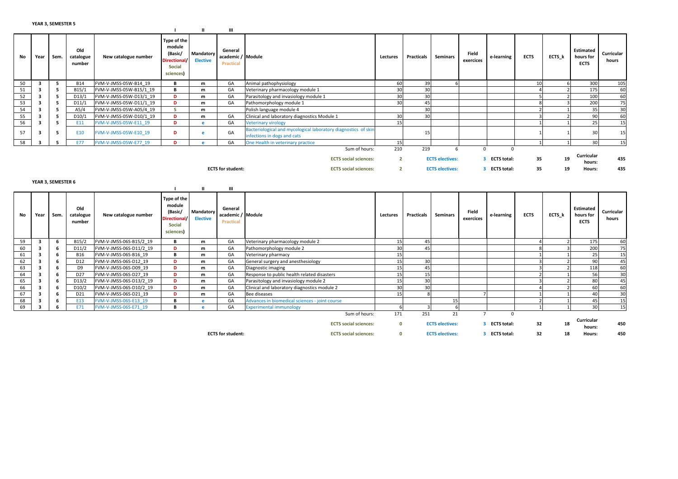|          |                         |      |                            |                                                  |                                                                                | -11                          | Ш                                                |                                                                                               |                |                   |                        |                    |               |                |                |                                              |                     |
|----------|-------------------------|------|----------------------------|--------------------------------------------------|--------------------------------------------------------------------------------|------------------------------|--------------------------------------------------|-----------------------------------------------------------------------------------------------|----------------|-------------------|------------------------|--------------------|---------------|----------------|----------------|----------------------------------------------|---------------------|
| No       | Year                    | Sem. | Old<br>catalogue<br>number | New catalogue number                             | Type of the<br>module<br>(Basic/<br>Directional/<br><b>Social</b><br>sciences) | Mandatory<br><b>Elective</b> | General<br>academic / Module<br>Practical        |                                                                                               | Lectures       | <b>Practicals</b> | <b>Seminars</b>        | Field<br>exercices | e-learning    | <b>ECTS</b>    | ECTS k         | <b>Estimated</b><br>hours for<br><b>ECTS</b> | Curricular<br>hours |
| 50       | 3                       | 5    | <b>B14</b>                 | FVM-V-JMSS-05W-B14 19                            | В                                                                              | m                            | GA                                               | Animal pathophysiology                                                                        | 60             | 39                |                        |                    |               | 10             | 6              | 300                                          | 105                 |
| 51       | 3                       | 5    | B15/1                      | FVM-V-JMSS-05W-B15/1 19                          | в                                                                              | m                            | GA                                               | Veterinary pharmacology module 1                                                              | 30             | 30                |                        |                    |               |                | $\overline{2}$ | 175                                          | 60                  |
| 52       | 3                       | 5    | D13/1                      | FVM-V-JMSS-05W-D13/1 19                          | D                                                                              | m                            | GA                                               | Parasitology and invasiology module 1                                                         | 30             | 30                |                        |                    |               |                | $\mathcal{P}$  | 100                                          | 60                  |
| 53       | $\overline{\mathbf{3}}$ | 5    | D11/1                      | FVM-V-JMSS-05W-D11/1 19                          | D                                                                              | m                            | GA                                               | Pathomorphology module 1                                                                      | 30             | 45                |                        |                    |               |                |                | 200                                          | 75                  |
| 54       | 3                       | 5    | A5/4                       | FVM-V-JMSS-05W-A05/4 19                          | -S                                                                             | m                            |                                                  | Polish language module 4                                                                      |                | 30                |                        |                    |               |                |                | 35                                           | 30                  |
| 55       | 3                       | 5    | D10/1                      | FVM-V-JMSS-05W-D10/1 19                          | D                                                                              | m                            | GA                                               | Clinical and laboratory diagnostics Module 1                                                  | 30             | 30                |                        |                    |               | -3             | $\mathcal{D}$  | 90                                           | 60                  |
| 56       | $\overline{\mathbf{3}}$ | 5    | E11                        | FVM-V-JMSS-05W-E11 19                            | D                                                                              | e                            | GA                                               | <b>Veterinary virology</b>                                                                    | 15             |                   |                        |                    |               | $\overline{1}$ | $\mathbf{1}$   | 25                                           | 15                  |
| 57       | 3                       | 5    | E10                        | FVM-V-JMSS-05W-E10 19                            | D                                                                              | e                            | GA                                               | Bacteriological and mycological laboratory diagnostics of skin<br>infections in dogs and cats |                | 15                |                        |                    |               | $\mathbf{1}$   |                | 30                                           | 15                  |
| 58       | $\overline{\mathbf{3}}$ | 5    | E77                        | FVM-V-JMSS-05W-E77 19                            | D.                                                                             | $\mathbf{e}$                 | GA                                               | One Health in veterinary practice                                                             | 15             |                   |                        |                    |               | $\mathbf{1}$   | $\mathbf{1}$   | 30                                           | 15                  |
|          |                         |      |                            |                                                  |                                                                                |                              |                                                  | Sum of hours:                                                                                 | 210            | 219               | 6                      | $\Omega$           | $\Omega$      |                |                |                                              |                     |
|          |                         |      |                            |                                                  |                                                                                |                              |                                                  | <b>ECTS</b> social sciences:                                                                  | $\overline{2}$ |                   | <b>ECTS electives:</b> |                    | 3 ECTS total: | 35             | 19             | Curricular                                   | 435                 |
|          |                         |      |                            |                                                  |                                                                                |                              |                                                  |                                                                                               |                |                   |                        |                    |               |                |                | hours:                                       |                     |
|          |                         |      |                            |                                                  |                                                                                |                              | <b>ECTS for student:</b>                         | <b>ECTS</b> social sciences:                                                                  | $\overline{2}$ |                   | <b>ECTS electives:</b> |                    | 3 ECTS total: | 35             | 19             | Hours:                                       | 435                 |
|          |                         |      |                            |                                                  |                                                                                |                              |                                                  |                                                                                               |                |                   |                        |                    |               |                |                |                                              |                     |
|          |                         |      |                            |                                                  |                                                                                |                              |                                                  |                                                                                               |                |                   |                        |                    |               |                |                |                                              |                     |
|          | YEAR 3, SEMESTER 6      |      |                            |                                                  |                                                                                |                              |                                                  |                                                                                               |                |                   |                        |                    |               |                |                |                                              |                     |
|          |                         |      |                            |                                                  |                                                                                | $\mathbf{u}$                 | Ш                                                |                                                                                               |                |                   |                        |                    |               |                |                |                                              |                     |
| No       | Year                    | Sem. | Old<br>catalogue<br>number | New catalogue number                             | Type of the<br>module<br>(Basic/<br>Directional/<br><b>Social</b><br>sciences) | Mandatory<br><b>Elective</b> | General<br>academic / Module<br><b>Practical</b> |                                                                                               | Lectures       | Practicals        | Seminars               | Field<br>exercices | e-learning    | <b>ECTS</b>    | ECTS k         | <b>Estimated</b><br>hours for<br><b>ECTS</b> | Curricular<br>hours |
| 59       | $\overline{\mathbf{3}}$ | 6    | B15/2                      | FVM-V-JMSS-06S-B15/2 19                          | В                                                                              | m                            | GA                                               | Veterinary pharmacology module 2                                                              | 15             | 45                |                        |                    |               | $\Delta$       | $\overline{2}$ | 175                                          |                     |
| 60       | 3                       | 6    | D11/2                      | FVM-V-JMSS-06S-D11/2 19                          | D                                                                              | m                            | GA                                               | Pathomorphology module 2                                                                      | 30             | 45                |                        |                    |               | 8              | $\overline{3}$ | 200                                          | 60<br>75            |
| 61       | $\overline{\mathbf{3}}$ | - 6  | <b>B16</b>                 | FVM-V-JMSS-06S-B16 19                            | в                                                                              | m                            | GA                                               | Veterinary pharmacy                                                                           | 15             |                   |                        |                    |               |                | $\mathbf{1}$   | 25                                           | 15                  |
| 62       | $\overline{\mathbf{3}}$ | 6    | D12                        | FVM-V-JMSS-06S-D12 19                            | D                                                                              | m                            | GA                                               | General surgery and anesthesiology                                                            | 15             | 30                |                        |                    |               |                | $\mathcal{D}$  | 90                                           | 45                  |
| 63       | $\overline{\mathbf{3}}$ | 6    | D <sub>9</sub>             | FVM-V-JMSS-06S-D09 19                            | D                                                                              | m                            | GA                                               | Diagnostic imaging                                                                            | 15             | 45                |                        |                    |               |                |                | 118                                          | 60                  |
| 64       | 3                       | 6    | D <sub>27</sub>            | FVM-V-JMSS-06S-D27 19                            | D                                                                              | m                            | GA                                               | Response to public health related disasters                                                   | 15             | 15                |                        |                    |               |                |                | 56                                           | 30                  |
|          | 3                       | 6    | D13/2                      | FVM-V-JMSS-06S-D13/2 19                          | D                                                                              | m                            | GA                                               |                                                                                               | 15             | 30                |                        |                    |               | 3              |                | 80                                           |                     |
| 65       | 3                       | 6    | D10/2                      |                                                  | D                                                                              | m                            | GA                                               | Parasitology and invasiology module 2                                                         | 30             | 30                |                        |                    |               |                |                | 60                                           | 45                  |
| 66<br>67 | $\overline{\mathbf{3}}$ | 6    | D21                        | FVM-V-JMSS-06S-D10/2 19<br>FVM-V-JMSS-06S-D21 19 | D                                                                              | m                            | GA                                               | Clinical and laboratory diagnostics module 2<br>Bee diseases                                  | 15             | 8                 |                        |                    |               | $\mathbf{1}$   | $\overline{1}$ | 40                                           | 60<br>30            |
| 68       | 3                       | 6    | E13                        | FVM-V-JMSS-06S-E13 19                            | B                                                                              | e.                           | GA                                               | Advances in biomedical sciences - joint course                                                |                |                   | 15                     |                    |               | $\overline{z}$ | $\overline{1}$ | 45                                           | 15                  |
| 69       | $\overline{\mathbf{3}}$ | 6    | E71                        | FVM-V-JMSS-06S-E71 19                            | B                                                                              | e                            | GA                                               | <b>Experimental immunology</b>                                                                | 6              | 3                 |                        |                    |               | $\mathbf{1}$   |                | 30                                           |                     |
|          |                         |      |                            |                                                  |                                                                                |                              |                                                  | Sum of hours:                                                                                 | 171            | 251               | 21                     | $\overline{7}$     | $\Omega$      |                |                |                                              | 15                  |
|          |                         |      |                            |                                                  |                                                                                |                              |                                                  | <b>ECTS</b> social sciences:                                                                  | $\mathbf{0}$   |                   | <b>ECTS electives:</b> |                    | 3 ECTS total: | 32             | 18             | Curricular<br>hours:                         | 450                 |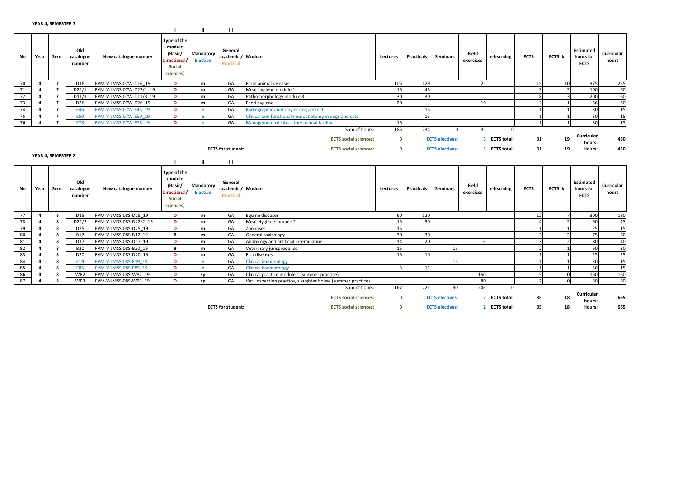|    |                    |                    |                            |                         |                                                                                      | ш                            | ш                                                |                                                             |                     |                   |                              |                    |                           |                |                          |                                              |                     |
|----|--------------------|--------------------|----------------------------|-------------------------|--------------------------------------------------------------------------------------|------------------------------|--------------------------------------------------|-------------------------------------------------------------|---------------------|-------------------|------------------------------|--------------------|---------------------------|----------------|--------------------------|----------------------------------------------|---------------------|
|    | No<br>Year         | Sem.               | Old<br>catalogue<br>number | New catalogue number    | Type of the<br>module<br>(Basic/<br><b>Directiona</b><br><b>Social</b><br>sciences)  | Mandatory<br><b>Elective</b> | General<br>academic / Module<br><b>Practical</b> |                                                             | Lectures            | <b>Practicals</b> | <b>Seminars</b>              | Field<br>exercices | e-learning                | <b>ECTS</b>    | ECTS k                   | <b>Estimated</b><br>hours for<br><b>ECTS</b> | Curricular<br>hours |
|    | 70<br>$\mathbf{A}$ | 7                  | D <sub>16</sub>            | FVM-V-JMSS-07W-D16 19   | D                                                                                    | m                            | GA                                               | Farm animal diseases                                        | 105                 | 129               |                              | 21                 |                           | 15             | 10 <sup>1</sup>          | 375                                          | 255                 |
|    | 71                 | $\overline{7}$     | D22/1                      | FVM-V-JMSS-07W-D22/1 19 | D                                                                                    | m                            | GA                                               | Meat hygiene module 1                                       | 15                  | 45                |                              |                    |                           | $\overline{3}$ | $\overline{2}$           | 100                                          | 60                  |
|    | 72                 | $\overline{7}$     | D11/3                      | FVM-V-JMSS-07W-D11/3 19 | D                                                                                    | m                            | GA                                               | Pathomorphology module 3                                    | 30                  | 30                |                              |                    |                           | 8              |                          | 200                                          | 60                  |
|    | 73                 | $\overline{z}$     | D <sub>26</sub>            | FVM-V-JMSS-07W-D26 19   | D                                                                                    | m                            | GA                                               | Feed hygiene                                                | 20                  |                   |                              | 10                 |                           | $\mathcal{L}$  | $\mathbf{1}$             | 56                                           | 30                  |
|    | 74                 | $\overline{7}$     | E46                        | FVM-V-JMSS-07W-E45 19   | D                                                                                    | e.                           | GA                                               | Radiographic anatomy of dog and cat                         |                     | 15                |                              |                    |                           | $\mathbf{1}$   |                          | 30                                           | 15                  |
|    | 75                 | $\overline{7}$     | <b>E50</b>                 | FVM-V-JMSS-07W-E50 19   | D                                                                                    | e.                           | GA                                               | Clinical and functional neuroanatomy in dogs and cats       |                     | 15                |                              |                    |                           | $\overline{1}$ |                          | 30                                           | 15                  |
|    | 76                 | $\overline{7}$     | <b>E78</b>                 | FVM-V-JMSS-07W-E78 19   | D                                                                                    | e                            | GA                                               | Management of laboratory animal facility                    | 15                  |                   |                              |                    |                           | 1              |                          | 30                                           | 15                  |
|    |                    |                    |                            |                         |                                                                                      |                              |                                                  | Sum of hours:                                               | 185                 | 234               | $\Omega$                     | 31                 | $\Omega$                  |                |                          |                                              |                     |
|    |                    |                    |                            |                         |                                                                                      |                              |                                                  | <b>ECTS</b> social sciences:                                | $\mathbf{0}$        |                   | <b>ECTS electives:</b>       | 3                  | <b>ECTS total:</b>        | 31             | 19                       | Curricular<br>hours:                         | 450                 |
|    |                    |                    |                            |                         |                                                                                      |                              | <b>ECTS</b> for student:                         | <b>ECTS</b> social sciences:                                | $\mathbf{0}$        |                   | <b>ECTS electives:</b>       |                    | 3 ECTS total:             | 31             | 19                       | Hours:                                       | 450                 |
|    |                    | YEAR 4, SEMESTER 8 |                            |                         |                                                                                      |                              |                                                  |                                                             |                     |                   |                              |                    |                           |                |                          |                                              |                     |
|    |                    |                    |                            |                         |                                                                                      | ш                            | ш                                                |                                                             |                     |                   |                              |                    |                           |                |                          |                                              |                     |
|    |                    |                    |                            |                         |                                                                                      |                              |                                                  |                                                             |                     |                   |                              |                    |                           |                |                          |                                              |                     |
|    | No<br>Year         | Sem.               | Old<br>catalogue<br>number | New catalogue number    | Type of the<br>module<br>(Basic/<br><b>Directional</b><br><b>Social</b><br>sciences) | Mandatory<br><b>Elective</b> | General<br>academic / Module<br>Practical        |                                                             | Lectures            | <b>Practicals</b> | <b>Seminars</b>              | Field<br>exercices | e-learning                | <b>ECTS</b>    | ECTS k                   | <b>Estimated</b><br>hours for<br><b>ECTS</b> | Curricular<br>hours |
|    | 77<br>4            | 8                  | D15                        | FVM-V-JMSS-08S-D15 19   | D                                                                                    | m                            | GA                                               | Equine diseases                                             | 60                  | 120               |                              |                    |                           | 12             | 7                        | 300                                          | 180                 |
|    | 78<br>$\mathbf{a}$ | 8                  | D22/2                      | FVM-V-JMSS-08S-D22/2 19 | D                                                                                    | m                            | GA                                               | Meat Hygiene module 2                                       | 15                  | 30                |                              |                    |                           | $\Delta$       | $\overline{2}$           | 90                                           | 45                  |
|    | 79                 | 8                  | D <sub>25</sub>            | FVM-V-JMSS-08S-D25 19   | D                                                                                    | m                            | GA                                               | Zoonoses                                                    | 15                  |                   |                              |                    |                           | $\mathbf{1}$   | $\mathbf{1}$             | 25                                           | 15                  |
|    | 80                 | 8                  | <b>B17</b>                 | FVM-V-JMSS-08S-B17 19   | в                                                                                    | m                            | GA                                               | General toxicology                                          | 30                  | 30                |                              |                    |                           | $\overline{3}$ | $\mathcal{D}$            | 75                                           | 60                  |
| 81 |                    | 8                  | D17                        | FVM-V-JMSS-08S-D17 19   | D                                                                                    | m                            | GA                                               | Andrology and artificial insemination                       | 14                  | 20                |                              |                    |                           | $\overline{3}$ | $\overline{\phantom{a}}$ | 80                                           | 40                  |
| 82 |                    | 8                  | <b>B20</b>                 | FVM-V-JMSS-08S-B20 19   | B                                                                                    | m                            | GA                                               | Veterinary jurisprudence                                    | 15                  |                   | 15                           |                    |                           | $\overline{2}$ |                          | 60                                           | 30                  |
| 83 | Δ                  | 8                  | D <sub>20</sub>            | FVM-V-JMSS-08S-D20 19   | D                                                                                    | m                            | GA                                               | Fish diseases                                               | 15                  | 10 <sup>1</sup>   |                              |                    |                           | $\overline{1}$ |                          | 25                                           | 25                  |
| 84 |                    | 8                  | E19                        | FVM-V-JMSS-08S-E19 19   | D                                                                                    | e                            | GA                                               | <b>Clinical immunology</b>                                  |                     |                   | 15                           |                    |                           | $\mathbf{1}$   |                          | 30                                           | 15                  |
| 85 |                    | 8                  | <b>E85</b>                 | FVM-V-JMSS-08S-E85 19   | D                                                                                    | e                            | GA                                               | <b>Clinical haematology</b>                                 |                     | 12                |                              |                    |                           | $\mathbf{1}$   | $\mathbf{1}$             | 30                                           | 15                  |
|    | 86                 | 8                  | WP2                        | FVM-V-JMSS-08S-WP2 19   | D                                                                                    | sp                           | GA                                               | Clinical practice module 1 (summer practice)                |                     |                   |                              | 160                |                           | 5              | $\Omega$                 | 160                                          | 160                 |
|    | 87<br>Δ            | 8                  | WP3                        | FVM-V-JMSS-08S-WP3 19   | D                                                                                    | sp                           | GA                                               | Vet. inspection practice, slaughter house (summer practice) |                     |                   |                              | 80                 |                           | $\overline{2}$ | $\Omega$                 | 80                                           | 80                  |
|    |                    |                    |                            |                         |                                                                                      |                              |                                                  | Sum of hours:<br><b>ECTS</b> social sciences:               | 167<br>$\mathbf{0}$ | 222               | 30<br><b>ECTS electives:</b> | 246                | $\Omega$<br>2 ECTS total: | 35             | 18                       | Curricular<br>hours:                         | 665                 |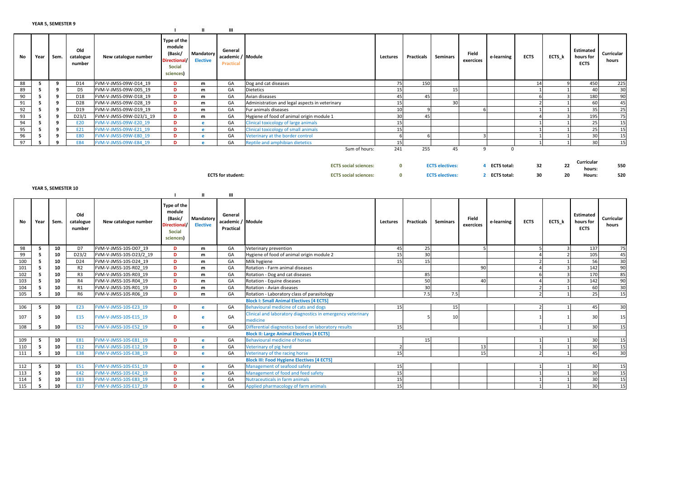|    |      |      |                            |                         |                                                                                         |                  | ш                                         |                                                |          |                   |          |                    |            |             |        |                                       |                     |
|----|------|------|----------------------------|-------------------------|-----------------------------------------------------------------------------------------|------------------|-------------------------------------------|------------------------------------------------|----------|-------------------|----------|--------------------|------------|-------------|--------|---------------------------------------|---------------------|
| No | Year | Sem. | Old<br>catalogue<br>number | New catalogue number    | Type of the<br>module<br>(Basic/<br>Directional/ Elective<br><b>Social</b><br>sciences) | <b>Mandatory</b> | General<br>academic / Module<br>Practical |                                                | Lectures | <b>Practicals</b> | Seminars | Field<br>exercices | e-learning | <b>ECTS</b> | ECTS_k | Estimated<br>hours for<br><b>ECTS</b> | Curricular<br>hours |
| 88 |      |      | D <sub>14</sub>            | FVM-V-JMSS-09W-D14 19   | D                                                                                       | m                | GA                                        | Dog and cat diseases                           |          | 150               |          |                    |            |             |        | 450                                   | 225                 |
| 89 |      |      | D5                         | FVM-V-JMSS-09W-D05 19   | D                                                                                       | m                | GA                                        | Dietetics                                      |          |                   |          |                    |            |             |        | 4(                                    | 30                  |
| 90 |      |      | D <sub>18</sub>            | FVM-V-JMSS-09W-D18 19   | D                                                                                       | m                | GA                                        | Avian diseases                                 |          | 45                |          |                    |            |             |        | 180                                   | 90                  |
| 91 |      |      | D <sub>28</sub>            | FVM-V-JMSS-09W-D28 19   | D.                                                                                      | m                | GA                                        | Administration and legal aspects in veterinary |          |                   | 30       |                    |            |             |        | -60                                   | 45                  |
| 92 |      |      | D19                        | FVM-V-JMSS-09W-D19 19   | Ð                                                                                       | m                | GA                                        | Fur animals diseases                           |          |                   |          |                    |            |             |        |                                       | 25                  |
| 93 |      |      | D23/1                      | FVM-V-JMSS-09W-D23/1 19 | D.                                                                                      | m                | GA                                        | Hygiene of food of animal origin module 1      |          | 45                |          |                    |            |             |        | 195                                   | 75                  |
| 94 |      |      | E20                        | FVM-V-JMSS-09W-E20 19   | Ð                                                                                       |                  | GA                                        | Clinical toxicology of large animals           | 15       |                   |          |                    |            |             |        |                                       | 15                  |
| 95 |      |      | E21                        | FVM-V-JMSS-09W-E21 19   | Ð                                                                                       |                  | GA                                        | Clinical toxicology of small animals           |          |                   |          |                    |            |             |        |                                       | 15                  |
| 96 |      |      | <b>E80</b>                 | FVM-V-JMSS-09W-E80 19   | Ð                                                                                       |                  | GA                                        | Veterinary at the border control               |          |                   |          |                    |            |             |        |                                       | 15                  |
| 97 |      |      | <b>E84</b>                 | FVM-V-JMSS-09W-E84 19   | Ð                                                                                       |                  | GA                                        | Reptile and amphibian dietetics                |          |                   |          |                    |            |             |        |                                       | 15                  |
|    |      |      |                            |                         |                                                                                         |                  |                                           | Sum of hours:                                  | 241      | 255               | 45       |                    |            |             |        |                                       |                     |

ECTS social sciences: <sup>0</sup>ectricular end to the control of the Curricular state of the curricular state of the curricular hours:<br>hours: the hours: hours: Curricular<br>hours: 550 ECTS for student: ECTS social sciences: <sup>0</sup> ECTS electives: <sup>2</sup> ECTS total: <sup>30</sup> <sup>20</sup> Hours: <sup>520</sup> YEAR 5, SEMESTER 10<u>I II III</u> No Year Sem. Old catalogue numberNew catalogue numberType of the module (Basic/ Directional/Social sciences)**Mandatory** ElectiveGeneral academic / ModulePracticale exercices and the contract exercices and the contract of the services exercices and the services exercices and the services of the services of the services of the services of the services of the services of the services e-learning ECTS ECTS EStimated<br>s e-learning ECTS ECTS ECTS Estimated<br>hours for curricular<br>ECTS hours 985 10 D7 FVM-V-JMSS-10S-D07\_19 D<br>5 10 D23/2 FVM-V-JMSS-10S-D23/2 19 D <u>b</u> m m GA Veterinary prevention  $\frac{45}{25}$   $\frac{25}{25}$  5  $\frac{3}{25}$  3 137 75 995 10 <u>D23/2</u> FVM-V-JMSS-10S-D23/2\_19 D<br>5 10 D24 FVM-V-JMSS-10S-D24\_19 D <sup>m</sup>GA Hygiene of food of animal origin module 2 15 30<br>
GA Milk hygiene of food of animal origin module 2 15 30 15 15 15 2 1 56 30 1005 10 <u>D24</u> FVM-V-JMSS-10S-D24\_19 D<br>5 10 R2 FVM-V-JMSS-10S-R02\_19 D <sup>m</sup>m | GA Milk hygiene 15 15 15 15 15 15 15 15 16 30<br>| GA Milk hygiene 15 15 15 15 16 20 16 16 16 16 16 16 16 16 16 16 16 17 18 18 19 19 19 19 19 19 19 19 19 19 1 1015 10 R2 FVM-V-JMSS-10S-R02\_19 D<br>5 10 R3 FVM-V-JMSS-10S-R03 19 D  $\frac{m}{m}$ m GA Rotation - Farm animal diseases experience and the second contract of the contract of the contract of the contract of the contract of the contract of the contract of the contract of the contract of the contract of th 1025 10 R3 FVM-V-JMSS-10S-R03\_19 D<br>5 10 R4 FVM-V-JMSS-10S-R04 19 D <u>b</u> m GA Rotation - Dog and cat diseases 85 <sup>6</sup> <sup>3</sup> <sup>170</sup> <sup>85</sup> 1035 10 R4 FVM-V-JMSS-10S-R04\_19 D<br>5 10 R1 FVM-V-JMSS-10S-R01 19 D <sup>m</sup>**n** GA Rotation Equine diseases 50 40 40 4  $\frac{3}{2}$  90 4 3 142 90 1045 10 R1 FVM-V-JMSS-10S-R01\_19 D<br>5 10 R6 FVM-V-JMSS-10S-R06 19 D <sup>m</sup> GA Rotation - Avian diseases 30 <sup>2</sup> <sup>1</sup> <sup>60</sup> <sup>30</sup> 105FVM-V-JMSS-10S-R06\_19 <sup>m</sup>GA Rotation - Laboratory class of parasitology and the state of the control of the control of the control of the control of the control of the control of the control of the control of the control of the control of the cont Block I: Small Animal Electives [4 ECTS]**b** e GA Behavioural medicine of cats and dogs 15 15 15 15 2 1 45 30 106**5 10** E23 FVM-V-JMSS-10S-E23\_19 **D** 1075 10 E15 FVM-V-JMSS-10S-E15 19 <sup>D</sup>e GA Clinical and laboratory diagnostics in emergency veterinary medicine e 10 1 30 15 108**5 10** E52 FVM-V-JMSS-10S-E52\_19 D e GA Differential diagnostics based on laboratory results 15 15 1 1 1 1 1 1 1 30 15 Block II: Large Animal Electives [4 ECTS]1095 10 E81 FVM-V-JMSS-10S-E81\_19 D<br>5 10 E12 FVM-V-JMSS-10S-E12\_19 D **D** e GA Behavioural medicine of horses 15 1 1 1 1 1 30 15 110**5 10 E12 FVM-V-JMSS-10S-E12 19 D**<br>**5 10 E38 FVM-V-JMSS-10S-E38 19 D b** e GA Veterinary of pig herd 2  $\left| \begin{array}{ccc} 2 & 2 & 13 \end{array} \right|$  1 1 1 30 15 111FVM-V-JMSS-10S-E38\_19 **D** e GA Veterinary of the racing horse 15 15 15 15 15 15 2 1 45 30

|  |                                |                   |                                   |  |    | <b>Block III: Food Hygiene Electives [4 ECTS]</b> |  |  |  |  |
|--|--------------------------------|-------------------|-----------------------------------|--|----|---------------------------------------------------|--|--|--|--|
|  | $\overline{\phantom{a}}$<br>πn | E51               | 1-V-JMSS-10S-E51 19<br><b>FVM</b> |  | GΑ | ement of seafood safety                           |  |  |  |  |
|  | $\overline{a}$<br>πn           |                   | 1-V-JMSS-10S-E42 19<br><b>FVM</b> |  | GА | ement of food and feed safety                     |  |  |  |  |
|  | $\overline{\phantom{a}}$<br>πn | <b>E83</b>        | 1-V-JMSS-10S-E83 19<br><b>FVM</b> |  | GА | Nutraceuticals in farm animals                    |  |  |  |  |
|  | $\sim$<br>∸∼                   | ma i<br><b>LI</b> | I-V-JMSS-10S-E17 19<br><b>FVM</b> |  | GA | lied pharmacology of farm animals                 |  |  |  |  |
|  |                                |                   |                                   |  |    |                                                   |  |  |  |  |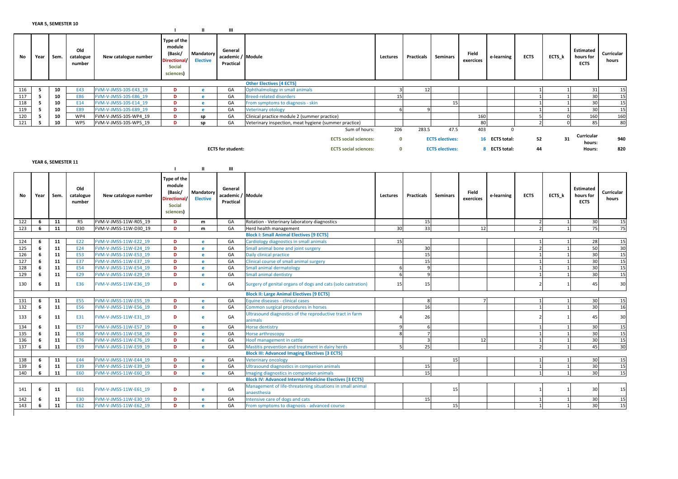|     |      | .    |                            |                       |                                                                         |                              | Ш                                         |                                                       |          |            |                        |                    |                |             |        |                                       |                     |
|-----|------|------|----------------------------|-----------------------|-------------------------------------------------------------------------|------------------------------|-------------------------------------------|-------------------------------------------------------|----------|------------|------------------------|--------------------|----------------|-------------|--------|---------------------------------------|---------------------|
| No  | Year | Sem. | Old<br>catalogue<br>number | New catalogue number  | Type of the<br>module<br>(Basic/<br>Directional/<br>Social<br>sciences) | Mandatory<br><b>Elective</b> | General<br>academic / Module<br>Practical |                                                       | Lectures | Practicals | Seminars               | Field<br>exercices | e-learning     | <b>ECTS</b> | ECTS_k | Estimated<br>hours for<br><b>ECTS</b> | Curricular<br>hours |
|     |      |      |                            |                       |                                                                         |                              |                                           | <b>Other Electives [4 ECTS]</b>                       |          |            |                        |                    |                |             |        |                                       |                     |
| 116 |      | 10   | E43                        | FVM-V-JMSS-10S-E43 19 | D                                                                       |                              | GA                                        | Ophthalmology in small animals                        |          |            |                        |                    |                |             |        |                                       | 15                  |
| 117 |      | 10   | <b>E86</b>                 | FVM-V-JMSS-10S-E86 19 | D.                                                                      |                              | GA                                        | <b>Breed-related disorders</b>                        |          |            |                        |                    |                |             |        |                                       | 15                  |
| 118 |      | 10   | E14                        | FVM-V-JMSS-10S-E14 19 | D                                                                       |                              | GA                                        | From symptoms to diagnosis - skin                     |          |            |                        |                    |                |             |        |                                       | 15                  |
| 119 |      | 10   | <b>E89</b>                 | FVM-V-JMSS-10S-E89 19 | D                                                                       |                              | GA                                        | <b>Veterinary otology</b>                             |          |            |                        |                    |                |             |        |                                       | 15                  |
| 120 |      | 10   | WP4                        | FVM-V-JMSS-10S-WP4 19 | n                                                                       | sp                           | GA                                        | Clinical practice module 2 (summer practice)          |          |            |                        | 160                |                |             |        | 160                                   | 160                 |
| 121 |      | 10   | WP5                        | FVM-V-JMSS-10S-WP5 19 |                                                                         | sp                           | GA                                        | Veterinary inspection, meat hygiene (summer practice) |          |            |                        | 80                 |                |             |        |                                       | 80                  |
|     |      |      |                            |                       |                                                                         |                              |                                           | Sum of hours:                                         | 206      | 283.5      | 47.5                   | 403                | $\Omega$       |             |        |                                       |                     |
|     |      |      |                            |                       |                                                                         |                              |                                           | <b>ECTS</b> social sciences:                          | 0        |            | <b>ECTS electives:</b> |                    | 16 ECTS total: | 52          | 31     | Curricular<br>hours:                  | 940                 |
|     |      |      |                            |                       |                                                                         |                              | <b>ECTS for student:</b>                  | <b>ECTS social sciences:</b>                          | $\Omega$ |            | <b>ECTS electives:</b> |                    | 8 ECTS total:  | 44          |        | <b>Hours:</b>                         | 820                 |

YEAR 6, SEMESTER 11

|     |      |      |                            |                       |                                                                                |                              | Ш                                         |                                                                          |          |              |                 |                    |            |             |        |                                       |                     |
|-----|------|------|----------------------------|-----------------------|--------------------------------------------------------------------------------|------------------------------|-------------------------------------------|--------------------------------------------------------------------------|----------|--------------|-----------------|--------------------|------------|-------------|--------|---------------------------------------|---------------------|
| No  | Year | Sem. | Old<br>catalogue<br>number | New catalogue number  | Type of the<br>module<br>(Basic/<br>Directional/<br><b>Social</b><br>sciences) | Mandatory<br><b>Elective</b> | General<br>academic / Module<br>Practical |                                                                          | Lectures | Practicals   | <b>Seminars</b> | Field<br>exercices | e-learning | <b>ECTS</b> | ECTS k | Estimated<br>hours for<br><b>ECTS</b> | Curricular<br>hours |
| 122 | -6   | 11   | R <sub>5</sub>             | FVM-V-JMSS-11W-R05 19 | D                                                                              | m                            | GA                                        | Rotation - Veterinary laboratory diagnostics                             |          | 15           |                 |                    |            |             |        | 30                                    | 15                  |
| 123 | 6    | 11   | D30                        | FVM-V-JMSS-11W-D30 19 | D.                                                                             | m                            | GA                                        | Herd health management                                                   | 30       | 33           |                 | 12                 |            |             |        | 75                                    | 75                  |
|     |      |      |                            |                       |                                                                                |                              |                                           | <b>Block I: Small Animal Electives [9 ECTS]</b>                          |          |              |                 |                    |            |             |        |                                       |                     |
| 124 | -6   | 11   | E22                        | FVM-V-JMSS-11W-E22 19 | D                                                                              | e                            | GA                                        | Cardiology diagnostics in small animals                                  | 15       |              |                 |                    |            |             |        | 28                                    | 15                  |
| 125 |      | 11   | E24                        | FVM-V-JMSS-11W-E24 19 | D.                                                                             | e                            | GA                                        | Small animal bone and joint surgery                                      |          | 30           |                 |                    |            |             |        | 50                                    | 30                  |
| 126 | -6   | 11   | <b>E53</b>                 | FVM-V-JMSS-11W-E53 19 | D.                                                                             | e                            | GA                                        | Daily clinical practice                                                  |          | 15           |                 |                    |            |             |        | 30                                    | 15                  |
| 127 |      | 11   | E37                        | FVM-V-JMSS-11W-E37 19 | D                                                                              | e                            | GA                                        | Clinical course of small animal surgery                                  |          | 15           |                 |                    |            |             |        | 30                                    | 15                  |
| 128 | -6   | 11   | <b>E54</b>                 | FVM-V-JMSS-11W-E54 19 | D.                                                                             | e                            | GA                                        | Small animal dermatology                                                 |          |              |                 |                    |            |             |        | 30                                    | 15                  |
| 129 | -6   | 11   | E29                        | FVM-V-JMSS-11W-E29_19 | D.                                                                             | e                            | GA                                        | <b>Small animal dentistry</b>                                            |          | $\Omega$     |                 |                    |            |             |        | 30                                    | 15                  |
| 130 | -6   | 11   | E36                        | FVM-V-JMSS-11W-E36 19 | D                                                                              | e                            | GA                                        | Surgery of genital organs of dogs and cats (solo castration)             | 15       | 15           |                 |                    |            |             |        | 45                                    | 30                  |
|     |      |      |                            |                       |                                                                                |                              |                                           | <b>Block II: Large Animal Electives [9 ECTS]</b>                         |          |              |                 |                    |            |             |        |                                       |                     |
| 131 | -6   | 11   | <b>E55</b>                 | FVM-V-JMSS-11W-E55 19 | D                                                                              | $\epsilon$                   | GA                                        | Equine diseases - clinical cases                                         |          | $\mathbf{R}$ |                 |                    |            |             |        | 30                                    | 15                  |
| 132 | 6    | 11   | <b>E56</b>                 | FVM-V-JMSS-11W-E56 19 | D                                                                              | $\bullet$                    | GA                                        | Common surgical procedures in horses                                     |          | 16           |                 |                    |            |             |        | 30                                    | 16                  |
| 133 | 6    | 11   | E31                        | FVM-V-JMSS-11W-E31 19 | D                                                                              | e                            | GA                                        | Ultrasound diagnostics of the reproductive tract in farm<br>animals      |          | 26           |                 |                    |            |             |        | 45                                    | 30                  |
| 134 | -6   | 11   | <b>E57</b>                 | FVM-V-JMSS-11W-E57 19 | D.                                                                             | e                            | GA                                        | Horse dentistry                                                          |          |              |                 |                    |            |             |        | 30                                    | 15                  |
| 135 | -6   | 11   | <b>E58</b>                 | FVM-V-JMSS-11W-E58 19 | D                                                                              | $\mathbf{r}$                 | GA                                        | Horse arthroscopy                                                        |          |              |                 |                    |            |             |        | 30                                    | 15                  |
| 136 | -6   | 11   | E76                        | FVM-V-JMSS-11W-E76 19 | D                                                                              | $\epsilon$                   | GA                                        | Hoof management in cattle                                                |          |              |                 | 12                 |            |             |        | 30                                    | 15                  |
| 137 | -6   | 11   | <b>E59</b>                 | FVM-V-JMSS-11W-E59 19 | D.                                                                             | e.                           | GA                                        | Mastitis prevention and treatment in dairy herds                         |          | 25           |                 |                    |            |             |        | 45                                    | 30                  |
|     |      |      |                            |                       |                                                                                |                              |                                           | <b>Block III: Advanced Imaging Electives [3 ECTS]</b>                    |          |              |                 |                    |            |             |        |                                       |                     |
| 138 |      | 11   | E44                        | FVM-V-JMSS-11W-E44 19 | D                                                                              | e                            | GA                                        | <b>Veterinary oncology</b>                                               |          |              | 15              |                    |            |             |        | 30                                    | 15                  |
| 139 |      | 11   | E39                        | FVM-V-JMSS-11W-E39 19 | D.                                                                             | e                            | GA                                        | Ultrasound diagnostics in companion animals                              |          | 15           |                 |                    |            |             |        | 30                                    | 15                  |
| 140 | -6   | 11   | <b>E60</b>                 | FVM-V-JMSS-11W-E60 19 | D.                                                                             | e                            | GA                                        | Imaging diagnostics in companion animals                                 |          | 15           |                 |                    |            |             |        | 30                                    | 15                  |
|     |      |      |                            |                       |                                                                                |                              |                                           | <b>Block IV: Advanced Internal Medicine Electives [3 ECTS]</b>           |          |              |                 |                    |            |             |        |                                       |                     |
| 141 | -6   | 11   | E61                        | FVM-V-JMSS-11W-E61 19 | D                                                                              | e                            | GA                                        | Management of life-threatening situations in small animal<br>anaesthesia |          |              | 15              |                    |            |             |        | 30                                    | 15                  |
| 142 |      | 11   | <b>E30</b>                 | FVM-V-JMSS-11W-E30 19 | D                                                                              | $\mathbf{r}$                 | GA                                        | Intensive care of dogs and cats                                          |          | 15           |                 |                    |            |             |        | 30                                    | 15                  |
| 143 | -6   | 11   | E62                        | FVM-V-JMSS-11W-E62 19 | D.                                                                             | e                            | GA                                        | From symptoms to diagnosis - advanced course                             |          |              | 15              |                    |            |             |        | 30                                    | 15                  |
|     |      |      |                            |                       |                                                                                |                              |                                           |                                                                          |          |              |                 |                    |            |             |        |                                       |                     |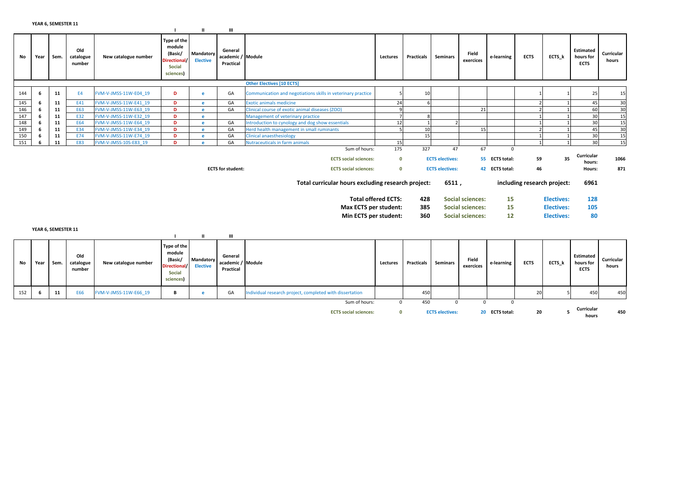|     |      |      |                            |                       |                                                                                       |                              | ш                                         |                                                              |                            |            |                        |                         |                |             |                             |                                       |                     |
|-----|------|------|----------------------------|-----------------------|---------------------------------------------------------------------------------------|------------------------------|-------------------------------------------|--------------------------------------------------------------|----------------------------|------------|------------------------|-------------------------|----------------|-------------|-----------------------------|---------------------------------------|---------------------|
| No  | Year | Sem. | Old<br>catalogue<br>number | New catalogue number  | Type of the<br>module<br>(Basic/<br><b>Directional/</b><br><b>Social</b><br>sciences) | Mandatory<br><b>Elective</b> | General<br>academic / Module<br>Practical |                                                              | Lectures                   | Practicals | <b>Seminars</b>        | Field<br>exercices      | e-learning     | <b>ECTS</b> | ECTS_k                      | Estimated<br>hours for<br><b>ECTS</b> | Curricular<br>hours |
|     |      |      |                            |                       |                                                                                       |                              |                                           | <b>Other Electives [10 ECTS]</b>                             |                            |            |                        |                         |                |             |                             |                                       |                     |
| 144 | -6   | 11   | E <sub>4</sub>             | FVM-V-JMSS-11W-E04 19 | D                                                                                     | e                            | GA                                        | Communication and negotiations skills in veterinary practice |                            | 10         |                        |                         |                |             |                             | 25                                    | 15                  |
| 145 | 6    | 11   | E41                        | FVM-V-JMSS-11W-E41 19 | D                                                                                     | $\bullet$                    | GA                                        | <b>Exotic animals medicine</b>                               | 24                         |            |                        |                         |                |             |                             | 45                                    | 30                  |
| 146 | -6   | 11   | E63                        | FVM-V-JMSS-11W-E63 19 | D                                                                                     |                              | GA                                        | Clinical course of exotic animal diseases (ZOO)              |                            |            |                        | 21                      |                |             |                             | 60                                    | 30                  |
| 147 | 6    | 11   | E32                        | FVM-V-JMSS-11W-E32 19 | D                                                                                     |                              |                                           | Management of veterinary practice                            |                            |            |                        |                         |                |             |                             | 30                                    | 15                  |
| 148 |      | 11   | E64                        | FVM-V-JMSS-11W-E64 19 | D                                                                                     |                              | GA                                        | Introduction to cynology and dog show essentials             | 12                         |            |                        |                         |                |             |                             | 30                                    | 15                  |
| 149 | -6   | 11   | E34                        | FVM-V-JMSS-11W-E34 19 | D                                                                                     |                              | GA                                        | Herd health management in small ruminants                    |                            | 10         |                        | 15                      |                |             |                             | 45                                    | 30                  |
| 150 | -6   | 11   | E74                        | FVM-V-JMSS-11W-E74 19 | D                                                                                     |                              | GA                                        | <b>Clinical anaesthesiology</b>                              |                            | 15         |                        |                         |                |             |                             | 30                                    | 15                  |
| 151 |      | 11   | <b>E83</b>                 | FVM-V-JMSS-10S-E83 19 | D                                                                                     |                              | GA                                        | Nutraceuticals in farm animals                               | 15                         |            |                        |                         |                |             |                             | 30                                    | 15                  |
|     |      |      |                            |                       |                                                                                       |                              |                                           | Sum of hours:                                                | 175                        | 327        | 47                     | 67                      | $\mathbf 0$    |             |                             |                                       |                     |
|     |      |      |                            |                       |                                                                                       |                              |                                           | <b>ECTS</b> social sciences:                                 | $\mathbf{0}$               |            | <b>ECTS electives:</b> |                         | 55 ECTS total: | 59          | 35                          | Curricular<br>hours:                  | 1066                |
|     |      |      |                            |                       |                                                                                       |                              | <b>ECTS</b> for student:                  | <b>ECTS</b> social sciences:                                 | $\mathbf{0}$               |            | <b>ECTS electives:</b> |                         | 42 ECTS total: | 46          |                             | Hours:                                | 871                 |
|     |      |      |                            |                       |                                                                                       |                              |                                           | Total curricular hours excluding research project:           |                            |            | 6511,                  |                         |                |             | including research project: | 6961                                  |                     |
|     |      |      |                            |                       |                                                                                       |                              |                                           |                                                              | <b>Total offered ECTS:</b> | 428        |                        | <b>Social sciences:</b> | 15             |             | <b>Electives:</b>           | 128                                   |                     |
|     |      |      |                            |                       |                                                                                       |                              |                                           | Max ECTS per student:                                        |                            | 385        |                        | <b>Social sciences:</b> | 15             |             | <b>Electives:</b>           | 105                                   |                     |
|     |      |      |                            |                       |                                                                                       |                              |                                           | Min ECTS per student:                                        |                            | 360        |                        | <b>Social sciences:</b> | 12             |             | <b>Electives:</b>           | 80                                    |                     |
|     |      |      |                            |                       |                                                                                       |                              |                                           |                                                              |                            |            |                        |                         |                |             |                             |                                       |                     |

YEAR 6, SEMESTER 11

|     |      | 1.2711.0, 3.2111.211.22 |                            |                       |                                                                                       |                              | Ш                                         |                                                          |          |                   |                        |                    |                |              |        |                                       |                     |
|-----|------|-------------------------|----------------------------|-----------------------|---------------------------------------------------------------------------------------|------------------------------|-------------------------------------------|----------------------------------------------------------|----------|-------------------|------------------------|--------------------|----------------|--------------|--------|---------------------------------------|---------------------|
| No  | Year | Sem.                    | Old<br>catalogue<br>number | New catalogue number  | Type of the<br>module<br>(Basic/<br><b>Directional/</b><br><b>Social</b><br>sciences) | Mandatory<br><b>Elective</b> | General<br>academic / Module<br>Practical |                                                          | Lectures | <b>Practicals</b> | <b>Seminars</b>        | Field<br>exercices | e-learning     | <b>ECTS</b>  | ECTS_k | Estimated<br>hours for<br><b>ECTS</b> | Curricular<br>hours |
| 152 |      | 11                      | E66                        | FVM-V-JMSS-11W-E66 19 | B                                                                                     |                              | GA                                        | Individual research project, completed with dissertation |          | 450               |                        |                    |                | $\sim$<br>۷L |        | 450                                   | 450                 |
|     |      |                         |                            |                       |                                                                                       |                              |                                           | Sum of hours:<br><b>ECTS social sciences:</b>            | 0<br>0   | 450               | <b>ECTS electives:</b> |                    | 20 ECTS total: | 20           |        | Curricular<br>hours                   | 450                 |
|     |      |                         |                            |                       |                                                                                       |                              |                                           |                                                          |          |                   |                        |                    |                |              |        |                                       |                     |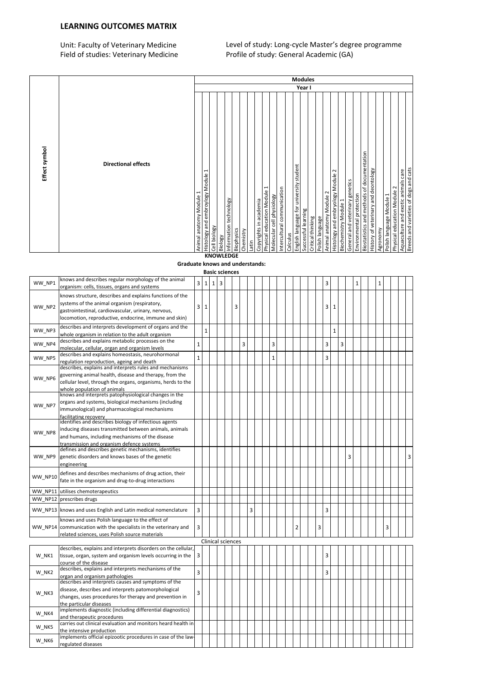### LEARNING OUTCOMES MATRIX

Unit: Faculty of Veterinary Medicine Level of study: Long-cycle Master's degree programme Field of studies: Veterinary Medicine Profile of study: General Academic (GA)

|               |                            |                            |                                                             |                                              |         |                                             |                    |                        |                                |                           |                             |          |                                         | <b>Modules</b>      |                   |                                            |                                           |                       |                                 |                          |                                            |                                      |                                      |                             |                                     |                                       |
|---------------|----------------------------|----------------------------|-------------------------------------------------------------|----------------------------------------------|---------|---------------------------------------------|--------------------|------------------------|--------------------------------|---------------------------|-----------------------------|----------|-----------------------------------------|---------------------|-------------------|--------------------------------------------|-------------------------------------------|-----------------------|---------------------------------|--------------------------|--------------------------------------------|--------------------------------------|--------------------------------------|-----------------------------|-------------------------------------|---------------------------------------|
|               |                            |                            |                                                             |                                              |         |                                             |                    |                        |                                |                           |                             |          |                                         | Year I              |                   |                                            |                                           |                       |                                 |                          |                                            |                                      |                                      |                             |                                     |                                       |
| Effect symbol | <b>Directional effects</b> | 1<br>Animal anatomy Module | $\overline{\phantom{0}}$<br>Histology and embroylogy Module | Cell biology<br><b><i><u><u></u></u></i></b> | Biology | Information technology<br><b>Biophysics</b> | Chemistry<br>Latin | Copyrights in academia | I<br>Physical education Module | Molecular cell physiology | Intercultural communication | Calculus | English language for university student | Successful learning | Critical thinking | Animal anatomy Module 2<br>Polish language | $\sim$<br>Histology and embryology Module | Biochemistry Module 1 | General and veterinary genetics | Environmental protection | Biostatistics and methods of documentation | History of veterinary and deontology | Polish language Module 1<br>Agronomy | Physical education Module 2 | Aquaculture and exotic animals care | Breeds and varieties of dogs and cats |

## **KNOWLEDGE**

#### Graduate knows and understands:

|                |                                                                                                                                                                                                                          |                |              |              | <b>Basic sciences</b> |                          |   |   |  |                |  |   |   |   |              |   |   |              |  |              |   |  |   |
|----------------|--------------------------------------------------------------------------------------------------------------------------------------------------------------------------------------------------------------------------|----------------|--------------|--------------|-----------------------|--------------------------|---|---|--|----------------|--|---|---|---|--------------|---|---|--------------|--|--------------|---|--|---|
| WW_NP1         | knows and describes regular morphology of the animal<br>organism: cells, tissues, organs and systems                                                                                                                     | 3              | $\mathbf{1}$ | $\mathbf{1}$ | $\overline{3}$        |                          |   |   |  |                |  |   |   | 3 |              |   |   | $\mathbf{1}$ |  | $\mathbf{1}$ |   |  |   |
| WW NP2         | knows structure, describes and explains functions of the<br>systems of the animal organism (respiratory,<br>gastrointestinal, cardiovascular, urinary, nervous,<br>locomotion, reproductive, endocrine, immune and skin) | $\overline{3}$ | $\mathbf{1}$ |              |                       | 3                        |   |   |  |                |  |   |   | 3 | $\mathbf{1}$ |   |   |              |  |              |   |  |   |
| WW_NP3         | describes and interprets development of organs and the<br>whole organism in relation to the adult organism                                                                                                               |                | $\mathbf{1}$ |              |                       |                          |   |   |  |                |  |   |   |   | $\mathbf{1}$ |   |   |              |  |              |   |  |   |
| WW NP4         | describes and explains metabolic processes on the<br>molecular, cellular, organ and organism levels                                                                                                                      | $\mathbf{1}$   |              |              |                       |                          | 3 |   |  | $\overline{3}$ |  |   |   | 3 |              | 3 |   |              |  |              |   |  |   |
| WW NP5         | describes and explains homeostasis, neurohormonal<br>regulation reproduction, ageing and death                                                                                                                           | $\mathbf{1}$   |              |              |                       |                          |   |   |  | $\mathbf{1}$   |  |   |   | 3 |              |   |   |              |  |              |   |  |   |
| WW NP6         | describes, explains and interprets rules and mechanisms<br>governing animal health, disease and therapy, from the<br>cellular level, through the organs, organisms, herds to the<br>whole population of animals          |                |              |              |                       |                          |   |   |  |                |  |   |   |   |              |   |   |              |  |              |   |  |   |
| WW NP7         | knows and interprets patophysiological changes in the<br>organs and systems, biological mechanisms (including<br>immunological) and pharmacological mechanisms<br>facilitating recovery                                  |                |              |              |                       |                          |   |   |  |                |  |   |   |   |              |   |   |              |  |              |   |  |   |
| WW_NP8         | identifies and describes biology of infectious agents<br>inducing diseases transmitted between animals, animals<br>and humans, including mechanisms of the disease<br>transmission and organism defence systems          |                |              |              |                       |                          |   |   |  |                |  |   |   |   |              |   |   |              |  |              |   |  |   |
| WW NP9         | defines and describes genetic mechanisms, identifies<br>genetic disorders and knows bases of the genetic<br>engineering                                                                                                  |                |              |              |                       |                          |   |   |  |                |  |   |   |   |              |   | 3 |              |  |              |   |  | 3 |
| WW_NP10        | defines and describes mechanisms of drug action, their<br>fate in the organism and drug-to-drug interactions                                                                                                             |                |              |              |                       |                          |   |   |  |                |  |   |   |   |              |   |   |              |  |              |   |  |   |
| <b>WW NP11</b> | utilises chemoterapeutics                                                                                                                                                                                                |                |              |              |                       |                          |   |   |  |                |  |   |   |   |              |   |   |              |  |              |   |  |   |
|                | WW NP12 prescribes drugs                                                                                                                                                                                                 |                |              |              |                       |                          |   |   |  |                |  |   |   |   |              |   |   |              |  |              |   |  |   |
|                | WW NP13 knows and uses English and Latin medical nomenclature                                                                                                                                                            | 3              |              |              |                       |                          |   | 3 |  |                |  |   |   | 3 |              |   |   |              |  |              |   |  |   |
|                | knows and uses Polish language to the effect of<br>WW NP14 communication with the specialists in the veterinary and<br>related sciences, uses Polish source materials                                                    | 3              |              |              |                       |                          |   |   |  |                |  | 2 | 3 |   |              |   |   |              |  |              | 3 |  |   |
|                |                                                                                                                                                                                                                          |                |              |              |                       | <b>Clinical sciences</b> |   |   |  |                |  |   |   |   |              |   |   |              |  |              |   |  |   |
| W NK1          | describes, explains and interprets disorders on the cellular,<br>tissue, organ, system and organism levels occurring in the<br>course of the disease                                                                     | 3              |              |              |                       |                          |   |   |  |                |  |   |   | 3 |              |   |   |              |  |              |   |  |   |
| W NK2          | describes, explains and interprets mechanisms of the<br>organ and organism pathologies                                                                                                                                   | 3              |              |              |                       |                          |   |   |  |                |  |   |   | 3 |              |   |   |              |  |              |   |  |   |
| W NK3          | describes and interprets causes and symptoms of the<br>disease, describes and interprets patomorphological<br>changes, uses procedures for therapy and prevention in<br>the particular diseases                          | 3              |              |              |                       |                          |   |   |  |                |  |   |   |   |              |   |   |              |  |              |   |  |   |
| W NK4          | implements diagnostic (including differential diagnostics)<br>and therapeutic procedures                                                                                                                                 |                |              |              |                       |                          |   |   |  |                |  |   |   |   |              |   |   |              |  |              |   |  |   |
| W NK5          | carries out clinical evaluation and monitors heard health in<br>the intensive production                                                                                                                                 |                |              |              |                       |                          |   |   |  |                |  |   |   |   |              |   |   |              |  |              |   |  |   |
| W_NK6          | implements official epizootic procedures in case of the law-<br>regulated diseases                                                                                                                                       |                |              |              |                       |                          |   |   |  |                |  |   |   |   |              |   |   |              |  |              |   |  |   |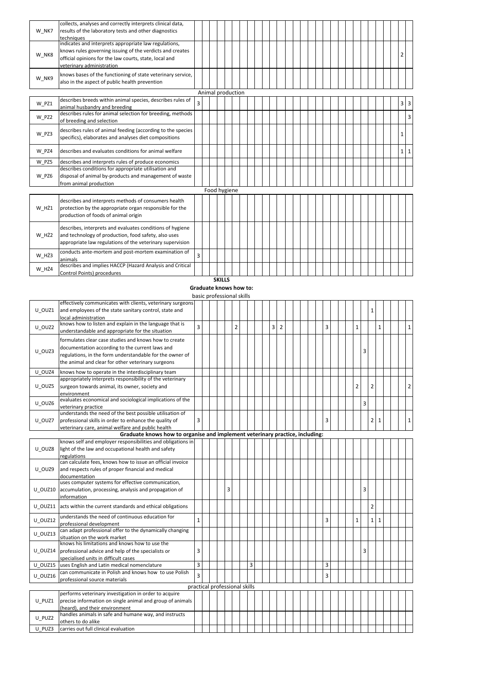|       | collects, analyses and correctly interprets clinical data,  |   |  |                   |  |  |  |  |  |  |  |  |  |  |          |                               |
|-------|-------------------------------------------------------------|---|--|-------------------|--|--|--|--|--|--|--|--|--|--|----------|-------------------------------|
| W NK7 | results of the laboratory tests and other diagnostics       |   |  |                   |  |  |  |  |  |  |  |  |  |  |          |                               |
|       | techniques                                                  |   |  |                   |  |  |  |  |  |  |  |  |  |  |          |                               |
|       | indicates and interprets appropriate law regulations,       |   |  |                   |  |  |  |  |  |  |  |  |  |  |          |                               |
| W NK8 | knows rules governing issuing of the verdicts and creates   |   |  |                   |  |  |  |  |  |  |  |  |  |  | 2        |                               |
|       | official opinions for the law courts, state, local and      |   |  |                   |  |  |  |  |  |  |  |  |  |  |          |                               |
|       | veterinary administration                                   |   |  |                   |  |  |  |  |  |  |  |  |  |  |          |                               |
|       | knows bases of the functioning of state veterinary service, |   |  |                   |  |  |  |  |  |  |  |  |  |  |          |                               |
| W NK9 | also in the aspect of public health prevention              |   |  |                   |  |  |  |  |  |  |  |  |  |  |          |                               |
|       |                                                             |   |  | Animal production |  |  |  |  |  |  |  |  |  |  |          |                               |
|       | describes breeds within animal species, describes rules of  |   |  |                   |  |  |  |  |  |  |  |  |  |  |          |                               |
| W PZ1 | animal husbandry and breeding                               | 3 |  |                   |  |  |  |  |  |  |  |  |  |  |          | $3 \overline{\smash{\big)}3}$ |
|       | describes rules for animal selection for breeding, methods  |   |  |                   |  |  |  |  |  |  |  |  |  |  |          |                               |
| W PZ2 | of breeding and selection                                   |   |  |                   |  |  |  |  |  |  |  |  |  |  |          | $\overline{3}$                |
|       |                                                             |   |  |                   |  |  |  |  |  |  |  |  |  |  |          |                               |
| W PZ3 | describes rules of animal feeding (according to the species |   |  |                   |  |  |  |  |  |  |  |  |  |  | 1        |                               |
|       | specifics), elaborates and analyses diet compositions       |   |  |                   |  |  |  |  |  |  |  |  |  |  |          |                               |
| W PZ4 | describes and evaluates conditions for animal welfare       |   |  |                   |  |  |  |  |  |  |  |  |  |  | $1\vert$ | 1                             |
|       |                                                             |   |  |                   |  |  |  |  |  |  |  |  |  |  |          |                               |
| W PZ5 | describes and interprets rules of produce economics         |   |  |                   |  |  |  |  |  |  |  |  |  |  |          |                               |
|       | describes conditions for appropriate utilisation and        |   |  |                   |  |  |  |  |  |  |  |  |  |  |          |                               |
| W PZ6 | disposal of animal by-products and management of waste      |   |  |                   |  |  |  |  |  |  |  |  |  |  |          |                               |
|       | from animal production                                      |   |  |                   |  |  |  |  |  |  |  |  |  |  |          |                               |
|       |                                                             |   |  | Food hygiene      |  |  |  |  |  |  |  |  |  |  |          |                               |
|       | describes and interprets methods of consumers health        |   |  |                   |  |  |  |  |  |  |  |  |  |  |          |                               |
| W HŻ1 | protection by the appropriate organ responsible for the     |   |  |                   |  |  |  |  |  |  |  |  |  |  |          |                               |
|       | production of foods of animal origin                        |   |  |                   |  |  |  |  |  |  |  |  |  |  |          |                               |
|       |                                                             |   |  |                   |  |  |  |  |  |  |  |  |  |  |          |                               |
|       | describes, interprets and evaluates conditions of hygiene   |   |  |                   |  |  |  |  |  |  |  |  |  |  |          |                               |
| W HŻ2 | and technology of production, food safety, also uses        |   |  |                   |  |  |  |  |  |  |  |  |  |  |          |                               |
|       | appropriate law regulations of the veterinary supervision   |   |  |                   |  |  |  |  |  |  |  |  |  |  |          |                               |
|       | conducts ante-mortem and post-mortem examination of         | 3 |  |                   |  |  |  |  |  |  |  |  |  |  |          |                               |
| W HŻ3 | animals                                                     |   |  |                   |  |  |  |  |  |  |  |  |  |  |          |                               |
| W HŻ4 | describes and implies HACCP (Hazard Analysis and Critical   |   |  |                   |  |  |  |  |  |  |  |  |  |  |          |                               |
|       | Control Points) procedures                                  |   |  |                   |  |  |  |  |  |  |  |  |  |  |          |                               |

**SKILLS** 

Graduate knows how to:

basic professional skills

|         | effectively communicates with clients, veterinary surgeons                   |                |                               |  |   |                |   |  |   |                |  |  |   |  |                |                |              |  |                |
|---------|------------------------------------------------------------------------------|----------------|-------------------------------|--|---|----------------|---|--|---|----------------|--|--|---|--|----------------|----------------|--------------|--|----------------|
| U OUZ1  | and employees of the state sanitary control, state and                       |                |                               |  |   |                |   |  |   |                |  |  |   |  |                | $\mathbf{1}$   |              |  |                |
|         | local administration                                                         |                |                               |  |   |                |   |  |   |                |  |  |   |  |                |                |              |  |                |
| U OUZ2  | knows how to listen and explain in the language that is                      | $\overline{3}$ |                               |  |   | $\overline{2}$ |   |  | 3 | $\overline{2}$ |  |  | 3 |  | $\mathbf{1}$   |                | $\mathbf{1}$ |  | $\mathbf{1}$   |
|         | understandable and appropriate for the situation                             |                |                               |  |   |                |   |  |   |                |  |  |   |  |                |                |              |  |                |
|         | formulates clear case studies and knows how to create                        |                |                               |  |   |                |   |  |   |                |  |  |   |  |                |                |              |  |                |
|         | documentation according to the current laws and                              |                |                               |  |   |                |   |  |   |                |  |  |   |  |                |                |              |  |                |
| U OUZ3  | regulations, in the form understandable for the owner of                     |                |                               |  |   |                |   |  |   |                |  |  |   |  | 3              |                |              |  |                |
|         | the animal and clear for other veterinary surgeons                           |                |                               |  |   |                |   |  |   |                |  |  |   |  |                |                |              |  |                |
| U OUZ4  | knows how to operate in the interdisciplinary team                           |                |                               |  |   |                |   |  |   |                |  |  |   |  |                |                |              |  |                |
|         | appropriately interprets responsibility of the veterinary                    |                |                               |  |   |                |   |  |   |                |  |  |   |  |                |                |              |  |                |
| U OUZ5  | surgeon towards animal, its owner, society and                               |                |                               |  |   |                |   |  |   |                |  |  |   |  | $\overline{2}$ | $\overline{2}$ |              |  | $\overline{2}$ |
|         | environment                                                                  |                |                               |  |   |                |   |  |   |                |  |  |   |  |                |                |              |  |                |
|         | evaluates economical and sociological implications of the                    |                |                               |  |   |                |   |  |   |                |  |  |   |  |                |                |              |  |                |
| U OUZ6  | veterinary practice                                                          |                |                               |  |   |                |   |  |   |                |  |  |   |  | 3              |                |              |  |                |
|         | understands the need of the best possible utilisation of                     |                |                               |  |   |                |   |  |   |                |  |  |   |  |                |                |              |  |                |
| U OUZ7  | professional skills in order to enhance the quality of                       | 3              |                               |  |   |                |   |  |   |                |  |  | 3 |  |                | 2 <sup>1</sup> | $\mathbf{1}$ |  | $\mathbf{1}$   |
|         | veterinary care, animal welfare and public health                            |                |                               |  |   |                |   |  |   |                |  |  |   |  |                |                |              |  |                |
|         | Graduate knows how to organise and implement veterinary practice, including: |                |                               |  |   |                |   |  |   |                |  |  |   |  |                |                |              |  |                |
|         | knows self and employer responsibilities and obligations in                  |                |                               |  |   |                |   |  |   |                |  |  |   |  |                |                |              |  |                |
| U OUZ8  | light of the law and occupational health and safety                          |                |                               |  |   |                |   |  |   |                |  |  |   |  |                |                |              |  |                |
|         | regulations                                                                  |                |                               |  |   |                |   |  |   |                |  |  |   |  |                |                |              |  |                |
|         | can calculate fees, knows how to issue an official invoice                   |                |                               |  |   |                |   |  |   |                |  |  |   |  |                |                |              |  |                |
| U OUZ9  | and respects rules of proper financial and medical                           |                |                               |  |   |                |   |  |   |                |  |  |   |  |                |                |              |  |                |
|         | documentation                                                                |                |                               |  |   |                |   |  |   |                |  |  |   |  |                |                |              |  |                |
|         | uses computer systems for effective communication,                           |                |                               |  |   |                |   |  |   |                |  |  |   |  |                |                |              |  |                |
| U OUZ10 | accumulation, processing, analysis and propagation of                        |                |                               |  | 3 |                |   |  |   |                |  |  |   |  | 3              |                |              |  |                |
|         | information                                                                  |                |                               |  |   |                |   |  |   |                |  |  |   |  |                |                |              |  |                |
| U OUZ11 | acts within the current standards and ethical obligations                    |                |                               |  |   |                |   |  |   |                |  |  |   |  |                | $\overline{2}$ |              |  |                |
| U_OUZ12 | understands the need of continuous education for                             | $\mathbf{1}$   |                               |  |   |                |   |  |   |                |  |  | 3 |  | $\mathbf{1}$   | $1\vert$       | $\mathbf{1}$ |  |                |
|         | professional development                                                     |                |                               |  |   |                |   |  |   |                |  |  |   |  |                |                |              |  |                |
| U_OUZ13 | can adapt professional offer to the dynamically changing                     |                |                               |  |   |                |   |  |   |                |  |  |   |  |                |                |              |  |                |
|         | situation on the work market                                                 |                |                               |  |   |                |   |  |   |                |  |  |   |  |                |                |              |  |                |
|         | knows his limitations and knows how to use the                               |                |                               |  |   |                |   |  |   |                |  |  |   |  |                |                |              |  |                |
| U_OUZ14 | professional advice and help of the specialists or                           | 3              |                               |  |   |                |   |  |   |                |  |  |   |  | 3              |                |              |  |                |
|         | specialised units in difficult cases                                         |                |                               |  |   |                |   |  |   |                |  |  |   |  |                |                |              |  |                |
| U OUZ15 | uses English and Latin medical nomenclature                                  | $\overline{3}$ |                               |  |   |                | 3 |  |   |                |  |  | 3 |  |                |                |              |  |                |
| U OUZ16 | can communicate in Polish and knows how to use Polish                        | 3              |                               |  |   |                |   |  |   |                |  |  | 3 |  |                |                |              |  |                |
|         | professional source materials                                                |                |                               |  |   |                |   |  |   |                |  |  |   |  |                |                |              |  |                |
|         |                                                                              |                | practical professional skills |  |   |                |   |  |   |                |  |  |   |  |                |                |              |  |                |
|         | performs veterinary investigation in order to acquire                        |                |                               |  |   |                |   |  |   |                |  |  |   |  |                |                |              |  |                |
| U PUZ1  | precise information on single animal and group of animals                    |                |                               |  |   |                |   |  |   |                |  |  |   |  |                |                |              |  |                |
|         | (heard), and their environment                                               |                |                               |  |   |                |   |  |   |                |  |  |   |  |                |                |              |  |                |
| U PUZ2  | handles animals in safe and humane way, and instructs                        |                |                               |  |   |                |   |  |   |                |  |  |   |  |                |                |              |  |                |
|         | others to do alike                                                           |                |                               |  |   |                |   |  |   |                |  |  |   |  |                |                |              |  |                |
| U PUZ3  | carries out full clinical evaluation                                         |                |                               |  |   |                |   |  |   |                |  |  |   |  |                |                |              |  |                |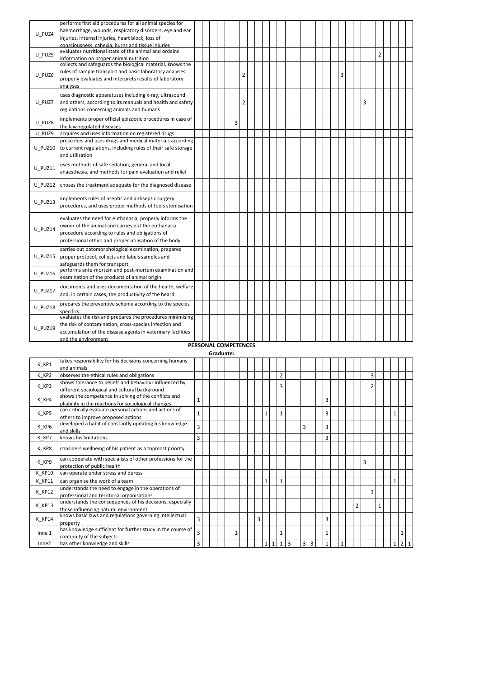|         | performs first aid procedures for all animal species for                                                   |                      |           |  |   |                |  |  |  |  |  |  |   |  |   |                |  |  |
|---------|------------------------------------------------------------------------------------------------------------|----------------------|-----------|--|---|----------------|--|--|--|--|--|--|---|--|---|----------------|--|--|
| U PUZ4  | haemorrhage, wounds, respiratory disorders, eye and ear                                                    |                      |           |  |   |                |  |  |  |  |  |  |   |  |   |                |  |  |
|         | injuries, internal injuries, heart block, loss of                                                          |                      |           |  |   |                |  |  |  |  |  |  |   |  |   |                |  |  |
|         | consciousness, cahexia, burns and tissue injuries<br>evaluates nutritional state of the animal and ordains |                      |           |  |   |                |  |  |  |  |  |  |   |  |   |                |  |  |
| U PUZ5  |                                                                                                            |                      |           |  |   |                |  |  |  |  |  |  |   |  |   | $\overline{2}$ |  |  |
|         | information on proper animal nutrition<br>collects and safeguards the biological material, knows the       |                      |           |  |   |                |  |  |  |  |  |  |   |  |   |                |  |  |
|         | rules of sample transport and basic laboratory analyses,                                                   |                      |           |  |   |                |  |  |  |  |  |  |   |  |   |                |  |  |
| U PUZ6  | properly evaluates and interprets results of laboratory                                                    |                      |           |  |   | $\overline{2}$ |  |  |  |  |  |  | 3 |  |   |                |  |  |
|         | analyses                                                                                                   |                      |           |  |   |                |  |  |  |  |  |  |   |  |   |                |  |  |
|         |                                                                                                            |                      |           |  |   |                |  |  |  |  |  |  |   |  |   |                |  |  |
|         | uses diagnostic apparatuses including x-ray, ultrasound                                                    |                      |           |  |   |                |  |  |  |  |  |  |   |  |   |                |  |  |
| U PUZ7  | and others, according to its manuals and health and safety                                                 |                      |           |  |   | 2              |  |  |  |  |  |  |   |  | 3 |                |  |  |
|         | regulations concerning animals and humans                                                                  |                      |           |  |   |                |  |  |  |  |  |  |   |  |   |                |  |  |
| U PUZ8  | implements proper official epizootic procedures in case of                                                 |                      |           |  | 3 |                |  |  |  |  |  |  |   |  |   |                |  |  |
|         | the law-regulated diseases                                                                                 |                      |           |  |   |                |  |  |  |  |  |  |   |  |   |                |  |  |
| U PUZ9  | acquires and uses information on registered drugs                                                          |                      |           |  |   |                |  |  |  |  |  |  |   |  |   |                |  |  |
|         | prescribes and uses drugs and medical materials according                                                  |                      |           |  |   |                |  |  |  |  |  |  |   |  |   |                |  |  |
| U PUZ10 | to current regulations, including rules of their safe storage                                              |                      |           |  |   |                |  |  |  |  |  |  |   |  |   |                |  |  |
|         | and utilisation                                                                                            |                      |           |  |   |                |  |  |  |  |  |  |   |  |   |                |  |  |
| U PUZ11 | uses methods of safe sedation, general and local                                                           |                      |           |  |   |                |  |  |  |  |  |  |   |  |   |                |  |  |
|         | anaesthesia, and methods for pain evaluation and relief                                                    |                      |           |  |   |                |  |  |  |  |  |  |   |  |   |                |  |  |
|         |                                                                                                            |                      |           |  |   |                |  |  |  |  |  |  |   |  |   |                |  |  |
| U PUZ12 | choses the treatment adequate for the diagnosed disease                                                    |                      |           |  |   |                |  |  |  |  |  |  |   |  |   |                |  |  |
|         | implements rules of aseptic and antiseptic surgery                                                         |                      |           |  |   |                |  |  |  |  |  |  |   |  |   |                |  |  |
| U PUZ13 | procedures, and uses proper methods of tools sterilisation                                                 |                      |           |  |   |                |  |  |  |  |  |  |   |  |   |                |  |  |
|         |                                                                                                            |                      |           |  |   |                |  |  |  |  |  |  |   |  |   |                |  |  |
|         | evaluates the need for euthanasia, properly informs the                                                    |                      |           |  |   |                |  |  |  |  |  |  |   |  |   |                |  |  |
| U PUZ14 | owner of the animal and carries out the euthanasia                                                         |                      |           |  |   |                |  |  |  |  |  |  |   |  |   |                |  |  |
|         | procedure according to rules and obligations of                                                            |                      |           |  |   |                |  |  |  |  |  |  |   |  |   |                |  |  |
|         | professional ethics and proper utilisation of the body                                                     |                      |           |  |   |                |  |  |  |  |  |  |   |  |   |                |  |  |
|         | carries out patomorphological examination, prepares                                                        |                      |           |  |   |                |  |  |  |  |  |  |   |  |   |                |  |  |
| U PUZ15 | proper protocol, collects and labels samples and                                                           |                      |           |  |   |                |  |  |  |  |  |  |   |  |   |                |  |  |
|         | safeguards them for transport                                                                              |                      |           |  |   |                |  |  |  |  |  |  |   |  |   |                |  |  |
| U PUZ16 | performs ante-mortem and post-mortem examination and                                                       |                      |           |  |   |                |  |  |  |  |  |  |   |  |   |                |  |  |
|         | examination of the products of animal origin                                                               |                      |           |  |   |                |  |  |  |  |  |  |   |  |   |                |  |  |
| U PUZ17 | documents and uses documentation of the health, welfare                                                    |                      |           |  |   |                |  |  |  |  |  |  |   |  |   |                |  |  |
|         | and, in certain cases, the productivity of the heard                                                       |                      |           |  |   |                |  |  |  |  |  |  |   |  |   |                |  |  |
|         | prepares the preventive scheme according to the species                                                    |                      |           |  |   |                |  |  |  |  |  |  |   |  |   |                |  |  |
| U PUZ18 | specifics                                                                                                  |                      |           |  |   |                |  |  |  |  |  |  |   |  |   |                |  |  |
|         | evaluates the risk and prepares the procedures minimising                                                  |                      |           |  |   |                |  |  |  |  |  |  |   |  |   |                |  |  |
| U PUZ19 | the risk of contamination, cross-species infection and                                                     |                      |           |  |   |                |  |  |  |  |  |  |   |  |   |                |  |  |
|         | accumulation of the disease agents in veterinary facilities                                                |                      |           |  |   |                |  |  |  |  |  |  |   |  |   |                |  |  |
|         | and the environment                                                                                        |                      |           |  |   |                |  |  |  |  |  |  |   |  |   |                |  |  |
|         |                                                                                                            | PERSONAL COMPETENCES |           |  |   |                |  |  |  |  |  |  |   |  |   |                |  |  |
|         |                                                                                                            |                      | Graduate: |  |   |                |  |  |  |  |  |  |   |  |   |                |  |  |
| K KP1   | takes responsibility for his decisions concerning humans<br>and animale                                    |                      |           |  |   |                |  |  |  |  |  |  |   |  |   |                |  |  |

| K_KP1  | takes responsibility for his decisions concerning humans    |   |  |  |              |  |   |   |              |                |   |   |                |   |              |   |   |                |              |   |                |
|--------|-------------------------------------------------------------|---|--|--|--------------|--|---|---|--------------|----------------|---|---|----------------|---|--------------|---|---|----------------|--------------|---|----------------|
|        | and animals                                                 |   |  |  |              |  |   |   |              |                |   |   |                |   |              |   |   |                |              |   |                |
| K_KP2  | observes the ethical rules and obligations                  |   |  |  |              |  |   |   |              | $\overline{2}$ |   |   |                |   |              |   |   | 3              |              |   |                |
| K KP3  | shows tolerance to beliefs and behaviour influenced by      |   |  |  |              |  |   |   |              | 3              |   |   |                |   |              |   |   | $\overline{2}$ |              |   |                |
|        | different sociological and cultural background              |   |  |  |              |  |   |   |              |                |   |   |                |   |              |   |   |                |              |   |                |
| K_KP4  | shows the competence in solving of the conflicts and        | 1 |  |  |              |  |   |   |              |                |   |   |                | 3 |              |   |   |                |              |   |                |
|        | pliability in the reactions for sociological changes        |   |  |  |              |  |   |   |              |                |   |   |                |   |              |   |   |                |              |   |                |
| K KP5  | can critically evaluate personal actions and actions of     | 1 |  |  |              |  |   | 1 |              | $\mathbf{1}$   |   |   |                | 3 |              |   |   |                |              |   |                |
|        | others to improve proposed actions                          |   |  |  |              |  |   |   |              |                |   |   |                |   |              |   |   |                |              |   |                |
| K KP6  | developed a habit of constantly updating his knowledge      | 3 |  |  |              |  |   |   |              |                |   | 3 |                | 3 |              |   |   |                |              |   |                |
|        | and skills                                                  |   |  |  |              |  |   |   |              |                |   |   |                |   |              |   |   |                |              |   |                |
| K KP7  | knows his limitations                                       | 3 |  |  |              |  |   |   |              |                |   |   |                | 3 |              |   |   |                |              |   |                |
| K KP8  | considers wellbeing of his patient as a topmost priority    |   |  |  |              |  |   |   |              |                |   |   |                |   |              |   |   |                |              |   |                |
|        |                                                             |   |  |  |              |  |   |   |              |                |   |   |                |   |              |   |   |                |              |   |                |
| K_KP9  | can cooperate with specialists of other professions for the |   |  |  |              |  |   |   |              |                |   |   |                |   |              |   | 3 |                |              |   |                |
|        | protection of public health                                 |   |  |  |              |  |   |   |              |                |   |   |                |   |              |   |   |                |              |   |                |
| K KP10 | can operate under stress and duress                         |   |  |  |              |  |   |   |              |                |   |   |                |   |              |   |   |                |              |   |                |
| K KP11 | can organise the work of a team                             |   |  |  |              |  |   | 1 |              | $\mathbf{1}$   |   |   |                |   |              |   |   |                |              | 1 |                |
| K KP12 | understands the need to engage in the operations of         |   |  |  |              |  |   |   |              |                |   |   |                |   |              |   |   | 3              |              |   |                |
|        | professional and territorial organisations                  |   |  |  |              |  |   |   |              |                |   |   |                |   |              |   |   |                |              |   |                |
| K KP13 | understands the consequences of his decisions, especially   |   |  |  |              |  |   |   |              |                |   |   |                |   |              | 2 |   |                | $\mathbf{1}$ |   |                |
|        | those influencing natural environment                       |   |  |  |              |  |   |   |              |                |   |   |                |   |              |   |   |                |              |   |                |
| K KP14 | knows basic laws and regulations governing intellectual     | 3 |  |  |              |  | 3 |   |              |                |   |   |                | 3 |              |   |   |                |              |   |                |
|        | property                                                    |   |  |  |              |  |   |   |              |                |   |   |                |   |              |   |   |                |              |   |                |
| Inne 1 | has knowledge sufficient for further study in the course of | 3 |  |  | $\mathbf{1}$ |  |   |   |              | 1              |   |   |                | 1 |              |   |   |                |              |   |                |
|        | continuity of the subjects                                  |   |  |  |              |  |   |   |              |                |   |   |                |   |              |   |   |                |              |   |                |
| Inne2  | has other knowledge and skills                              | 3 |  |  |              |  |   |   | $\mathbf{1}$ | 1              | 3 | 3 | $\overline{3}$ | 1 | $\mathbf{1}$ |   |   |                |              | 2 | $\overline{1}$ |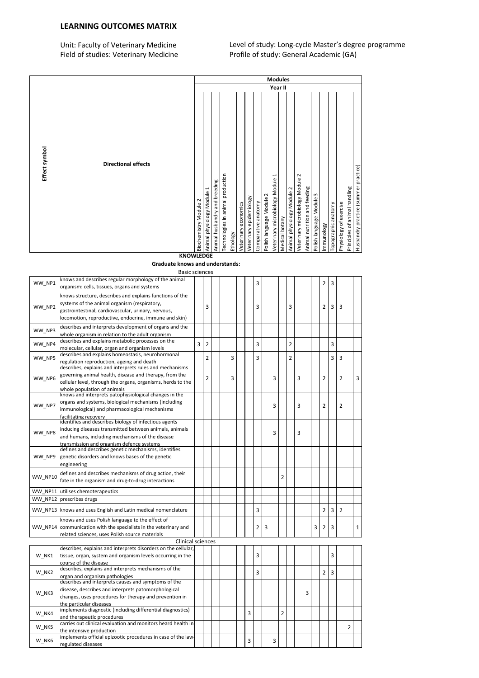### LEARNING OUTCOMES MATRIX

Unit: Faculty of Veterinary Medicine Level of study: Long-cycle Master's degree programme Field of studies: Veterinary Medicine Profile of study: General Academic (GA)

|                                                          |                                        | Effect symbol<br><b>Directional effects</b> |  |
|----------------------------------------------------------|----------------------------------------|---------------------------------------------|--|
|                                                          | Biochemistry Module 2                  |                                             |  |
|                                                          | Animal physiology Module 1             |                                             |  |
|                                                          |                                        |                                             |  |
| Animal husbandry and breeding                            |                                        |                                             |  |
| Technologies in animal production                        | Ethology                               |                                             |  |
|                                                          | Veterinary economics                   |                                             |  |
|                                                          | Veterinary epidemiology                |                                             |  |
|                                                          | Comparative anatomy                    |                                             |  |
|                                                          | Polish language Module 2               |                                             |  |
|                                                          |                                        | F                                           |  |
| Veterinary microbiology Module                           | Medical botany                         |                                             |  |
|                                                          | Animal physiology Module 2             |                                             |  |
| <b>Modules</b><br>Year II                                |                                        | $\sim$                                      |  |
| Veterinary microbiology Module                           |                                        |                                             |  |
| Animal nutrition and feeding                             | $\mathsf{m}$<br>Polish language Module |                                             |  |
|                                                          | Immunology                             |                                             |  |
|                                                          | Topographic anatomy                    |                                             |  |
|                                                          | Physiology of exercise                 |                                             |  |
|                                                          |                                        |                                             |  |
| Principles of animal handling                            |                                        |                                             |  |
| Husbandry practice (summer practice)<br><b>KNOWLEDGE</b> |                                        |                                             |  |

| Effect symbol | <b>Directional effects</b>                                                                                                                                                                                               | <b>Biochemistry Module</b> | Animal physiology Module | Animal husbandry and breeding | echnologies in animal production | Ethology | economics<br>Veterinary | epidemiology<br>eterinary | Comparative anatomy | Polish language Module | eterinary microbiology Module | Medical botany | Animal physiology Module 2 | $\sim$<br>$\mathbf{\underline{\omega}}$<br>/eterinary microbiology Modul | feeding<br>and<br>Animal nutrition | S<br>Module<br>Polish language | mmunology      | opographic anatomy | Physiology of exercise | Principles of animal handling | Husbandry practice (summer practice) |
|---------------|--------------------------------------------------------------------------------------------------------------------------------------------------------------------------------------------------------------------------|----------------------------|--------------------------|-------------------------------|----------------------------------|----------|-------------------------|---------------------------|---------------------|------------------------|-------------------------------|----------------|----------------------------|--------------------------------------------------------------------------|------------------------------------|--------------------------------|----------------|--------------------|------------------------|-------------------------------|--------------------------------------|
|               | <b>KNOWLEDGE</b>                                                                                                                                                                                                         |                            |                          |                               |                                  |          |                         |                           |                     |                        |                               |                |                            |                                                                          |                                    |                                |                |                    |                        |                               |                                      |
|               | <b>Graduate knows and understands:</b><br><b>Basic sciences</b>                                                                                                                                                          |                            |                          |                               |                                  |          |                         |                           |                     |                        |                               |                |                            |                                                                          |                                    |                                |                |                    |                        |                               |                                      |
| WW NP1        | knows and describes regular morphology of the animal                                                                                                                                                                     |                            |                          |                               |                                  |          |                         |                           | 3                   |                        |                               |                |                            |                                                                          |                                    |                                | 2              | 3                  |                        |                               |                                      |
|               | organism: cells, tissues, organs and systems                                                                                                                                                                             |                            |                          |                               |                                  |          |                         |                           |                     |                        |                               |                |                            |                                                                          |                                    |                                |                |                    |                        |                               |                                      |
| WW_NP2        | knows structure, describes and explains functions of the<br>systems of the animal organism (respiratory,<br>gastrointestinal, cardiovascular, urinary, nervous,<br>locomotion, reproductive, endocrine, immune and skin) |                            | 3                        |                               |                                  |          |                         |                           | 3                   |                        |                               |                | 3                          |                                                                          |                                    |                                | 2              | 3                  | 3                      |                               |                                      |
| WW_NP3        | describes and interprets development of organs and the<br>whole organism in relation to the adult organism                                                                                                               |                            |                          |                               |                                  |          |                         |                           |                     |                        |                               |                |                            |                                                                          |                                    |                                |                |                    |                        |                               |                                      |
| WW_NP4        | describes and explains metabolic processes on the<br>molecular, cellular, organ and organism levels<br>describes and explains homeostasis, neurohormonal                                                                 | 3                          | $\overline{2}$           |                               |                                  |          |                         |                           | 3                   |                        |                               |                | $\overline{2}$             |                                                                          |                                    |                                |                | 3                  |                        |                               |                                      |
| WW NP5        | regulation reproduction, ageing and death                                                                                                                                                                                |                            | $\overline{2}$           |                               |                                  | 3        |                         |                           | 3                   |                        |                               |                | $\overline{2}$             |                                                                          |                                    |                                |                | 3                  | 3                      |                               |                                      |
| WW NP6        | describes, explains and interprets rules and mechanisms<br>governing animal health, disease and therapy, from the<br>cellular level, through the organs, organisms, herds to the<br>whole population of animals          |                            | $\overline{2}$           |                               |                                  | 3        |                         |                           |                     |                        | 3                             |                |                            | 3                                                                        |                                    |                                | $\overline{2}$ |                    | $\overline{2}$         |                               | 3                                    |
| WW_NP7        | knows and interprets patophysiological changes in the<br>organs and systems, biological mechanisms (including<br>immunological) and pharmacological mechanisms<br>facilitating recovery                                  |                            |                          |                               |                                  |          |                         |                           |                     |                        | 3                             |                |                            | 3                                                                        |                                    |                                | $\overline{2}$ |                    | 2                      |                               |                                      |
| WW NP8        | identifies and describes biology of infectious agents<br>inducing diseases transmitted between animals, animals<br>and humans, including mechanisms of the disease<br>transmission and organism defence systems          |                            |                          |                               |                                  |          |                         |                           |                     |                        | 3                             |                |                            | 3                                                                        |                                    |                                |                |                    |                        |                               |                                      |
| WW NP9        | defines and describes genetic mechanisms, identifies<br>genetic disorders and knows bases of the genetic<br>engineering                                                                                                  |                            |                          |                               |                                  |          |                         |                           |                     |                        |                               |                |                            |                                                                          |                                    |                                |                |                    |                        |                               |                                      |
| WW_NP10       | defines and describes mechanisms of drug action, their<br>fate in the organism and drug-to-drug interactions                                                                                                             |                            |                          |                               |                                  |          |                         |                           |                     |                        |                               | 2              |                            |                                                                          |                                    |                                |                |                    |                        |                               |                                      |
| WW NP11       | utilises chemoterapeutics                                                                                                                                                                                                |                            |                          |                               |                                  |          |                         |                           |                     |                        |                               |                |                            |                                                                          |                                    |                                |                |                    |                        |                               |                                      |
|               | WW NP12 prescribes drugs                                                                                                                                                                                                 |                            |                          |                               |                                  |          |                         |                           |                     |                        |                               |                |                            |                                                                          |                                    |                                |                |                    |                        |                               |                                      |
|               | WW_NP13 knows and uses English and Latin medical nomenclature<br>knows and uses Polish language to the effect of                                                                                                         |                            |                          |                               |                                  |          |                         |                           | 3                   |                        |                               |                |                            |                                                                          |                                    |                                | 2              | 3                  | 2                      |                               |                                      |
|               | WW NP14 communication with the specialists in the veterinary and<br>related sciences, uses Polish source materials                                                                                                       |                            |                          |                               |                                  |          |                         |                           | $\overline{2}$      | 3                      |                               |                |                            |                                                                          |                                    | 3                              | 2              | 3                  |                        |                               | $\mathbf{1}$                         |
|               | Clinical sciences                                                                                                                                                                                                        |                            |                          |                               |                                  |          |                         |                           |                     |                        |                               |                |                            |                                                                          |                                    |                                |                |                    |                        |                               |                                      |
| W NK1         | describes, explains and interprets disorders on the cellular,<br>tissue, organ, system and organism levels occurring in the<br>course of the disease                                                                     |                            |                          |                               |                                  |          |                         |                           | 3                   |                        |                               |                |                            |                                                                          |                                    |                                |                | 3                  |                        |                               |                                      |
| W NK2         | describes, explains and interprets mechanisms of the<br>organ and organism pathologies                                                                                                                                   |                            |                          |                               |                                  |          |                         |                           | 3                   |                        |                               |                |                            |                                                                          |                                    |                                | $\overline{2}$ | 3                  |                        |                               |                                      |
| W_NK3         | describes and interprets causes and symptoms of the<br>disease, describes and interprets patomorphological<br>changes, uses procedures for therapy and prevention in<br>the particular diseases                          |                            |                          |                               |                                  |          |                         |                           |                     |                        |                               |                |                            |                                                                          | 3                                  |                                |                |                    |                        |                               |                                      |
| W NK4         | implements diagnostic (including differential diagnostics)<br>and therapeutic procedures                                                                                                                                 |                            |                          |                               |                                  |          |                         | 3                         |                     |                        |                               | $\overline{2}$ |                            |                                                                          |                                    |                                |                |                    |                        |                               |                                      |
| W NK5         | carries out clinical evaluation and monitors heard health in<br>the intensive production                                                                                                                                 |                            |                          |                               |                                  |          |                         |                           |                     |                        |                               |                |                            |                                                                          |                                    |                                |                |                    |                        | 2                             |                                      |
| W NK6         | implements official epizootic procedures in case of the law-<br>regulated diseases                                                                                                                                       |                            |                          |                               |                                  |          |                         | 3                         |                     |                        | 3                             |                |                            |                                                                          |                                    |                                |                |                    |                        |                               |                                      |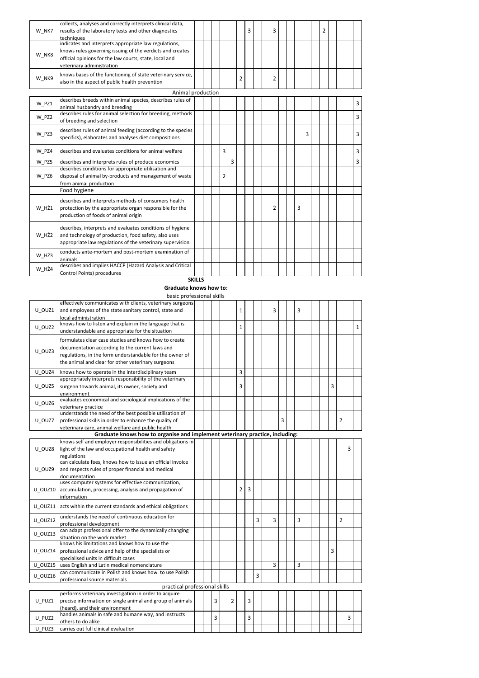| W NK7 | collects, analyses and correctly interprets clinical data,<br>results of the laboratory tests and other diagnostics<br>techniques                                                                         |  |   |   |   | 3 |  | 3 |  |   |   | 2 |  |   |
|-------|-----------------------------------------------------------------------------------------------------------------------------------------------------------------------------------------------------------|--|---|---|---|---|--|---|--|---|---|---|--|---|
| W NK8 | indicates and interprets appropriate law regulations,<br>knows rules governing issuing of the verdicts and creates<br>official opinions for the law courts, state, local and<br>veterinary administration |  |   |   |   |   |  |   |  |   |   |   |  |   |
| W NK9 | knows bases of the functioning of state veterinary service,<br>also in the aspect of public health prevention                                                                                             |  |   |   | 2 |   |  | 2 |  |   |   |   |  |   |
|       | Animal production                                                                                                                                                                                         |  |   |   |   |   |  |   |  |   |   |   |  |   |
| W PZ1 | describes breeds within animal species, describes rules of<br>animal husbandry and breeding                                                                                                               |  |   |   |   |   |  |   |  |   |   |   |  | 3 |
| W PZ2 | describes rules for animal selection for breeding, methods<br>of breeding and selection                                                                                                                   |  |   |   |   |   |  |   |  |   |   |   |  | 3 |
| W PZ3 | describes rules of animal feeding (according to the species<br>specifics), elaborates and analyses diet compositions                                                                                      |  |   |   |   |   |  |   |  |   | 3 |   |  | 3 |
| W PZ4 | describes and evaluates conditions for animal welfare                                                                                                                                                     |  | 3 |   |   |   |  |   |  |   |   |   |  | 3 |
| W PZ5 | describes and interprets rules of produce economics                                                                                                                                                       |  |   | 3 |   |   |  |   |  |   |   |   |  | 3 |
| W PZ6 | describes conditions for appropriate utilisation and<br>disposal of animal by-products and management of waste<br>from animal production                                                                  |  | 2 |   |   |   |  |   |  |   |   |   |  |   |
|       | Food hygiene                                                                                                                                                                                              |  |   |   |   |   |  |   |  |   |   |   |  |   |
| W HŻ1 | describes and interprets methods of consumers health<br>protection by the appropriate organ responsible for the<br>production of foods of animal origin                                                   |  |   |   |   |   |  | 2 |  | 3 |   |   |  |   |
| W HŻ2 | describes, interprets and evaluates conditions of hygiene<br>and technology of production, food safety, also uses<br>appropriate law regulations of the veterinary supervision                            |  |   |   |   |   |  |   |  |   |   |   |  |   |
| W HŻ3 | conducts ante-mortem and post-mortem examination of<br>animals                                                                                                                                            |  |   |   |   |   |  |   |  |   |   |   |  |   |
| W HŻ4 | describes and implies HACCP (Hazard Analysis and Critical<br>Control Points) procedures                                                                                                                   |  |   |   |   |   |  |   |  |   |   |   |  |   |

#### **SKILLS**

### Graduate knows how to:

basic professional skills

|         | effectively communicates with clients, veterinary surgeons                   |  |   |                |              |   |   |   |   |                |  |   |                |   |              |
|---------|------------------------------------------------------------------------------|--|---|----------------|--------------|---|---|---|---|----------------|--|---|----------------|---|--------------|
| U OUZ1  | and employees of the state sanitary control, state and                       |  |   |                | 1            |   |   | 3 |   | 3              |  |   |                |   |              |
|         | local administration                                                         |  |   |                |              |   |   |   |   |                |  |   |                |   |              |
| U OUZ2  | knows how to listen and explain in the language that is                      |  |   |                | $\mathbf{1}$ |   |   |   |   |                |  |   |                |   | $\mathbf{1}$ |
|         | understandable and appropriate for the situation                             |  |   |                |              |   |   |   |   |                |  |   |                |   |              |
|         | formulates clear case studies and knows how to create                        |  |   |                |              |   |   |   |   |                |  |   |                |   |              |
|         | documentation according to the current laws and                              |  |   |                |              |   |   |   |   |                |  |   |                |   |              |
| U OUZ3  | regulations, in the form understandable for the owner of                     |  |   |                |              |   |   |   |   |                |  |   |                |   |              |
|         | the animal and clear for other veterinary surgeons                           |  |   |                |              |   |   |   |   |                |  |   |                |   |              |
|         |                                                                              |  |   |                |              |   |   |   |   |                |  |   |                |   |              |
| U OUZ4  | knows how to operate in the interdisciplinary team                           |  |   |                | 3            |   |   |   |   |                |  |   |                |   |              |
|         | appropriately interprets responsibility of the veterinary                    |  |   |                |              |   |   |   |   |                |  |   |                |   |              |
| U OUZ5  | surgeon towards animal, its owner, society and                               |  |   |                | 3            |   |   |   |   |                |  | 3 |                |   |              |
|         | environment                                                                  |  |   |                |              |   |   |   |   |                |  |   |                |   |              |
| U OUZ6  | evaluates economical and sociological implications of the                    |  |   |                |              |   |   |   |   |                |  |   |                |   |              |
|         | veterinary practice                                                          |  |   |                |              |   |   |   |   |                |  |   |                |   |              |
|         | understands the need of the best possible utilisation of                     |  |   |                |              |   |   |   |   |                |  |   |                |   |              |
| U OUZ7  | professional skills in order to enhance the quality of                       |  |   |                |              |   |   |   | 3 |                |  |   | $\overline{2}$ |   |              |
|         | veterinary care, animal welfare and public health                            |  |   |                |              |   |   |   |   |                |  |   |                |   |              |
|         | Graduate knows how to organise and implement veterinary practice, including: |  |   |                |              |   |   |   |   |                |  |   |                |   |              |
|         | knows self and employer responsibilities and obligations in                  |  |   |                |              |   |   |   |   |                |  |   |                |   |              |
| U OUZ8  | light of the law and occupational health and safety                          |  |   |                |              |   |   |   |   |                |  |   |                | 3 |              |
|         | regulations                                                                  |  |   |                |              |   |   |   |   |                |  |   |                |   |              |
|         | can calculate fees, knows how to issue an official invoice                   |  |   |                |              |   |   |   |   |                |  |   |                |   |              |
| U OUZ9  | and respects rules of proper financial and medical                           |  |   |                |              |   |   |   |   |                |  |   |                |   |              |
|         | documentation                                                                |  |   |                |              |   |   |   |   |                |  |   |                |   |              |
|         | uses computer systems for effective communication,                           |  |   |                |              |   |   |   |   |                |  |   |                |   |              |
| U OUZ10 | accumulation, processing, analysis and propagation of                        |  |   |                | 2            | 3 |   |   |   |                |  |   |                |   |              |
|         | information                                                                  |  |   |                |              |   |   |   |   |                |  |   |                |   |              |
| U OUZ11 | acts within the current standards and ethical obligations                    |  |   |                |              |   |   |   |   |                |  |   |                |   |              |
| U OUZ12 | understands the need of continuous education for                             |  |   |                |              |   | 3 | 3 |   | $\overline{3}$ |  |   | $\overline{2}$ |   |              |
|         | professional development                                                     |  |   |                |              |   |   |   |   |                |  |   |                |   |              |
| U OUZ13 | can adapt professional offer to the dynamically changing                     |  |   |                |              |   |   |   |   |                |  |   |                |   |              |
|         | situation on the work market                                                 |  |   |                |              |   |   |   |   |                |  |   |                |   |              |
|         | knows his limitations and knows how to use the                               |  |   |                |              |   |   |   |   |                |  |   |                |   |              |
| U OUZ14 | professional advice and help of the specialists or                           |  |   |                |              |   |   |   |   |                |  | 3 |                |   |              |
|         | specialised units in difficult cases                                         |  |   |                |              |   |   |   |   |                |  |   |                |   |              |
| U OUZ15 | uses English and Latin medical nomenclature                                  |  |   |                |              |   |   | 3 |   | 3              |  |   |                |   |              |
|         | can communicate in Polish and knows how to use Polish                        |  |   |                |              |   |   |   |   |                |  |   |                |   |              |
| U OUZ16 | professional source materials                                                |  |   |                |              |   | 3 |   |   |                |  |   |                |   |              |
|         | practical professional skills                                                |  |   |                |              |   |   |   |   |                |  |   |                |   |              |
|         | performs veterinary investigation in order to acquire                        |  |   |                |              |   |   |   |   |                |  |   |                |   |              |
| U PUZ1  | precise information on single animal and group of animals                    |  | 3 | $\overline{2}$ |              | 3 |   |   |   |                |  |   |                |   |              |
|         | (heard), and their environment                                               |  |   |                |              |   |   |   |   |                |  |   |                |   |              |
|         | handles animals in safe and humane way, and instructs                        |  |   |                |              |   |   |   |   |                |  |   |                |   |              |
| U PUZ2  | others to do alike                                                           |  | 3 |                |              | 3 |   |   |   |                |  |   |                | 3 |              |
| U PUZ3  | carries out full clinical evaluation                                         |  |   |                |              |   |   |   |   |                |  |   |                |   |              |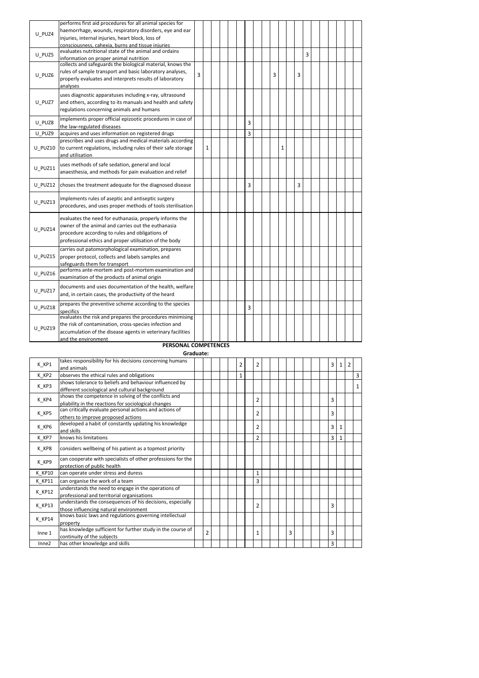| U PUZ4  | performs first aid procedures for all animal species for<br>haemorrhage, wounds, respiratory disorders, eye and ear<br>injuries, internal injuries, heart block, loss of<br>consciousness, cahexia, burns and tissue injuries |   |   |  |  |   |  |   |   |   |   |  |  |  |
|---------|-------------------------------------------------------------------------------------------------------------------------------------------------------------------------------------------------------------------------------|---|---|--|--|---|--|---|---|---|---|--|--|--|
| U PUZ5  | evaluates nutritional state of the animal and ordains<br>information on proper animal nutrition                                                                                                                               |   |   |  |  |   |  |   |   |   | 3 |  |  |  |
| U PUZ6  | collects and safeguards the biological material, knows the<br>rules of sample transport and basic laboratory analyses,<br>properly evaluates and interprets results of laboratory<br>analyses                                 | 3 |   |  |  |   |  | 3 |   | 3 |   |  |  |  |
| U PUZ7  | uses diagnostic apparatuses including x-ray, ultrasound<br>and others, according to its manuals and health and safety<br>regulations concerning animals and humans                                                            |   |   |  |  |   |  |   |   |   |   |  |  |  |
| U PUZ8  | implements proper official epizootic procedures in case of<br>the law-regulated diseases                                                                                                                                      |   |   |  |  | 3 |  |   |   |   |   |  |  |  |
| U PUZ9  | acquires and uses information on registered drugs                                                                                                                                                                             |   |   |  |  | 3 |  |   |   |   |   |  |  |  |
| U PUZ10 | prescribes and uses drugs and medical materials according<br>to current regulations, including rules of their safe storage<br>and utilisation                                                                                 |   | 1 |  |  |   |  |   | 1 |   |   |  |  |  |
| U PUZ11 | uses methods of safe sedation, general and local<br>anaesthesia, and methods for pain evaluation and relief                                                                                                                   |   |   |  |  |   |  |   |   |   |   |  |  |  |
| U PUZ12 | choses the treatment adequate for the diagnosed disease                                                                                                                                                                       |   |   |  |  | 3 |  |   |   | 3 |   |  |  |  |
| U PUZ13 | implements rules of aseptic and antiseptic surgery<br>procedures, and uses proper methods of tools sterilisation                                                                                                              |   |   |  |  |   |  |   |   |   |   |  |  |  |
| U PUZ14 | evaluates the need for euthanasia, properly informs the<br>owner of the animal and carries out the euthanasia<br>procedure according to rules and obligations of<br>professional ethics and proper utilisation of the body    |   |   |  |  |   |  |   |   |   |   |  |  |  |
| U PUZ15 | carries out patomorphological examination, prepares<br>proper protocol, collects and labels samples and<br>safeguards them for transport                                                                                      |   |   |  |  |   |  |   |   |   |   |  |  |  |
| U PUZ16 | performs ante-mortem and post-mortem examination and<br>examination of the products of animal origin                                                                                                                          |   |   |  |  |   |  |   |   |   |   |  |  |  |
| U PUZ17 | documents and uses documentation of the health, welfare<br>and, in certain cases, the productivity of the heard                                                                                                               |   |   |  |  |   |  |   |   |   |   |  |  |  |
| U PUZ18 | prepares the preventive scheme according to the species<br>specifics                                                                                                                                                          |   |   |  |  | 3 |  |   |   |   |   |  |  |  |
| U PUZ19 | evaluates the risk and prepares the procedures minimising<br>the risk of contamination, cross-species infection and<br>accumulation of the disease agents in veterinary facilities<br>and the environment                     |   |   |  |  |   |  |   |   |   |   |  |  |  |

#### Graduate: PERSONAL COMPETENCES

| K KP1  | takes responsibility for his decisions concerning humans    |                |  | 2            | $\overline{2}$ |  |   |  |  | 3              | 1 | 2 |   |
|--------|-------------------------------------------------------------|----------------|--|--------------|----------------|--|---|--|--|----------------|---|---|---|
|        | and animals                                                 |                |  |              |                |  |   |  |  |                |   |   |   |
| K KP2  | observes the ethical rules and obligations                  |                |  | $\mathbf{1}$ |                |  |   |  |  |                |   |   | 3 |
| K KP3  | shows tolerance to beliefs and behaviour influenced by      |                |  |              |                |  |   |  |  |                |   |   |   |
|        | different sociological and cultural background              |                |  |              |                |  |   |  |  |                |   |   |   |
| K KP4  | shows the competence in solving of the conflicts and        |                |  |              | $\overline{2}$ |  |   |  |  | 3              |   |   |   |
|        | pliability in the reactions for sociological changes        |                |  |              |                |  |   |  |  |                |   |   |   |
| K KP5  | can critically evaluate personal actions and actions of     |                |  |              | 2              |  |   |  |  | 3              |   |   |   |
|        | others to improve proposed actions                          |                |  |              |                |  |   |  |  |                |   |   |   |
| K KP6  | developed a habit of constantly updating his knowledge      |                |  |              | $\overline{2}$ |  |   |  |  | 3              | 1 |   |   |
|        | and skills                                                  |                |  |              |                |  |   |  |  |                |   |   |   |
| K KP7  | knows his limitations                                       |                |  |              | $\overline{2}$ |  |   |  |  | $\overline{3}$ | 1 |   |   |
| K KP8  | considers wellbeing of his patient as a topmost priority    |                |  |              |                |  |   |  |  |                |   |   |   |
|        | can cooperate with specialists of other professions for the |                |  |              |                |  |   |  |  |                |   |   |   |
| K KP9  | protection of public health                                 |                |  |              |                |  |   |  |  |                |   |   |   |
| K KP10 | can operate under stress and duress                         |                |  |              | $\mathbf{1}$   |  |   |  |  |                |   |   |   |
| K KP11 | can organise the work of a team                             |                |  |              | 3              |  |   |  |  |                |   |   |   |
|        | understands the need to engage in the operations of         |                |  |              |                |  |   |  |  |                |   |   |   |
| K KP12 | professional and territorial organisations                  |                |  |              |                |  |   |  |  |                |   |   |   |
| K KP13 | understands the consequences of his decisions, especially   |                |  |              | $\overline{2}$ |  |   |  |  | 3              |   |   |   |
|        | those influencing natural environment                       |                |  |              |                |  |   |  |  |                |   |   |   |
| K KP14 | knows basic laws and regulations governing intellectual     |                |  |              |                |  |   |  |  |                |   |   |   |
|        | property                                                    |                |  |              |                |  |   |  |  |                |   |   |   |
| Inne 1 | has knowledge sufficient for further study in the course of | $\overline{2}$ |  |              | $\mathbf{1}$   |  | 3 |  |  | 3              |   |   |   |
|        | continuity of the subjects                                  |                |  |              |                |  |   |  |  |                |   |   |   |
| Inne2  | has other knowledge and skills                              |                |  |              |                |  |   |  |  | 3              |   |   |   |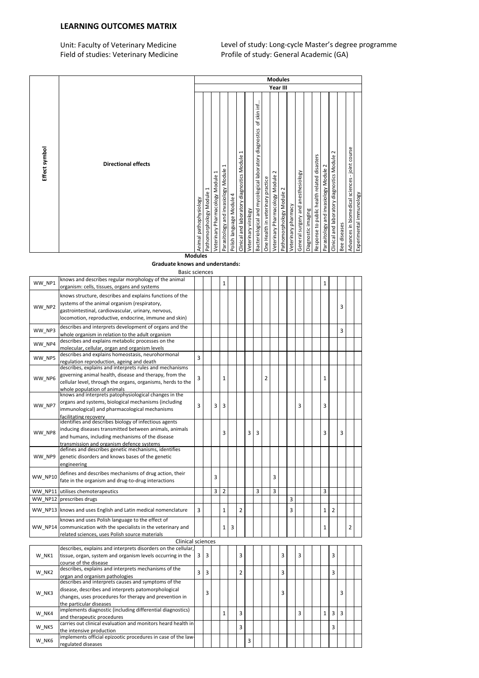### LEARNING OUTCOMES MATRIX

Unit: Faculty of Veterinary Medicine Level of study: Long-cycle Master's degree programme Field of studies: Veterinary Medicine Profile of study: General Academic (GA)

| Effect symbol                                                           |                |
|-------------------------------------------------------------------------|----------------|
| <b>Directional effects</b>                                              |                |
| Animal pathophysiology                                                  |                |
| $\mathbf{\mathbf{f}}$<br>Pathomorphology Module                         |                |
| ſ<br>Veterinary Pharmacology Module                                     |                |
| I<br>Parasitology and invasiology Module                                |                |
| Polish language Module 4                                                |                |
| $\mathbf{\mathbf{t}}$<br>Clinical and laboratory diagnostics Module     |                |
| Veterinary virology                                                     |                |
| skin inf<br>Ⴆ<br>Bacteriological and mycological laboratory diagnostics |                |
| One Health in veterinary practice                                       |                |
| Year III<br>$\sim$<br>Veterinary Pharmacology Module                    |                |
| $\sim$<br>Pathomorphology Module                                        | <b>Modules</b> |
| Veterinary pharmacy                                                     |                |
| General surgery and anesthesiology                                      |                |
| Diagnostic imaging                                                      |                |
| Response to public health related disasters                             |                |
| Parasitology and invasiology Module                                     |                |
| $\sim$<br>Clinical and laboratory diagnostics Module                    |                |
| Bee diseases                                                            |                |
| biomedical sciences - joint course<br>Advances in                       |                |
| Experimental immunology                                                 |                |

Graduate knows and understands: Modules

|                | <b>Basic sciences</b>                                                                                                                                                                                                    |   |   |   |                |   |                |   |   |   |                |   |   |   |  |                |                |                |   |  |
|----------------|--------------------------------------------------------------------------------------------------------------------------------------------------------------------------------------------------------------------------|---|---|---|----------------|---|----------------|---|---|---|----------------|---|---|---|--|----------------|----------------|----------------|---|--|
| WW NP1         | knows and describes regular morphology of the animal<br>organism: cells, tissues, organs and systems                                                                                                                     |   |   |   | 1              |   |                |   |   |   |                |   |   |   |  | $\mathbf{1}$   |                |                |   |  |
| WW NP2         | knows structure, describes and explains functions of the<br>systems of the animal organism (respiratory,<br>gastrointestinal, cardiovascular, urinary, nervous,<br>locomotion, reproductive, endocrine, immune and skin) |   |   |   |                |   |                |   |   |   |                |   |   |   |  |                |                | 3              |   |  |
| WW NP3         | describes and interprets development of organs and the<br>whole organism in relation to the adult organism                                                                                                               |   |   |   |                |   |                |   |   |   |                |   |   |   |  |                |                | 3              |   |  |
| WW NP4         | describes and explains metabolic processes on the<br>molecular, cellular, organ and organism levels                                                                                                                      |   |   |   |                |   |                |   |   |   |                |   |   |   |  |                |                |                |   |  |
| WW NP5         | describes and explains homeostasis, neurohormonal<br>regulation reproduction, ageing and death                                                                                                                           | 3 |   |   |                |   |                |   |   |   |                |   |   |   |  |                |                |                |   |  |
| WW NP6         | describes, explains and interprets rules and mechanisms<br>governing animal health, disease and therapy, from the<br>cellular level, through the organs, organisms, herds to the<br>whole population of animals          | 3 |   |   | 1              |   |                |   |   | 2 |                |   |   |   |  | 1              |                |                |   |  |
| WW NP7         | knows and interprets patophysiological changes in the<br>organs and systems, biological mechanisms (including<br>immunological) and pharmacological mechanisms<br>facilitating recoverv                                  | 3 |   | 3 | 3              |   |                |   |   |   |                |   |   | 3 |  | 3              |                |                |   |  |
| WW NP8         | identifies and describes biology of infectious agents<br>inducing diseases transmitted between animals, animals<br>and humans, including mechanisms of the disease<br>transmission and organism defence systems          |   |   |   | 3              |   |                | 3 | 3 |   |                |   |   |   |  | 3              |                | 3              |   |  |
| WW NP9         | defines and describes genetic mechanisms, identifies<br>genetic disorders and knows bases of the genetic<br>engineering                                                                                                  |   |   |   |                |   |                |   |   |   |                |   |   |   |  |                |                |                |   |  |
| WW NP10        | defines and describes mechanisms of drug action, their<br>fate in the organism and drug-to-drug interactions                                                                                                             |   |   | 3 |                |   |                |   |   |   | 3              |   |   |   |  |                |                |                |   |  |
| WW NP11        | utilises chemoterapeutics                                                                                                                                                                                                |   |   | 3 | $\overline{2}$ |   |                |   | 3 |   | $\overline{3}$ |   |   |   |  | $\overline{3}$ |                |                |   |  |
| <b>WW NP12</b> | prescribes drugs                                                                                                                                                                                                         |   |   |   |                |   |                |   |   |   |                |   | 3 |   |  |                |                |                |   |  |
|                | WW NP13 knows and uses English and Latin medical nomenclature                                                                                                                                                            | 3 |   |   | $\mathbf{1}$   |   | $\overline{2}$ |   |   |   |                |   | 3 |   |  | $\mathbf{1}$   | $\overline{2}$ |                |   |  |
|                | knows and uses Polish language to the effect of<br>WW NP14 communication with the specialists in the veterinary and<br>related sciences, uses Polish source materials                                                    |   |   |   | $\mathbf{1}$   | 3 |                |   |   |   |                |   |   |   |  | $\mathbf{1}$   |                |                | 2 |  |
|                | <b>Clinical sciences</b>                                                                                                                                                                                                 |   |   |   |                |   |                |   |   |   |                |   |   |   |  |                |                |                |   |  |
| W NK1          | describes, explains and interprets disorders on the cellular,<br>tissue, organ, system and organism levels occurring in the<br>course of the disease                                                                     | 3 | 3 |   |                |   | 3              |   |   |   |                | 3 |   | 3 |  |                | 3              |                |   |  |
| W NK2          | describes, explains and interprets mechanisms of the<br>organ and organism pathologies                                                                                                                                   | 3 | 3 |   |                |   | $\overline{2}$ |   |   |   |                | 3 |   |   |  |                | 3              |                |   |  |
| W NK3          | describes and interprets causes and symptoms of the<br>disease, describes and interprets patomorphological<br>changes, uses procedures for therapy and prevention in<br>the particular diseases                          |   | 3 |   |                |   |                |   |   |   |                | 3 |   |   |  |                |                | 3              |   |  |
| W NK4          | implements diagnostic (including differential diagnostics)<br>and therapeutic procedures                                                                                                                                 |   |   |   | $\mathbf{1}$   |   | $\overline{3}$ |   |   |   |                |   |   | 3 |  | $\mathbf{1}$   | $\overline{3}$ | $\overline{3}$ |   |  |
| W NK5          | carries out clinical evaluation and monitors heard health in<br>the intensive production                                                                                                                                 |   |   |   |                |   | 3              |   |   |   |                |   |   |   |  |                | $\overline{3}$ |                |   |  |
| W_NK6          | implements official epizootic procedures in case of the law-<br>regulated diseases                                                                                                                                       |   |   |   |                |   |                | 3 |   |   |                |   |   |   |  |                |                |                |   |  |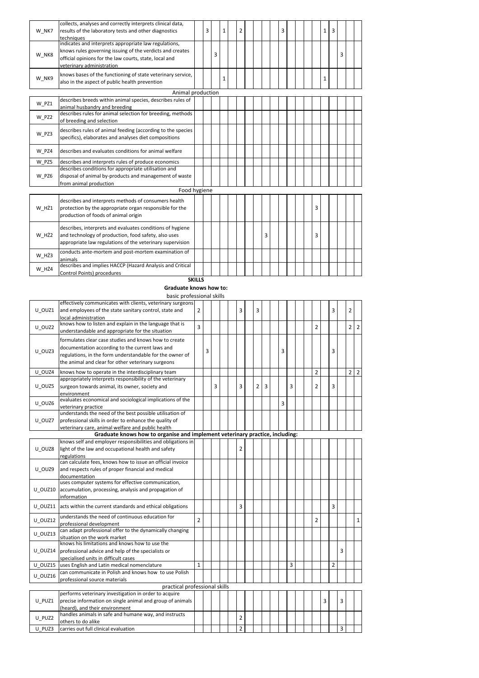|       | collects, analyses and correctly interprets clinical data,           |   |   |              |   |  |   |   |  |   |   |   |   |  |
|-------|----------------------------------------------------------------------|---|---|--------------|---|--|---|---|--|---|---|---|---|--|
| W NK7 | results of the laboratory tests and other diagnostics                | 3 |   | $\mathbf{1}$ | 2 |  |   | 3 |  |   | 1 | 3 |   |  |
|       | techniques                                                           |   |   |              |   |  |   |   |  |   |   |   |   |  |
|       | indicates and interprets appropriate law regulations,                |   |   |              |   |  |   |   |  |   |   |   |   |  |
|       | knows rules governing issuing of the verdicts and creates            |   |   |              |   |  |   |   |  |   |   |   |   |  |
| W NK8 | official opinions for the law courts, state, local and               |   | 3 |              |   |  |   |   |  |   |   |   | 3 |  |
|       | veterinary administration                                            |   |   |              |   |  |   |   |  |   |   |   |   |  |
|       | knows bases of the functioning of state veterinary service,          |   |   |              |   |  |   |   |  |   |   |   |   |  |
| W NK9 | also in the aspect of public health prevention                       |   |   | 1            |   |  |   |   |  |   | 1 |   |   |  |
|       |                                                                      |   |   |              |   |  |   |   |  |   |   |   |   |  |
|       | Animal production                                                    |   |   |              |   |  |   |   |  |   |   |   |   |  |
| W PZ1 | describes breeds within animal species, describes rules of           |   |   |              |   |  |   |   |  |   |   |   |   |  |
|       | animal husbandry and breeding                                        |   |   |              |   |  |   |   |  |   |   |   |   |  |
| W PZ2 | describes rules for animal selection for breeding, methods           |   |   |              |   |  |   |   |  |   |   |   |   |  |
|       | of breeding and selection                                            |   |   |              |   |  |   |   |  |   |   |   |   |  |
|       | describes rules of animal feeding (according to the species          |   |   |              |   |  |   |   |  |   |   |   |   |  |
| W PZ3 | specifics), elaborates and analyses diet compositions                |   |   |              |   |  |   |   |  |   |   |   |   |  |
|       |                                                                      |   |   |              |   |  |   |   |  |   |   |   |   |  |
| W PZ4 | describes and evaluates conditions for animal welfare                |   |   |              |   |  |   |   |  |   |   |   |   |  |
| W PZ5 | describes and interprets rules of produce economics                  |   |   |              |   |  |   |   |  |   |   |   |   |  |
|       | describes conditions for appropriate utilisation and                 |   |   |              |   |  |   |   |  |   |   |   |   |  |
| W PZ6 | disposal of animal by-products and management of waste               |   |   |              |   |  |   |   |  |   |   |   |   |  |
|       | from animal production                                               |   |   |              |   |  |   |   |  |   |   |   |   |  |
|       | Food hygiene                                                         |   |   |              |   |  |   |   |  |   |   |   |   |  |
|       | describes and interprets methods of consumers health                 |   |   |              |   |  |   |   |  |   |   |   |   |  |
|       |                                                                      |   |   |              |   |  |   |   |  | 3 |   |   |   |  |
| W HŻ1 | protection by the appropriate organ responsible for the              |   |   |              |   |  |   |   |  |   |   |   |   |  |
|       | production of foods of animal origin                                 |   |   |              |   |  |   |   |  |   |   |   |   |  |
|       | describes, interprets and evaluates conditions of hygiene            |   |   |              |   |  |   |   |  |   |   |   |   |  |
| W HŻ2 | and technology of production, food safety, also uses                 |   |   |              |   |  | 3 |   |  | 3 |   |   |   |  |
|       | appropriate law regulations of the veterinary supervision            |   |   |              |   |  |   |   |  |   |   |   |   |  |
|       |                                                                      |   |   |              |   |  |   |   |  |   |   |   |   |  |
| W HŻ3 | conducts ante-mortem and post-mortem examination of                  |   |   |              |   |  |   |   |  |   |   |   |   |  |
|       | animals<br>describes and implies HACCP (Hazard Analysis and Critical |   |   |              |   |  |   |   |  |   |   |   |   |  |
| W HŻ4 | Control Points) procedures                                           |   |   |              |   |  |   |   |  |   |   |   |   |  |
|       |                                                                      |   |   |              |   |  |   |   |  |   |   |   |   |  |

**SKILLS** 

### Graduate knows how to:

basic professional skills

| U OUZ1  | effectively communicates with clients, veterinary surgeons<br>and employees of the state sanitary control, state and                                                                                                       | $\overline{2}$ |   |   |  | 3              | 3              |   |   |   |  |                |   | 3              |   | $\overline{2}$ |                |
|---------|----------------------------------------------------------------------------------------------------------------------------------------------------------------------------------------------------------------------------|----------------|---|---|--|----------------|----------------|---|---|---|--|----------------|---|----------------|---|----------------|----------------|
|         | local administration                                                                                                                                                                                                       |                |   |   |  |                |                |   |   |   |  |                |   |                |   |                |                |
| U OUZ2  | knows how to listen and explain in the language that is<br>understandable and appropriate for the situation                                                                                                                | $\overline{3}$ |   |   |  |                |                |   |   |   |  | $\overline{2}$ |   |                |   | $\overline{2}$ | 2              |
| U OUZ3  | formulates clear case studies and knows how to create<br>documentation according to the current laws and<br>regulations, in the form understandable for the owner of<br>the animal and clear for other veterinary surgeons |                | 3 |   |  |                |                |   | 3 |   |  |                |   | 3              |   |                |                |
| U OUZ4  | knows how to operate in the interdisciplinary team                                                                                                                                                                         |                |   |   |  |                |                |   |   |   |  | $\overline{2}$ |   |                |   | $\overline{2}$ | $\overline{2}$ |
| U OUZ5  | appropriately interprets responsibility of the veterinary<br>surgeon towards animal, its owner, society and<br>environment                                                                                                 |                |   | 3 |  | 3              | $\overline{2}$ | 3 |   | 3 |  | $\overline{2}$ |   | 3              |   |                |                |
| U OUZ6  | evaluates economical and sociological implications of the<br>veterinary practice                                                                                                                                           |                |   |   |  |                |                |   | 3 |   |  |                |   |                |   |                |                |
| U OUZ7  | understands the need of the best possible utilisation of<br>professional skills in order to enhance the quality of<br>veterinary care, animal welfare and public health                                                    |                |   |   |  |                |                |   |   |   |  |                |   |                |   |                |                |
|         | Graduate knows how to organise and implement veterinary practice, including:                                                                                                                                               |                |   |   |  |                |                |   |   |   |  |                |   |                |   |                |                |
| U OUZ8  | knows self and employer responsibilities and obligations in<br>light of the law and occupational health and safety                                                                                                         |                |   |   |  | $\overline{2}$ |                |   |   |   |  |                |   |                |   |                |                |
|         | regulations<br>can calculate fees, knows how to issue an official invoice                                                                                                                                                  |                |   |   |  |                |                |   |   |   |  |                |   |                |   |                |                |
| U OUZ9  | and respects rules of proper financial and medical<br>documentation                                                                                                                                                        |                |   |   |  |                |                |   |   |   |  |                |   |                |   |                |                |
| U OUZ10 | uses computer systems for effective communication,<br>accumulation, processing, analysis and propagation of<br>information                                                                                                 |                |   |   |  |                |                |   |   |   |  |                |   |                |   |                |                |
| U OUZ11 | acts within the current standards and ethical obligations                                                                                                                                                                  |                |   |   |  | 3              |                |   |   |   |  |                |   | 3              |   |                |                |
| U OUZ12 | understands the need of continuous education for<br>professional development                                                                                                                                               | $\overline{2}$ |   |   |  |                |                |   |   |   |  | $\overline{2}$ |   |                |   |                | $\mathbf{1}$   |
| U OUZ13 | can adapt professional offer to the dynamically changing<br>situation on the work market                                                                                                                                   |                |   |   |  |                |                |   |   |   |  |                |   |                |   |                |                |
| U OUZ14 | knows his limitations and knows how to use the<br>professional advice and help of the specialists or<br>specialised units in difficult cases                                                                               |                |   |   |  |                |                |   |   |   |  |                |   |                | 3 |                |                |
| U OUZ15 | uses English and Latin medical nomenclature                                                                                                                                                                                | $\mathbf{1}$   |   |   |  |                |                |   |   | 3 |  |                |   | $\overline{2}$ |   |                |                |
| U OUZ16 | can communicate in Polish and knows how to use Polish<br>professional source materials                                                                                                                                     |                |   |   |  |                |                |   |   |   |  |                |   |                |   |                |                |
|         | practical professional skills                                                                                                                                                                                              |                |   |   |  |                |                |   |   |   |  |                |   |                |   |                |                |
| U PUZ1  | performs veterinary investigation in order to acquire<br>precise information on single animal and group of animals<br>(heard), and their environment                                                                       |                |   |   |  |                |                |   |   |   |  |                | 3 |                | 3 |                |                |
| U PUZ2  | handles animals in safe and humane way, and instructs<br>others to do alike                                                                                                                                                |                |   |   |  | $\overline{2}$ |                |   |   |   |  |                |   |                |   |                |                |
| U PUZ3  | carries out full clinical evaluation                                                                                                                                                                                       |                |   |   |  | $\overline{2}$ |                |   |   |   |  |                |   |                | 3 |                |                |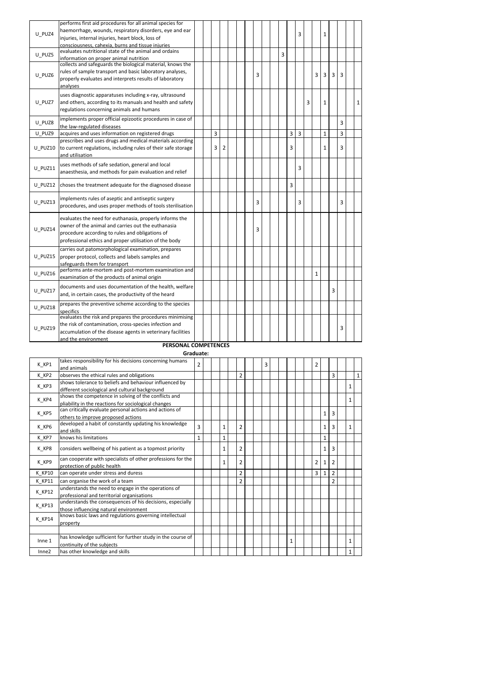| U PUZ4  | performs first aid procedures for all animal species for<br>haemorrhage, wounds, respiratory disorders, eye and ear<br>injuries, internal injuries, heart block, loss of                                                   |  |   |   |  |   |  |   |   | 3 |   |              | 1            |   |   |   |
|---------|----------------------------------------------------------------------------------------------------------------------------------------------------------------------------------------------------------------------------|--|---|---|--|---|--|---|---|---|---|--------------|--------------|---|---|---|
|         | consciousness, cahexia, burns and tissue injuries                                                                                                                                                                          |  |   |   |  |   |  |   |   |   |   |              |              |   |   |   |
| U PUZ5  | evaluates nutritional state of the animal and ordains<br>information on proper animal nutrition                                                                                                                            |  |   |   |  |   |  | 3 |   |   |   |              |              |   |   |   |
| U PUZ6  | collects and safeguards the biological material, knows the<br>rules of sample transport and basic laboratory analyses,<br>properly evaluates and interprets results of laboratory<br>analyses                              |  |   |   |  | 3 |  |   |   |   |   | 3            | 3            | 3 | 3 |   |
| U PUZ7  | uses diagnostic apparatuses including x-ray, ultrasound<br>and others, according to its manuals and health and safety<br>regulations concerning animals and humans                                                         |  |   |   |  |   |  |   |   |   | 3 |              | 1            |   |   | 1 |
| U PUZ8  | implements proper official epizootic procedures in case of<br>the law-regulated diseases                                                                                                                                   |  |   |   |  |   |  |   |   |   |   |              |              |   | 3 |   |
| U PUZ9  | acquires and uses information on registered drugs                                                                                                                                                                          |  | 3 |   |  |   |  |   | 3 | 3 |   |              | $\mathbf{1}$ |   | 3 |   |
| U PUZ10 | prescribes and uses drugs and medical materials according<br>to current regulations, including rules of their safe storage<br>and utilisation                                                                              |  | 3 | 2 |  |   |  |   | 3 |   |   |              | 1            |   | 3 |   |
| U PUZ11 | uses methods of safe sedation, general and local<br>anaesthesia, and methods for pain evaluation and relief                                                                                                                |  |   |   |  |   |  |   |   | 3 |   |              |              |   |   |   |
| U_PUZ12 | choses the treatment adequate for the diagnosed disease                                                                                                                                                                    |  |   |   |  |   |  |   | 3 |   |   |              |              |   |   |   |
| U PUZ13 | implements rules of aseptic and antiseptic surgery<br>procedures, and uses proper methods of tools sterilisation                                                                                                           |  |   |   |  | 3 |  |   |   | 3 |   |              |              |   | 3 |   |
| U PUZ14 | evaluates the need for euthanasia, properly informs the<br>owner of the animal and carries out the euthanasia<br>procedure according to rules and obligations of<br>professional ethics and proper utilisation of the body |  |   |   |  | 3 |  |   |   |   |   |              |              |   |   |   |
| U PUZ15 | carries out patomorphological examination, prepares<br>proper protocol, collects and labels samples and<br>safeguards them for transport                                                                                   |  |   |   |  |   |  |   |   |   |   |              |              |   |   |   |
| U PUZ16 | performs ante-mortem and post-mortem examination and<br>examination of the products of animal origin                                                                                                                       |  |   |   |  |   |  |   |   |   |   | $\mathbf{1}$ |              |   |   |   |
| U PUZ17 | documents and uses documentation of the health, welfare<br>and, in certain cases, the productivity of the heard                                                                                                            |  |   |   |  |   |  |   |   |   |   |              |              | 3 |   |   |
| U PUZ18 | prepares the preventive scheme according to the species<br>specifics                                                                                                                                                       |  |   |   |  |   |  |   |   |   |   |              |              |   |   |   |
| U PUZ19 | evaluates the risk and prepares the procedures minimising<br>the risk of contamination, cross-species infection and<br>accumulation of the disease agents in veterinary facilities<br>and the environment                  |  |   |   |  |   |  |   |   |   |   |              |              |   | 3 |   |

#### PERSONAL COMPETENCES Graduate:

| K KP1         | takes responsibility for his decisions concerning humans<br>and animals                                      | $\overline{2}$ |  |              |                |  | 3 |  |   |  | 2              |              |                |              |              |
|---------------|--------------------------------------------------------------------------------------------------------------|----------------|--|--------------|----------------|--|---|--|---|--|----------------|--------------|----------------|--------------|--------------|
| K KP2         | observes the ethical rules and obligations                                                                   |                |  |              | 2              |  |   |  |   |  |                |              | 3              |              | $\mathbf{1}$ |
| K KP3         | shows tolerance to beliefs and behaviour influenced by<br>different sociological and cultural background     |                |  |              |                |  |   |  |   |  |                |              |                | $\mathbf{1}$ |              |
| K KP4         | shows the competence in solving of the conflicts and<br>pliability in the reactions for sociological changes |                |  |              |                |  |   |  |   |  |                |              |                | $\mathbf{1}$ |              |
| K KP5         | can critically evaluate personal actions and actions of<br>others to improve proposed actions                |                |  |              |                |  |   |  |   |  |                | $\mathbf{1}$ | 3              |              |              |
| K KP6         | developed a habit of constantly updating his knowledge<br>and skills                                         | 3              |  | 1            | 2              |  |   |  |   |  |                | $\mathbf{1}$ | 3              | $\mathbf{1}$ |              |
| K KP7         | knows his limitations                                                                                        | $\mathbf{1}$   |  | $\mathbf{1}$ |                |  |   |  |   |  |                | $\mathbf{1}$ |                |              |              |
| K KP8         | considers wellbeing of his patient as a topmost priority                                                     |                |  | 1            | 2              |  |   |  |   |  |                | 1            | 3              |              |              |
| K_KP9         | can cooperate with specialists of other professions for the<br>protection of public health                   |                |  | 1            | 2              |  |   |  |   |  | $\overline{2}$ | 1            | $\overline{2}$ |              |              |
| K KP10        | can operate under stress and duress                                                                          |                |  |              | 2              |  |   |  |   |  | 3              | $\mathbf{1}$ | $\overline{2}$ |              |              |
| K KP11        | can organise the work of a team                                                                              |                |  |              | $\overline{2}$ |  |   |  |   |  |                |              | $\overline{2}$ |              |              |
| K KP12        | understands the need to engage in the operations of<br>professional and territorial organisations            |                |  |              |                |  |   |  |   |  |                |              |                |              |              |
| K KP13        | understands the consequences of his decisions, especially<br>those influencing natural environment           |                |  |              |                |  |   |  |   |  |                |              |                |              |              |
| <b>K KP14</b> | knows basic laws and regulations governing intellectual<br>property                                          |                |  |              |                |  |   |  |   |  |                |              |                |              |              |
|               |                                                                                                              |                |  |              |                |  |   |  |   |  |                |              |                |              |              |
| Inne 1        | has knowledge sufficient for further study in the course of<br>continuity of the subjects                    |                |  |              |                |  |   |  | 1 |  |                |              |                | $\mathbf{1}$ |              |
| Inne2         | has other knowledge and skills                                                                               |                |  |              |                |  |   |  |   |  |                |              |                | $\mathbf{1}$ |              |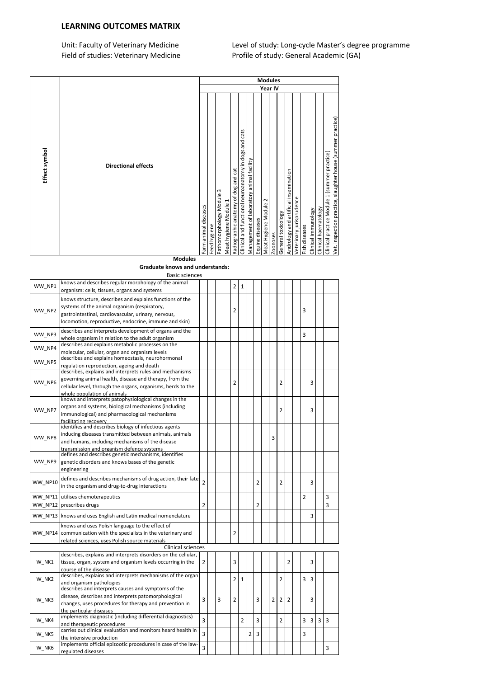### LEARNING OUTCOMES MATRIX

Unit: Faculty of Veterinary Medicine Level of study: Long-cycle Master's degree programme Field of studies: Veterinary Medicine Profile of study: General Academic (GA)

| Year IV<br>practice)<br>cats<br>slaughter house (summer<br>and<br>Effect symbol<br>Clinical and functional neuroanatomy in dogs<br>practice)<br>Management of laboratory animal facility<br><b>Directional effects</b><br>and cat<br>Andrology and artificial insemination<br>(summer<br>of dog<br>$\omega$<br>1<br>$\sim$<br>practice<br>⊣<br>anatomy |
|--------------------------------------------------------------------------------------------------------------------------------------------------------------------------------------------------------------------------------------------------------------------------------------------------------------------------------------------------------|
|                                                                                                                                                                                                                                                                                                                                                        |
| Pathomorphology Module<br>/eterinary jurisprudence<br>Clinical practice Module<br>Meat Hygiene Module<br>Meat hygiene Module<br>Farm animal diseases<br>Clinical haematology<br>Clinical immunology<br>General toxicology<br>Equine diseases<br>inspection<br>Radiographic<br>Feed hygiene<br>Fish diseases<br>Zoonoses<br>yet.<br><b>Modules</b>      |

Graduate knows and understands:

|         | <b>Basic sciences</b>                                                                             |                |   |                |                |                |                |   |                |                |                |                |   |   |  |
|---------|---------------------------------------------------------------------------------------------------|----------------|---|----------------|----------------|----------------|----------------|---|----------------|----------------|----------------|----------------|---|---|--|
| WW_NP1  | knows and describes regular morphology of the animal                                              |                |   | 2              | 1              |                |                |   |                |                |                |                |   |   |  |
|         | organism: cells, tissues, organs and systems                                                      |                |   |                |                |                |                |   |                |                |                |                |   |   |  |
|         | knows structure, describes and explains functions of the                                          |                |   |                |                |                |                |   |                |                |                |                |   |   |  |
|         | systems of the animal organism (respiratory,                                                      |                |   |                |                |                |                |   |                |                |                |                |   |   |  |
| WW NP2  | gastrointestinal, cardiovascular, urinary, nervous,                                               |                |   | 2              |                |                |                |   |                |                | 3              |                |   |   |  |
|         | locomotion, reproductive, endocrine, immune and skin)                                             |                |   |                |                |                |                |   |                |                |                |                |   |   |  |
|         | describes and interprets development of organs and the                                            |                |   |                |                |                |                |   |                |                |                |                |   |   |  |
| WW NP3  | whole organism in relation to the adult organism                                                  |                |   |                |                |                |                |   |                |                | 3              |                |   |   |  |
|         | describes and explains metabolic processes on the                                                 |                |   |                |                |                |                |   |                |                |                |                |   |   |  |
| WW NP4  | molecular, cellular, organ and organism levels                                                    |                |   |                |                |                |                |   |                |                |                |                |   |   |  |
|         | describes and explains homeostasis, neurohormonal                                                 |                |   |                |                |                |                |   |                |                |                |                |   |   |  |
| WW NP5  | regulation reproduction, ageing and death                                                         |                |   |                |                |                |                |   |                |                |                |                |   |   |  |
|         | describes, explains and interprets rules and mechanisms                                           |                |   |                |                |                |                |   |                |                |                |                |   |   |  |
|         | governing animal health, disease and therapy, from the                                            |                |   | $\overline{2}$ |                |                |                |   | 2              |                |                | 3              |   |   |  |
| WW NP6  | cellular level, through the organs, organisms, herds to the                                       |                |   |                |                |                |                |   |                |                |                |                |   |   |  |
|         | whole population of animals                                                                       |                |   |                |                |                |                |   |                |                |                |                |   |   |  |
|         | knows and interprets patophysiological changes in the                                             |                |   |                |                |                |                |   |                |                |                |                |   |   |  |
| WW NP7  | organs and systems, biological mechanisms (including                                              |                |   |                |                |                |                |   | 2              |                |                | 3              |   |   |  |
|         | immunological) and pharmacological mechanisms                                                     |                |   |                |                |                |                |   |                |                |                |                |   |   |  |
|         | facilitating recovery                                                                             |                |   |                |                |                |                |   |                |                |                |                |   |   |  |
|         | identifies and describes biology of infectious agents                                             |                |   |                |                |                |                |   |                |                |                |                |   |   |  |
| WW NP8  | inducing diseases transmitted between animals, animals                                            |                |   |                |                |                |                | 3 |                |                |                |                |   |   |  |
|         | and humans, including mechanisms of the disease                                                   |                |   |                |                |                |                |   |                |                |                |                |   |   |  |
|         | transmission and organism defence systems<br>defines and describes genetic mechanisms, identifies |                |   |                |                |                |                |   |                |                |                |                |   |   |  |
| WW NP9  | genetic disorders and knows bases of the genetic                                                  |                |   |                |                |                |                |   |                |                |                |                |   |   |  |
|         | engineering                                                                                       |                |   |                |                |                |                |   |                |                |                |                |   |   |  |
|         |                                                                                                   |                |   |                |                |                |                |   |                |                |                |                |   |   |  |
| WW NP10 | defines and describes mechanisms of drug action, their fate                                       | $\overline{2}$ |   |                |                |                | $\overline{2}$ |   | $\overline{2}$ |                |                | 3              |   |   |  |
|         | in the organism and drug-to-drug interactions                                                     |                |   |                |                |                |                |   |                |                |                |                |   |   |  |
|         | WW NP11 utilises chemoterapeutics                                                                 |                |   |                |                |                |                |   |                |                | $\overline{2}$ |                |   | 3 |  |
| WW NP12 | prescribes drugs                                                                                  | $\overline{2}$ |   |                |                |                | $\overline{2}$ |   |                |                |                |                |   | 3 |  |
|         |                                                                                                   |                |   |                |                |                |                |   |                |                |                | 3              |   |   |  |
|         | WW NP13 knows and uses English and Latin medical nomenclature                                     |                |   |                |                |                |                |   |                |                |                |                |   |   |  |
|         | knows and uses Polish language to the effect of                                                   |                |   |                |                |                |                |   |                |                |                |                |   |   |  |
|         | WW_NP14 communication with the specialists in the veterinary and                                  |                |   | 2              |                |                |                |   |                |                |                |                |   |   |  |
|         | related sciences, uses Polish source materials                                                    |                |   |                |                |                |                |   |                |                |                |                |   |   |  |
|         | <b>Clinical sciences</b>                                                                          |                |   |                |                |                |                |   |                |                |                |                |   |   |  |
|         | describes, explains and interprets disorders on the cellular,                                     |                |   |                |                |                |                |   |                |                |                |                |   |   |  |
| W NK1   | tissue, organ, system and organism levels occurring in the                                        | $\overline{2}$ |   | 3              |                |                |                |   |                | $\overline{2}$ |                | 3              |   |   |  |
|         | course of the disease                                                                             |                |   |                |                |                |                |   |                |                |                |                |   |   |  |
| W NK2   | describes, explains and interprets mechanisms of the organ                                        |                |   | $\overline{2}$ | $\mathbf{1}$   |                |                |   | $\overline{2}$ |                | 3              | 3              |   |   |  |
|         | and organism pathologies<br>describes and interprets causes and symptoms of the                   |                |   |                |                |                |                |   |                |                |                |                |   |   |  |
|         | disease, describes and interprets patomorphological                                               |                |   |                |                |                |                |   |                |                |                |                |   |   |  |
| W NK3   | changes, uses procedures for therapy and prevention in                                            | 3              | 3 | 2              |                |                | 3              | 2 | $\overline{2}$ | $\overline{2}$ |                | 3              |   |   |  |
|         | the particular diseases                                                                           |                |   |                |                |                |                |   |                |                |                |                |   |   |  |
|         | implements diagnostic (including differential diagnostics)                                        |                |   |                |                |                |                |   |                |                |                |                |   |   |  |
| W NK4   | and therapeutic procedures                                                                        | $\overline{3}$ |   |                | $\overline{2}$ |                | 3              |   | $\overline{2}$ |                | 3              | $\overline{3}$ | 3 | 3 |  |
|         | carries out clinical evaluation and monitors heard health in                                      |                |   |                |                |                |                |   |                |                |                |                |   |   |  |
| W NK5   | the intensive production                                                                          | 3              |   |                |                | $\overline{2}$ | 3              |   |                |                | 3              |                |   |   |  |
| W NK6   | implements official epizootic procedures in case of the law-                                      | 3              |   |                |                |                |                |   |                |                |                |                |   | 3 |  |
|         | regulated diseases                                                                                |                |   |                |                |                |                |   |                |                |                |                |   |   |  |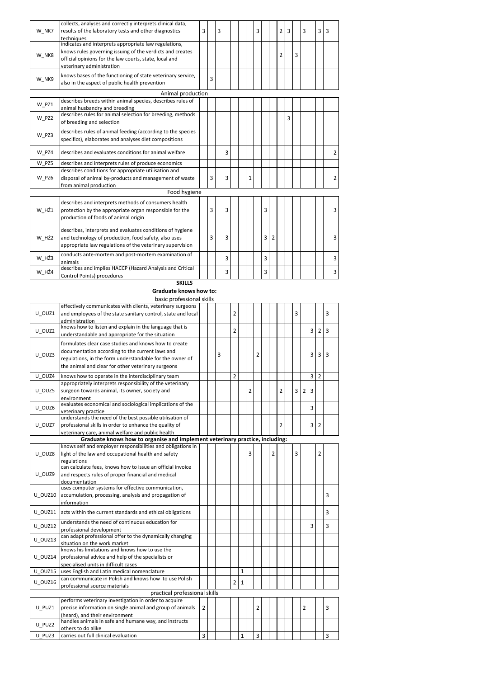| W NK7 | collects, analyses and correctly interprets clinical data,<br>results of the laboratory tests and other diagnostics | 3 |   | 3 |   |  |   | 3 |   |                | 2              | 3 |   | 3 | 3 | 3 |                |
|-------|---------------------------------------------------------------------------------------------------------------------|---|---|---|---|--|---|---|---|----------------|----------------|---|---|---|---|---|----------------|
|       | techniques<br>indicates and interprets appropriate law regulations,                                                 |   |   |   |   |  |   |   |   |                |                |   |   |   |   |   |                |
|       | knows rules governing issuing of the verdicts and creates                                                           |   |   |   |   |  |   |   |   |                |                |   |   |   |   |   |                |
| W NK8 | official opinions for the law courts, state, local and                                                              |   |   |   |   |  |   |   |   |                | $\overline{2}$ |   | 3 |   |   |   |                |
|       |                                                                                                                     |   |   |   |   |  |   |   |   |                |                |   |   |   |   |   |                |
|       | veterinary administration                                                                                           |   |   |   |   |  |   |   |   |                |                |   |   |   |   |   |                |
| W NK9 | knows bases of the functioning of state veterinary service,                                                         |   | 3 |   |   |  |   |   |   |                |                |   |   |   |   |   |                |
|       | also in the aspect of public health prevention                                                                      |   |   |   |   |  |   |   |   |                |                |   |   |   |   |   |                |
|       | Animal production                                                                                                   |   |   |   |   |  |   |   |   |                |                |   |   |   |   |   |                |
|       | describes breeds within animal species, describes rules of                                                          |   |   |   |   |  |   |   |   |                |                |   |   |   |   |   |                |
| W PZ1 | animal husbandry and breeding                                                                                       |   |   |   |   |  |   |   |   |                |                |   |   |   |   |   |                |
|       | describes rules for animal selection for breeding, methods                                                          |   |   |   |   |  |   |   |   |                |                | 3 |   |   |   |   |                |
| W PZ2 | of breeding and selection                                                                                           |   |   |   |   |  |   |   |   |                |                |   |   |   |   |   |                |
|       | describes rules of animal feeding (according to the species                                                         |   |   |   |   |  |   |   |   |                |                |   |   |   |   |   |                |
| W PZ3 | specifics), elaborates and analyses diet compositions                                                               |   |   |   |   |  |   |   |   |                |                |   |   |   |   |   |                |
|       |                                                                                                                     |   |   |   |   |  |   |   |   |                |                |   |   |   |   |   |                |
| W PZ4 | describes and evaluates conditions for animal welfare                                                               |   |   |   | 3 |  |   |   |   |                |                |   |   |   |   |   | $\overline{2}$ |
| W PZ5 | describes and interprets rules of produce economics                                                                 |   |   |   |   |  |   |   |   |                |                |   |   |   |   |   |                |
|       | describes conditions for appropriate utilisation and                                                                |   |   |   |   |  |   |   |   |                |                |   |   |   |   |   |                |
| W PZ6 | disposal of animal by-products and management of waste                                                              |   | 3 |   | 3 |  | 1 |   |   |                |                |   |   |   |   |   | $\overline{2}$ |
|       | from animal production                                                                                              |   |   |   |   |  |   |   |   |                |                |   |   |   |   |   |                |
|       | Food hygiene                                                                                                        |   |   |   |   |  |   |   |   |                |                |   |   |   |   |   |                |
|       | describes and interprets methods of consumers health                                                                |   |   |   |   |  |   |   |   |                |                |   |   |   |   |   |                |
| W HŻ1 | protection by the appropriate organ responsible for the                                                             |   | 3 |   | 3 |  |   |   | 3 |                |                |   |   |   |   |   | $\overline{3}$ |
|       | production of foods of animal origin                                                                                |   |   |   |   |  |   |   |   |                |                |   |   |   |   |   |                |
|       |                                                                                                                     |   |   |   |   |  |   |   |   |                |                |   |   |   |   |   |                |
|       | describes, interprets and evaluates conditions of hygiene                                                           |   |   |   |   |  |   |   |   |                |                |   |   |   |   |   |                |
| W HŻ2 | and technology of production, food safety, also uses                                                                |   | 3 |   | 3 |  |   |   | 3 | $\overline{2}$ |                |   |   |   |   |   | 3              |
|       | appropriate law regulations of the veterinary supervision                                                           |   |   |   |   |  |   |   |   |                |                |   |   |   |   |   |                |
|       | conducts ante-mortem and post-mortem examination of                                                                 |   |   |   |   |  |   |   |   |                |                |   |   |   |   |   |                |
| W HŻ3 | animals                                                                                                             |   |   |   | 3 |  |   |   | 3 |                |                |   |   |   |   |   | $\overline{3}$ |
|       | describes and implies HACCP (Hazard Analysis and Critical                                                           |   |   |   |   |  |   |   |   |                |                |   |   |   |   |   |                |
| W HŻ4 | Control Points) procedures                                                                                          |   |   |   | 3 |  |   |   | 3 |                |                |   |   |   |   |   | 3              |

SKILLS Graduate knows how to:

basic professional skills

|         | effectively communicates with clients, veterinary surgeons                   |                |   |                |              |   |                |                |                |   |                |   |                |                |  |
|---------|------------------------------------------------------------------------------|----------------|---|----------------|--------------|---|----------------|----------------|----------------|---|----------------|---|----------------|----------------|--|
| U OUZ1  | and employees of the state sanitary control, state and local                 |                |   | $\overline{2}$ |              |   |                |                |                | 3 |                |   |                | 3              |  |
|         |                                                                              |                |   |                |              |   |                |                |                |   |                |   |                |                |  |
|         | administration<br>knows how to listen and explain in the language that is    |                |   |                |              |   |                |                |                |   |                |   |                |                |  |
| U OUZ2  |                                                                              |                |   | $\overline{2}$ |              |   |                |                |                |   |                | 3 | $\overline{2}$ | $\overline{3}$ |  |
|         | understandable and appropriate for the situation                             |                |   |                |              |   |                |                |                |   |                |   |                |                |  |
|         | formulates clear case studies and knows how to create                        |                |   |                |              |   |                |                |                |   |                |   |                |                |  |
| U OUZ3  | documentation according to the current laws and                              |                | 3 |                |              |   | $\overline{2}$ |                |                |   |                | 3 | 3              | 3              |  |
|         | regulations, in the form understandable for the owner of                     |                |   |                |              |   |                |                |                |   |                |   |                |                |  |
|         | the animal and clear for other veterinary surgeons                           |                |   |                |              |   |                |                |                |   |                |   |                |                |  |
| U OUZ4  | knows how to operate in the interdisciplinary team                           |                |   | $\overline{2}$ |              |   |                |                |                |   |                | 3 | $\overline{2}$ |                |  |
|         | appropriately interprets responsibility of the veterinary                    |                |   |                |              |   |                |                |                |   |                |   |                |                |  |
| U_OUZ5  | surgeon towards animal, its owner, society and                               |                |   |                |              | 2 |                |                | $\overline{2}$ | 3 | $\overline{2}$ | 3 |                |                |  |
|         | environment                                                                  |                |   |                |              |   |                |                |                |   |                |   |                |                |  |
|         | evaluates economical and sociological implications of the                    |                |   |                |              |   |                |                |                |   |                |   |                |                |  |
| U OUZ6  | veterinary practice                                                          |                |   |                |              |   |                |                |                |   |                | 3 |                |                |  |
|         | understands the need of the best possible utilisation of                     |                |   |                |              |   |                |                |                |   |                |   |                |                |  |
| U OUZ7  | professional skills in order to enhance the quality of                       |                |   |                |              |   |                |                | $\overline{2}$ |   |                | 3 | 2              |                |  |
|         | veterinary care, animal welfare and public health                            |                |   |                |              |   |                |                |                |   |                |   |                |                |  |
|         | Graduate knows how to organise and implement veterinary practice, including: |                |   |                |              |   |                |                |                |   |                |   |                |                |  |
|         | knows self and employer responsibilities and obligations in                  |                |   |                |              |   |                |                |                |   |                |   |                |                |  |
| U OUZ8  | light of the law and occupational health and safety                          |                |   |                |              | 3 |                | $\overline{2}$ |                | 3 |                |   | $\overline{2}$ |                |  |
|         | regulations                                                                  |                |   |                |              |   |                |                |                |   |                |   |                |                |  |
|         | can calculate fees, knows how to issue an official invoice                   |                |   |                |              |   |                |                |                |   |                |   |                |                |  |
| U OUZ9  | and respects rules of proper financial and medical                           |                |   |                |              |   |                |                |                |   |                |   |                |                |  |
|         | documentation                                                                |                |   |                |              |   |                |                |                |   |                |   |                |                |  |
|         | uses computer systems for effective communication,                           |                |   |                |              |   |                |                |                |   |                |   |                |                |  |
| U OUZ10 | accumulation, processing, analysis and propagation of                        |                |   |                |              |   |                |                |                |   |                |   |                | 3              |  |
|         | information                                                                  |                |   |                |              |   |                |                |                |   |                |   |                |                |  |
| U OUZ11 | acts within the current standards and ethical obligations                    |                |   |                |              |   |                |                |                |   |                |   |                | 3              |  |
| U OUZ12 | understands the need of continuous education for                             |                |   |                |              |   |                |                |                |   |                | 3 |                | 3              |  |
|         | professional development                                                     |                |   |                |              |   |                |                |                |   |                |   |                |                |  |
| U OUZ13 | can adapt professional offer to the dynamically changing                     |                |   |                |              |   |                |                |                |   |                |   |                |                |  |
|         | situation on the work market                                                 |                |   |                |              |   |                |                |                |   |                |   |                |                |  |
|         | knows his limitations and knows how to use the                               |                |   |                |              |   |                |                |                |   |                |   |                |                |  |
| U OUZ14 | professional advice and help of the specialists or                           |                |   |                |              |   |                |                |                |   |                |   |                |                |  |
|         | specialised units in difficult cases                                         |                |   |                |              |   |                |                |                |   |                |   |                |                |  |
| U OUZ15 | uses English and Latin medical nomenclature                                  |                |   |                | $\mathbf{1}$ |   |                |                |                |   |                |   |                |                |  |
| U OUZ16 | can communicate in Polish and knows how to use Polish                        |                |   | $\overline{2}$ | $\mathbf{1}$ |   |                |                |                |   |                |   |                |                |  |
|         | professional source materials                                                |                |   |                |              |   |                |                |                |   |                |   |                |                |  |
|         | practical professional skills                                                |                |   |                |              |   |                |                |                |   |                |   |                |                |  |
|         | performs veterinary investigation in order to acquire                        |                |   |                |              |   |                |                |                |   |                |   |                |                |  |
| U PUZ1  | precise information on single animal and group of animals                    | $\overline{2}$ |   |                |              |   | $\overline{2}$ |                |                |   | $\overline{2}$ |   |                | 3              |  |
|         | (heard), and their environment                                               |                |   |                |              |   |                |                |                |   |                |   |                |                |  |
| U PUZ2  | handles animals in safe and humane way, and instructs                        |                |   |                |              |   |                |                |                |   |                |   |                |                |  |
|         | others to do alike                                                           |                |   |                |              |   |                |                |                |   |                |   |                |                |  |
| U PUZ3  | carries out full clinical evaluation                                         | 3              |   |                | 1            |   | 3              |                |                |   |                |   |                | 3              |  |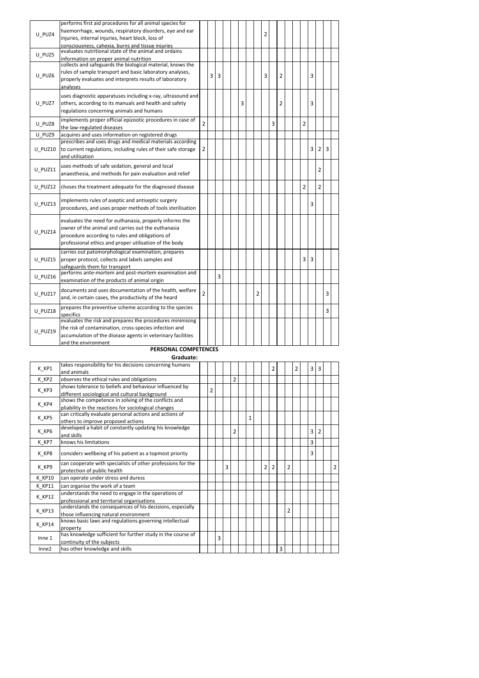|                | performs first aid procedures for all animal species for                                                   |                |   |   |  |   |   |   |   |                |  |                |                |                |   |  |
|----------------|------------------------------------------------------------------------------------------------------------|----------------|---|---|--|---|---|---|---|----------------|--|----------------|----------------|----------------|---|--|
| U PUZ4         | haemorrhage, wounds, respiratory disorders, eye and ear                                                    |                |   |   |  |   |   | 2 |   |                |  |                |                |                |   |  |
|                | injuries, internal injuries, heart block, loss of                                                          |                |   |   |  |   |   |   |   |                |  |                |                |                |   |  |
|                | consciousness, cahexia, burns and tissue injuries<br>evaluates nutritional state of the animal and ordains |                |   |   |  |   |   |   |   |                |  |                |                |                |   |  |
| U PUZ5         |                                                                                                            |                |   |   |  |   |   |   |   |                |  |                |                |                |   |  |
|                | information on proper animal nutrition<br>collects and safeguards the biological material, knows the       |                |   |   |  |   |   |   |   |                |  |                |                |                |   |  |
| U PUZ6         | rules of sample transport and basic laboratory analyses,                                                   |                | 3 | 3 |  |   |   | 3 |   | $\overline{2}$ |  |                | 3              |                |   |  |
|                | properly evaluates and interprets results of laboratory                                                    |                |   |   |  |   |   |   |   |                |  |                |                |                |   |  |
|                | analyses                                                                                                   |                |   |   |  |   |   |   |   |                |  |                |                |                |   |  |
|                | uses diagnostic apparatuses including x-ray, ultrasound and                                                |                |   |   |  |   |   |   |   |                |  |                |                |                |   |  |
| U PUZ7         | others, according to its manuals and health and safety                                                     |                |   |   |  | 3 |   |   |   | $\overline{2}$ |  |                | 3              |                |   |  |
|                | regulations concerning animals and humans                                                                  |                |   |   |  |   |   |   |   |                |  |                |                |                |   |  |
| U PUZ8         | implements proper official epizootic procedures in case of                                                 | $\overline{2}$ |   |   |  |   |   |   | 3 |                |  | $\overline{2}$ |                |                |   |  |
|                | the law-regulated diseases                                                                                 |                |   |   |  |   |   |   |   |                |  |                |                |                |   |  |
| U PUZ9         | acquires and uses information on registered drugs                                                          |                |   |   |  |   |   |   |   |                |  |                |                |                |   |  |
|                | prescribes and uses drugs and medical materials according                                                  |                |   |   |  |   |   |   |   |                |  |                |                |                |   |  |
| U PUZ10        | to current regulations, including rules of their safe storage                                              | $\overline{2}$ |   |   |  |   |   |   |   |                |  |                | 3              | $\overline{2}$ | 3 |  |
|                | and utilisation                                                                                            |                |   |   |  |   |   |   |   |                |  |                |                |                |   |  |
| <b>U PUZ11</b> | uses methods of safe sedation, general and local                                                           |                |   |   |  |   |   |   |   |                |  |                |                | 2              |   |  |
|                | anaesthesia, and methods for pain evaluation and relief                                                    |                |   |   |  |   |   |   |   |                |  |                |                |                |   |  |
| U PUZ12        | choses the treatment adequate for the diagnosed disease                                                    |                |   |   |  |   |   |   |   |                |  | $\overline{2}$ |                | $\overline{2}$ |   |  |
|                |                                                                                                            |                |   |   |  |   |   |   |   |                |  |                |                |                |   |  |
|                | implements rules of aseptic and antiseptic surgery                                                         |                |   |   |  |   |   |   |   |                |  |                | 3              |                |   |  |
| U PUZ13        | procedures, and uses proper methods of tools sterilisation                                                 |                |   |   |  |   |   |   |   |                |  |                |                |                |   |  |
|                | evaluates the need for euthanasia, properly informs the                                                    |                |   |   |  |   |   |   |   |                |  |                |                |                |   |  |
|                | owner of the animal and carries out the euthanasia                                                         |                |   |   |  |   |   |   |   |                |  |                |                |                |   |  |
| U PUZ14        | procedure according to rules and obligations of                                                            |                |   |   |  |   |   |   |   |                |  |                |                |                |   |  |
|                | professional ethics and proper utilisation of the body                                                     |                |   |   |  |   |   |   |   |                |  |                |                |                |   |  |
|                | carries out patomorphological examination, prepares                                                        |                |   |   |  |   |   |   |   |                |  |                |                |                |   |  |
| U PUZ15        | proper protocol, collects and labels samples and                                                           |                |   |   |  |   |   |   |   |                |  | 3              | $\overline{3}$ |                |   |  |
|                | safeguards them for transport                                                                              |                |   |   |  |   |   |   |   |                |  |                |                |                |   |  |
| U PUZ16        | performs ante-mortem and post-mortem examination and                                                       |                |   | 3 |  |   |   |   |   |                |  |                |                |                |   |  |
|                | examination of the products of animal origin                                                               |                |   |   |  |   |   |   |   |                |  |                |                |                |   |  |
|                | documents and uses documentation of the health, welfare                                                    |                |   |   |  |   |   |   |   |                |  |                |                |                |   |  |
| U PUZ17        | and, in certain cases, the productivity of the heard                                                       | 2              |   |   |  |   | 2 |   |   |                |  |                |                |                | 3 |  |
|                | prepares the preventive scheme according to the species                                                    |                |   |   |  |   |   |   |   |                |  |                |                |                |   |  |
| U PUZ18        | specifics                                                                                                  |                |   |   |  |   |   |   |   |                |  |                |                |                | 3 |  |
|                | evaluates the risk and prepares the procedures minimising                                                  |                |   |   |  |   |   |   |   |                |  |                |                |                |   |  |
| U PUZ19        | the risk of contamination, cross-species infection and                                                     |                |   |   |  |   |   |   |   |                |  |                |                |                |   |  |
|                | accumulation of the disease agents in veterinary facilities                                                |                |   |   |  |   |   |   |   |                |  |                |                |                |   |  |
|                | and the environment                                                                                        |                |   |   |  |   |   |   |   |                |  |                |                |                |   |  |
|                | <b>PERSONAL COMPETENCES</b>                                                                                |                |   |   |  |   |   |   |   |                |  |                |                |                |   |  |

## Graduate:

| K KP1             | takes responsibility for his decisions concerning humans    |                |   |   |                |   |                | $\overline{2}$ |   |                | 2 | 3 | 3              |                |
|-------------------|-------------------------------------------------------------|----------------|---|---|----------------|---|----------------|----------------|---|----------------|---|---|----------------|----------------|
|                   | and animals                                                 |                |   |   |                |   |                |                |   |                |   |   |                |                |
| K KP2             | observes the ethical rules and obligations                  |                |   |   | $\overline{2}$ |   |                |                |   |                |   |   |                |                |
| K KP3             | shows tolerance to beliefs and behaviour influenced by      | $\overline{2}$ |   |   |                |   |                |                |   |                |   |   |                |                |
|                   | different sociological and cultural background              |                |   |   |                |   |                |                |   |                |   |   |                |                |
| K KP4             | shows the competence in solving of the conflicts and        |                |   |   |                |   |                |                |   |                |   |   |                |                |
|                   | pliability in the reactions for sociological changes        |                |   |   |                |   |                |                |   |                |   |   |                |                |
| K KP5             | can critically evaluate personal actions and actions of     |                |   |   |                | 1 |                |                |   |                |   |   |                |                |
|                   | others to improve proposed actions                          |                |   |   |                |   |                |                |   |                |   |   |                |                |
| K KP6             | developed a habit of constantly updating his knowledge      |                |   |   | $\overline{2}$ |   |                |                |   |                |   | 3 | $\overline{2}$ |                |
|                   | and skills                                                  |                |   |   |                |   |                |                |   |                |   |   |                |                |
| K KP7             | knows his limitations                                       |                |   |   |                |   |                |                |   |                |   | 3 |                |                |
| K KP8             | considers wellbeing of his patient as a topmost priority    |                |   |   |                |   |                |                |   |                |   | 3 |                |                |
|                   | can cooperate with specialists of other professions for the |                |   |   |                |   |                |                |   |                |   |   |                |                |
| K KP9             | protection of public health                                 |                |   | 3 |                |   | $\overline{2}$ | $\overline{2}$ |   | $\overline{2}$ |   |   |                | $\overline{2}$ |
| K KP10            | can operate under stress and duress                         |                |   |   |                |   |                |                |   |                |   |   |                |                |
| <b>K KP11</b>     | can organise the work of a team                             |                |   |   |                |   |                |                |   |                |   |   |                |                |
|                   | understands the need to engage in the operations of         |                |   |   |                |   |                |                |   |                |   |   |                |                |
| K KP12            | professional and territorial organisations                  |                |   |   |                |   |                |                |   |                |   |   |                |                |
| K KP13            | understands the consequences of his decisions, especially   |                |   |   |                |   |                |                |   | $\overline{2}$ |   |   |                |                |
|                   | those influencing natural environment                       |                |   |   |                |   |                |                |   |                |   |   |                |                |
| K KP14            | knows basic laws and regulations governing intellectual     |                |   |   |                |   |                |                |   |                |   |   |                |                |
|                   | property                                                    |                |   |   |                |   |                |                |   |                |   |   |                |                |
| Inne <sub>1</sub> | has knowledge sufficient for further study in the course of |                | 3 |   |                |   |                |                |   |                |   |   |                |                |
|                   | continuity of the subjects                                  |                |   |   |                |   |                |                |   |                |   |   |                |                |
| Inne2             | has other knowledge and skills                              |                |   |   |                |   |                |                | 3 |                |   |   |                |                |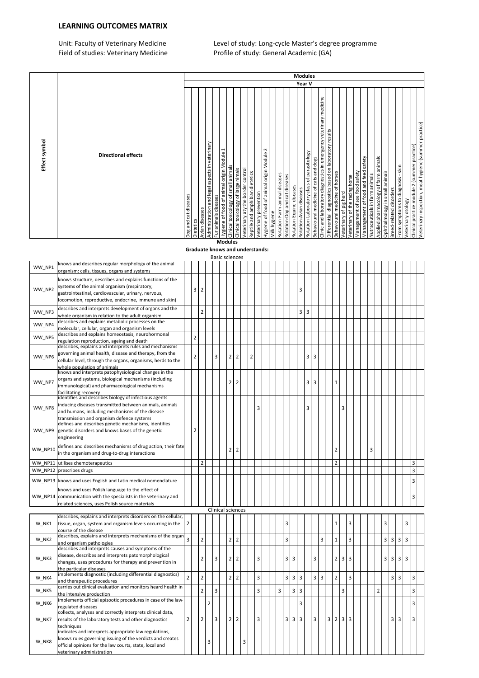### LEARNING OUTCOMES MATRIX

Unit: Faculty of Veterinary Medicine Level of study: Long-cycle Master's degree programme Field of studies: Veterinary Medicine Profile of study: General Academic (GA)

| Effect symbol                                                                                         |                          |
|-------------------------------------------------------------------------------------------------------|--------------------------|
| <b>Directional effects</b>                                                                            |                          |
| Dog and cat diseases                                                                                  |                          |
| Dietetics                                                                                             |                          |
| Avian diseases                                                                                        |                          |
| Administration and legal aspects in veterinary                                                        |                          |
| Fur animals diseases                                                                                  |                          |
| Hygiene of food of animal origin Module 1<br>Clinical toxicology of small animals                     |                          |
| Clinical toxicology of large nimals                                                                   |                          |
| Veterinary aty the border control                                                                     |                          |
| Reptile and amphibian dietetics                                                                       |                          |
| Veterinary prevention                                                                                 |                          |
| $\sim$<br>Hygiene of food of animal origin Module                                                     |                          |
| Milk hygiene                                                                                          |                          |
| Rotation-Farm animal diseases                                                                         |                          |
| Rotation-Dog and cat diseases<br>Rotation-Equine diseases                                             |                          |
| Rotation-Avian diseases                                                                               |                          |
| Rotation-Laboratory class of parasitology                                                             | <b>Modules</b><br>Year V |
| Behavioural medicine of cats and dogs                                                                 |                          |
| Clinic and laboratory diagnostics in emergency veterinary medicine                                    |                          |
| Differential diagnostics based on laboratory results<br>Behavioural medicine of horses                |                          |
| Veterinary of pig herd                                                                                |                          |
| Veterinary of the racing horse                                                                        |                          |
| Management of see food safety                                                                         |                          |
| Manangement of food and feed safety                                                                   |                          |
| Nutraceuticals in farm animals                                                                        |                          |
| Applied pharmacology of farm animals<br>Ophthalmology in small animals                                |                          |
| Breed-related disorders                                                                               |                          |
| - skin<br>From symptoms to diagnosis                                                                  |                          |
| Veterinary otology                                                                                    |                          |
| Veterinzry inspection, meat hygiene (summer practice)<br>Clinical practice module 2 (summer practice) |                          |
|                                                                                                       |                          |

Graduate knows and understands:

|         |                                                                                                                                                                                                                          |                |                |                |                |   | <b>Basic sciences</b> |                |   |                |   |  |   |   |                |   |   |                |                |   |                |   |   |   |                |   |                         |                |                |                |  |
|---------|--------------------------------------------------------------------------------------------------------------------------------------------------------------------------------------------------------------------------|----------------|----------------|----------------|----------------|---|-----------------------|----------------|---|----------------|---|--|---|---|----------------|---|---|----------------|----------------|---|----------------|---|---|---|----------------|---|-------------------------|----------------|----------------|----------------|--|
| WW NP1  | knows and describes regular morphology of the animal<br>organism: cells, tissues, organs and systems                                                                                                                     |                |                |                |                |   |                       |                |   |                |   |  |   |   |                |   |   |                |                |   |                |   |   |   |                |   |                         |                |                |                |  |
| WW_NP2  | knows structure, describes and explains functions of the<br>systems of the animal organism (respiratory,<br>gastrointestinal, cardiovascular, urinary, nervous,<br>locomotion, reproductive, endocrine, immune and skin) |                | 3              | $\overline{2}$ |                |   |                       |                |   |                |   |  |   |   |                | 3 |   |                |                |   |                |   |   |   |                |   |                         |                |                |                |  |
| WW NP3  | describes and interprets development of organs and the<br>whole organism in relation to the adult organism                                                                                                               |                |                | $\overline{2}$ |                |   |                       |                |   |                |   |  |   |   |                | 3 | 3 |                |                |   |                |   |   |   |                |   |                         |                |                |                |  |
| WW NP4  | describes and explains metabolic processes on the<br>molecular, cellular, organ and organism levels                                                                                                                      |                |                |                |                |   |                       |                |   |                |   |  |   |   |                |   |   |                |                |   |                |   |   |   |                |   |                         |                |                |                |  |
| WW NP5  | describes and explains homeostasis, neurohormonal<br>egulation reproduction, ageing and death                                                                                                                            |                | $\overline{2}$ |                |                |   |                       |                |   |                |   |  |   |   |                |   |   |                |                |   |                |   |   |   |                |   |                         |                |                |                |  |
| WW_NP6  | describes, explains and interprets rules and mechanisms<br>governing animal health, disease and therapy, from the<br>cellular level, through the organs, organisms, herds to the<br>whole population of animals          |                | $\overline{2}$ |                |                | 3 |                       | 2 2            |   | $\overline{2}$ |   |  |   |   |                |   | 3 | 3              |                |   |                |   |   |   |                |   |                         |                |                |                |  |
| WW NP7  | knows and interprets patophysiological changes in the<br>organs and systems, biological mechanisms (including<br>immunological) and pharmacological mechanisms<br>facilitating recovery                                  |                |                |                |                |   | 2 <sub>1</sub>        | $\overline{2}$ |   |                |   |  |   |   |                |   | 3 | 3              |                |   | $\mathbf{1}$   |   |   |   |                |   |                         |                |                |                |  |
| WW NP8  | identifies and describes biology of infectious agents<br>inducing diseases transmitted between animals, animals<br>and humans, including mechanisms of the disease<br>transmission and organism defence systems          |                |                |                |                |   |                       |                |   |                | 3 |  |   |   |                |   | 3 |                |                |   |                | 3 |   |   |                |   |                         |                |                |                |  |
| WW NP9  | defines and describes genetic mechanisms, identifies<br>genetic disorders and knows bases of the genetic<br>engineering                                                                                                  |                | $\overline{2}$ |                |                |   |                       |                |   |                |   |  |   |   |                |   |   |                |                |   |                |   |   |   |                |   |                         |                |                |                |  |
| WW NP10 | defines and describes mechanisms of drug action, their fate<br>in the organism and drug-to-drug interactions                                                                                                             |                |                |                |                |   | 2 <sup>1</sup>        | $\overline{2}$ |   |                |   |  |   |   |                |   |   |                |                |   | $\overline{2}$ |   |   | 3 |                |   |                         |                |                |                |  |
| WW NP11 | utilises chemoterapeutics                                                                                                                                                                                                |                |                | $\overline{2}$ |                |   |                       |                |   |                |   |  |   |   |                |   |   |                |                |   | $\overline{2}$ |   |   |   |                |   |                         |                |                | $\overline{3}$ |  |
| WW NP12 | prescribes drugs                                                                                                                                                                                                         |                |                |                |                |   |                       |                |   |                |   |  |   |   |                |   |   |                |                |   |                |   |   |   |                |   |                         |                |                | 3              |  |
| WW NP13 | knows and uses English and Latin medical nomenclature                                                                                                                                                                    |                |                |                |                |   |                       |                |   |                |   |  |   |   |                |   |   |                |                |   |                |   |   |   |                |   |                         |                |                | $\overline{3}$ |  |
|         | knows and uses Polish language to the effect of<br>WW NP14 communication with the specialists in the veterinary and<br>related sciences, uses Polish source materials                                                    |                |                |                |                |   |                       |                |   |                |   |  |   |   |                |   |   |                |                |   |                |   |   |   |                |   |                         |                |                | 3              |  |
|         |                                                                                                                                                                                                                          |                |                |                |                |   | Clinical sciences     |                |   |                |   |  |   |   |                |   |   |                |                |   |                |   |   |   |                |   |                         |                |                |                |  |
| W NK1   | describes, explains and interprets disorders on the cellular,<br>tissue, organ, system and organism levels occurring in the<br>course of the disease                                                                     | $\overline{2}$ |                |                |                |   |                       |                |   |                |   |  |   | 3 |                |   |   |                |                |   | $\mathbf{1}$   |   | 3 |   |                | 3 |                         |                | 3              |                |  |
| W NK2   | describes, explains and interprets mechanisms of the organ<br>and organism pathologies                                                                                                                                   | $\overline{3}$ |                | $\overline{2}$ |                |   |                       | 2 <sup>2</sup> |   |                |   |  |   | 3 |                |   |   |                | 3              |   | $\mathbf 1$    |   | 3 |   |                | 3 | $\overline{\mathbf{3}}$ | $\overline{3}$ | 3              |                |  |
| W NK3   | describes and interprets causes and symptoms of the<br>disease, describes and interprets patomorphological<br>changes, uses procedures for therapy and prevention in<br>the particular diseases                          |                |                | $\overline{2}$ |                | 3 | 2 <sup>1</sup>        | $\overline{2}$ |   |                | 3 |  |   | 3 | $\overline{3}$ |   |   | 3              |                |   | 2 <sup>1</sup> | 3 | 3 |   |                | 3 | 3                       | 3 <sup>1</sup> | $\overline{3}$ |                |  |
| W NK4   | implements diagnostic (including differential diagnostics)<br>and therapeutic procedures                                                                                                                                 | $\overline{2}$ |                | $\overline{2}$ |                |   | 2 <sup>1</sup>        | $\overline{2}$ |   |                | 3 |  |   | 3 | $\overline{3}$ | 3 |   | $\overline{3}$ | $\overline{3}$ |   | $\overline{2}$ |   | 3 |   |                |   | 3                       | 3              |                | $\overline{3}$ |  |
| W_NK5   | carries out clinical evaluation and monitors heard health in<br>the intensive production                                                                                                                                 |                |                | $\overline{2}$ |                | 3 |                       |                |   |                | 3 |  | 3 |   | $3 \mid 3$     |   |   |                |                |   |                | 3 |   |   | $\overline{2}$ |   |                         |                |                | 3              |  |
| W NK6   | implements official epizootic procedures in case of the law-<br>regulated diseases                                                                                                                                       |                |                |                | $\overline{2}$ |   |                       |                |   |                |   |  |   |   |                | 3 |   |                |                |   |                |   |   |   |                |   |                         |                |                | 3              |  |
| W NK7   | collects, analyses and correctly interprets clinical data,<br>results of the laboratory tests and other diagnostics<br>techniaues                                                                                        | $\overline{2}$ |                | 2              |                | 3 |                       | 2 2            |   |                | 3 |  |   | 3 | $\overline{3}$ | 3 |   | 3              |                | 3 | 2 3            |   | 3 |   |                |   | 3                       | $\overline{3}$ |                | 3              |  |
| W NK8   | indicates and interprets appropriate law regulations,<br>knows rules governing issuing of the verdicts and creates<br>official opinions for the law courts, state, local and<br>veterinary administration                |                |                |                | 3              |   |                       |                | 3 |                |   |  |   |   |                |   |   |                |                |   |                |   |   |   |                |   |                         |                |                |                |  |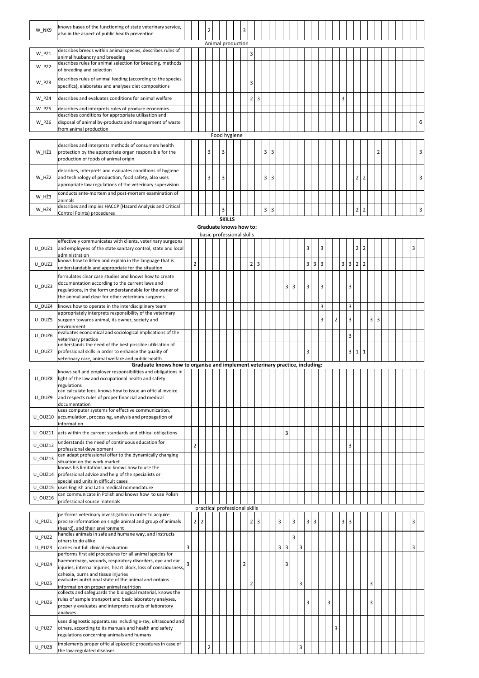| W_NK9 | knows bases of the functioning of state veterinary service,<br>also in the aspect of public health prevention                                                                  |  | $\overline{a}$ |                   |  | 3 |   |     |                |   |  |  |  |  |   |                |                |                |  |  |   |
|-------|--------------------------------------------------------------------------------------------------------------------------------------------------------------------------------|--|----------------|-------------------|--|---|---|-----|----------------|---|--|--|--|--|---|----------------|----------------|----------------|--|--|---|
|       |                                                                                                                                                                                |  |                | Animal production |  |   |   |     |                |   |  |  |  |  |   |                |                |                |  |  |   |
| W PZ1 | describes breeds within animal species, describes rules of<br>animal husbandry and breeding                                                                                    |  |                |                   |  |   | 3 |     |                |   |  |  |  |  |   |                |                |                |  |  |   |
| W PZ2 | describes rules for animal selection for breeding, methods<br>of breeding and selection                                                                                        |  |                |                   |  |   |   |     |                |   |  |  |  |  |   |                |                |                |  |  |   |
| W PZ3 | describes rules of animal feeding (according to the species<br>specifics), elaborates and analyses diet compositions                                                           |  |                |                   |  |   | 3 |     |                |   |  |  |  |  |   |                |                |                |  |  |   |
| W PZ4 | describes and evaluates conditions for animal welfare                                                                                                                          |  |                |                   |  |   | 2 | l 3 |                |   |  |  |  |  | 3 |                |                |                |  |  |   |
| W PZ5 | describes and interprets rules of produce economics                                                                                                                            |  |                |                   |  |   |   |     |                |   |  |  |  |  |   |                |                |                |  |  |   |
| W PZ6 | describes conditions for appropriate utilisation and<br>disposal of animal by-products and management of waste<br>from animal production                                       |  |                |                   |  |   |   |     |                |   |  |  |  |  |   |                |                |                |  |  | 6 |
|       |                                                                                                                                                                                |  |                | Food hygiene      |  |   |   |     |                |   |  |  |  |  |   |                |                |                |  |  |   |
| W HŻ1 | describes and interprets methods of consumers health<br>protection by the appropriate organ responsible for the<br>production of foods of animal origin                        |  | 3              | 3                 |  |   |   |     | 3              | 3 |  |  |  |  |   |                |                | $\overline{2}$ |  |  | 3 |
| W HŻ2 | describes, interprets and evaluates conditions of hygiene<br>and technology of production, food safety, also uses<br>appropriate law regulations of the veterinary supervision |  | 3              | 3                 |  |   |   |     | 3              | 3 |  |  |  |  |   | $\overline{2}$ | $\overline{2}$ |                |  |  | 3 |
| W HŻ3 | conducts ante-mortem and post-mortem examination of<br>animals                                                                                                                 |  |                |                   |  |   |   |     |                |   |  |  |  |  |   |                |                |                |  |  |   |
| W HŻ4 | describes and implies HACCP (Hazard Analysis and Critical<br>Control Points) procedures                                                                                        |  |                | 3                 |  |   |   |     | $\overline{3}$ | 3 |  |  |  |  |   | $\overline{2}$ | $\overline{2}$ |                |  |  | 3 |

### **SKILLS**

#### Graduate knows how to: basic professional skills

|         | effectively communicates with clients, veterinary surgeons                   |   |                |                |             |  |                               |                |                |                |  |        |   |   |   |                                  |   |                |   |                |                    |                |                |   |  |   |
|---------|------------------------------------------------------------------------------|---|----------------|----------------|-------------|--|-------------------------------|----------------|----------------|----------------|--|--------|---|---|---|----------------------------------|---|----------------|---|----------------|--------------------|----------------|----------------|---|--|---|
|         |                                                                              |   |                |                |             |  |                               |                |                |                |  |        |   |   |   |                                  |   |                |   |                |                    |                |                |   |  |   |
| U OUZ1  | and employees of the state sanitary control, state and local                 |   |                |                |             |  |                               |                |                |                |  |        |   |   | 3 |                                  | 3 |                |   |                | 2                  | $\overline{2}$ |                |   |  | 3 |
|         | administration                                                               |   |                |                |             |  |                               |                |                |                |  |        |   |   |   |                                  |   |                |   |                |                    |                |                |   |  |   |
| U OUZ2  | knows how to listen and explain in the language that is                      |   | $\overline{2}$ |                |             |  |                               |                | 2 <sup>1</sup> | $\overline{3}$ |  |        |   |   | 3 | $\overline{3}$<br>$\overline{3}$ |   |                |   |                | $3 \overline{3}$ 2 | $\overline{2}$ |                |   |  |   |
|         | understandable and appropriate for the situation                             |   |                |                |             |  |                               |                |                |                |  |        |   |   |   |                                  |   |                |   |                |                    |                |                |   |  |   |
|         |                                                                              |   |                |                |             |  |                               |                |                |                |  |        |   |   |   |                                  |   |                |   |                |                    |                |                |   |  |   |
|         | formulates clear case studies and knows how to create                        |   |                |                |             |  |                               |                |                |                |  |        |   |   |   |                                  |   |                |   |                |                    |                |                |   |  |   |
| U OUZ3  | documentation according to the current laws and                              |   |                |                |             |  |                               |                |                |                |  | 3      | 3 |   | 3 |                                  | 3 |                |   | 3              |                    |                |                |   |  |   |
|         | regulations, in the form understandable for the owner of                     |   |                |                |             |  |                               |                |                |                |  |        |   |   |   |                                  |   |                |   |                |                    |                |                |   |  |   |
|         | the animal and clear for other veterinary surgeons                           |   |                |                |             |  |                               |                |                |                |  |        |   |   |   |                                  |   |                |   |                |                    |                |                |   |  |   |
|         |                                                                              |   |                |                |             |  |                               |                |                |                |  |        |   |   |   |                                  |   |                |   |                |                    |                |                |   |  |   |
| U OUZ4  | knows how to operate in the interdisciplinary team                           |   |                |                |             |  |                               |                |                |                |  |        |   |   |   |                                  | 3 |                |   | 3              |                    |                |                |   |  |   |
|         | appropriately interprets responsibility of the veterinary                    |   |                |                |             |  |                               |                |                |                |  |        |   |   |   |                                  |   |                |   |                |                    |                |                |   |  |   |
| U OUZ5  | surgeon towards animal, its owner, society and                               |   |                |                |             |  |                               |                |                |                |  |        |   |   |   |                                  | 3 | $\overline{2}$ |   | 3              |                    |                | $\overline{3}$ | 3 |  |   |
|         | environment                                                                  |   |                |                |             |  |                               |                |                |                |  |        |   |   |   |                                  |   |                |   |                |                    |                |                |   |  |   |
|         | evaluates economical and sociological implications of the                    |   |                |                |             |  |                               |                |                |                |  |        |   |   |   |                                  |   |                |   |                |                    |                |                |   |  |   |
| U OUZ6  | veterinary practice                                                          |   |                |                |             |  |                               |                |                |                |  |        |   |   |   |                                  |   |                |   | 3              |                    |                |                |   |  |   |
|         | understands the need of the best possible utilisation of                     |   |                |                |             |  |                               |                |                |                |  |        |   |   |   |                                  |   |                |   |                |                    |                |                |   |  |   |
| U OUZ7  |                                                                              |   |                |                |             |  |                               |                |                |                |  |        |   |   | 3 |                                  |   |                |   | 3              |                    | $\overline{1}$ |                |   |  |   |
|         | professional skills in order to enhance the quality of                       |   |                |                |             |  |                               |                |                |                |  |        |   |   |   |                                  |   |                |   |                | $\mathbf{1}$       |                |                |   |  |   |
|         | veterinary care, animal welfare and public health                            |   |                |                |             |  |                               |                |                |                |  |        |   |   |   |                                  |   |                |   |                |                    |                |                |   |  |   |
|         | Graduate knows how to organise and implement veterinary practice, including: |   |                |                |             |  |                               |                |                |                |  |        |   |   |   |                                  |   |                |   |                |                    |                |                |   |  |   |
|         | knows self and employer responsibilities and obligations in                  |   |                |                |             |  |                               |                |                |                |  |        |   |   |   |                                  |   |                |   |                |                    |                |                |   |  |   |
| U_OUZ8  | light of the law and occupational health and safety                          |   |                |                |             |  |                               |                |                |                |  |        |   |   |   |                                  |   |                |   |                |                    |                |                |   |  |   |
|         | regulations                                                                  |   |                |                |             |  |                               |                |                |                |  |        |   |   |   |                                  |   |                |   |                |                    |                |                |   |  |   |
|         | can calculate fees, knows how to issue an official invoice                   |   |                |                |             |  |                               |                |                |                |  |        |   |   |   |                                  |   |                |   |                |                    |                |                |   |  |   |
| U OUZ9  | and respects rules of proper financial and medical                           |   |                |                |             |  |                               |                |                |                |  |        |   |   |   |                                  |   |                |   |                |                    |                |                |   |  |   |
|         |                                                                              |   |                |                |             |  |                               |                |                |                |  |        |   |   |   |                                  |   |                |   |                |                    |                |                |   |  |   |
|         | documentation                                                                |   |                |                |             |  |                               |                |                |                |  |        |   |   |   |                                  |   |                |   |                |                    |                |                |   |  |   |
|         | uses computer systems for effective communication,                           |   |                |                |             |  |                               |                |                |                |  |        |   |   |   |                                  |   |                |   |                |                    |                |                |   |  |   |
| U OUZ10 | accumulation, processing, analysis and propagation of                        |   |                |                |             |  |                               |                |                |                |  |        |   |   |   |                                  |   |                |   |                |                    |                |                |   |  |   |
|         | information                                                                  |   |                |                |             |  |                               |                |                |                |  |        |   |   |   |                                  |   |                |   |                |                    |                |                |   |  |   |
| U OUZ11 |                                                                              |   |                |                |             |  |                               |                |                |                |  | 3      |   |   |   |                                  |   |                |   |                |                    |                |                |   |  |   |
|         | acts within the current standards and ethical obligations                    |   |                |                |             |  |                               |                |                |                |  |        |   |   |   |                                  |   |                |   |                |                    |                |                |   |  |   |
|         | understands the need of continuous education for                             |   |                |                |             |  |                               |                |                |                |  |        |   |   |   |                                  |   |                |   |                |                    |                |                |   |  |   |
| U_OUZ12 | professional development                                                     |   | $\overline{2}$ |                |             |  |                               |                |                |                |  |        |   |   |   |                                  |   |                |   | 3              |                    |                |                |   |  |   |
|         | can adapt professional offer to the dynamically changing                     |   |                |                |             |  |                               |                |                |                |  |        |   |   |   |                                  |   |                |   |                |                    |                |                |   |  |   |
| U OUZ13 | situation on the work market                                                 |   |                |                |             |  |                               |                |                |                |  |        |   |   |   |                                  |   |                |   |                |                    |                |                |   |  |   |
|         | knows his limitations and knows how to use the                               |   |                |                |             |  |                               |                |                |                |  |        |   |   |   |                                  |   |                |   |                |                    |                |                |   |  |   |
|         |                                                                              |   |                |                |             |  |                               |                |                |                |  |        |   |   |   |                                  |   |                |   |                |                    |                |                |   |  |   |
| U OUZ14 | professional advice and help of the specialists or                           |   |                |                |             |  |                               |                |                |                |  |        |   |   |   |                                  |   |                |   |                |                    |                |                |   |  |   |
|         | specialised units in difficult cases                                         |   |                |                |             |  |                               |                |                |                |  |        |   |   |   |                                  |   |                |   |                |                    |                |                |   |  |   |
| U OUZ15 | uses English and Latin medical nomenclature                                  |   |                |                |             |  |                               |                |                |                |  |        |   |   |   |                                  |   |                |   |                |                    |                |                |   |  |   |
|         | can communicate in Polish and knows how to use Polish                        |   |                |                |             |  |                               |                |                |                |  |        |   |   |   |                                  |   |                |   |                |                    |                |                |   |  |   |
| U_OUZ16 | professional source materials                                                |   |                |                |             |  |                               |                |                |                |  |        |   |   |   |                                  |   |                |   |                |                    |                |                |   |  |   |
|         |                                                                              |   |                |                |             |  | practical professional skills |                |                |                |  |        |   |   |   |                                  |   |                |   |                |                    |                |                |   |  |   |
|         |                                                                              |   |                |                |             |  |                               |                |                |                |  |        |   |   |   |                                  |   |                |   |                |                    |                |                |   |  |   |
|         | performs veterinary investigation in order to acquire                        |   |                |                |             |  |                               |                |                |                |  |        |   |   |   |                                  |   |                |   |                |                    |                |                |   |  |   |
| U PUZ1  | precise information on single animal and group of animals                    |   | $\overline{2}$ | $\overline{2}$ |             |  |                               |                | 2 <sup>1</sup> | $\overline{3}$ |  | 3      | 3 |   | 3 | $\overline{3}$                   |   |                | 3 | $\overline{3}$ |                    |                |                |   |  | 3 |
|         | (heard), and their environment                                               |   |                |                |             |  |                               |                |                |                |  |        |   |   |   |                                  |   |                |   |                |                    |                |                |   |  |   |
| U PUZ2  | handles animals in safe and humane way, and instructs                        |   |                |                |             |  |                               |                |                |                |  |        | 3 |   |   |                                  |   |                |   |                |                    |                |                |   |  |   |
|         | others to do alike                                                           |   |                |                |             |  |                               |                |                |                |  |        |   |   |   |                                  |   |                |   |                |                    |                |                |   |  |   |
| U PUZ3  | carries out full clinical evaluation                                         | 3 |                |                |             |  |                               |                |                |                |  | 3<br>3 |   | 3 |   |                                  |   |                |   |                |                    |                |                |   |  | 3 |
|         | performs first aid procedures for all animal species for                     |   |                |                |             |  |                               |                |                |                |  |        |   |   |   |                                  |   |                |   |                |                    |                |                |   |  |   |
|         | haemorrhage, wounds, respiratory disorders, eye and ear                      |   |                |                |             |  |                               |                |                |                |  |        |   |   |   |                                  |   |                |   |                |                    |                |                |   |  |   |
| U PUZ4  |                                                                              | 3 |                |                |             |  |                               | $\overline{2}$ |                |                |  | 3      |   |   |   |                                  |   |                |   |                |                    |                |                |   |  |   |
|         | injuries, internal injuries, heart block, loss of consciousness,             |   |                |                |             |  |                               |                |                |                |  |        |   |   |   |                                  |   |                |   |                |                    |                |                |   |  |   |
|         | cahexia, burns and tissue iniuries                                           |   |                |                |             |  |                               |                |                |                |  |        |   |   |   |                                  |   |                |   |                |                    |                |                |   |  |   |
| U PUZ5  | evaluates nutritional state of the animal and ordains                        |   |                |                |             |  |                               |                | $\overline{2}$ |                |  |        |   | 3 |   |                                  |   |                |   |                |                    |                | $\overline{3}$ |   |  |   |
|         | information on proper animal nutrition                                       |   |                |                |             |  |                               |                |                |                |  |        |   |   |   |                                  |   |                |   |                |                    |                |                |   |  |   |
|         | collects and safeguards the biological material, knows the                   |   |                |                |             |  |                               |                |                |                |  |        |   |   |   |                                  |   |                |   |                |                    |                |                |   |  |   |
| U_PUZ6  | rules of sample transport and basic laboratory analyses,                     |   |                |                |             |  |                               |                |                |                |  |        |   |   |   |                                  |   |                |   |                |                    |                |                |   |  |   |
|         | properly evaluates and interprets results of laboratory                      |   |                |                |             |  |                               |                |                |                |  |        |   |   | 3 |                                  | 3 |                |   |                |                    |                | 3              |   |  |   |
|         | analyses                                                                     |   |                |                |             |  |                               |                |                |                |  |        |   |   |   |                                  |   |                |   |                |                    |                |                |   |  |   |
|         |                                                                              |   |                |                |             |  |                               |                |                |                |  |        |   |   |   |                                  |   |                |   |                |                    |                |                |   |  |   |
|         | uses diagnostic apparatuses including x-ray, ultrasound and                  |   |                |                |             |  |                               |                |                |                |  |        |   |   |   |                                  |   |                |   |                |                    |                |                |   |  |   |
| U PUZ7  | others, according to its manuals and health and safety                       |   |                |                |             |  |                               |                |                |                |  |        |   |   |   |                                  |   | 3              |   |                |                    |                |                |   |  |   |
|         | regulations concerning animals and humans                                    |   |                |                |             |  |                               |                |                |                |  |        |   |   |   |                                  |   |                |   |                |                    |                |                |   |  |   |
|         |                                                                              |   |                |                |             |  |                               |                |                |                |  |        |   |   |   |                                  |   |                |   |                |                    |                |                |   |  |   |
| U PUZ8  | implements proper official epizootic procedures in case of                   |   |                |                | $\mathbf 2$ |  |                               |                |                |                |  |        |   | 3 |   |                                  |   |                |   |                |                    |                |                |   |  |   |
|         | the law-regulated diseases                                                   |   |                |                |             |  |                               |                |                |                |  |        |   |   |   |                                  |   |                |   |                |                    |                |                |   |  |   |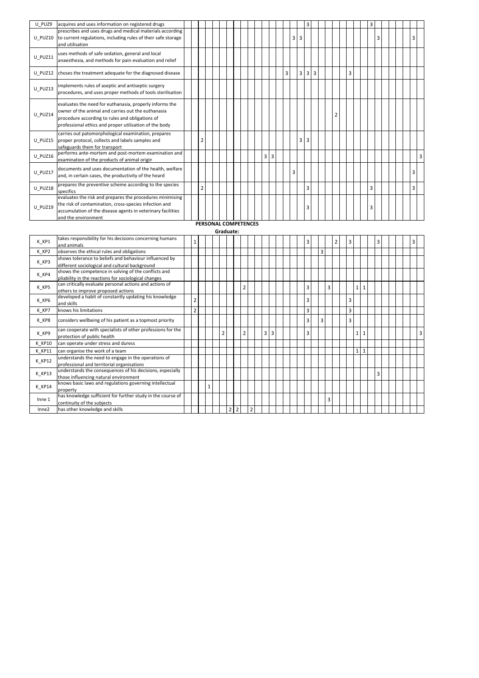| U PUZ9  | acquires and uses information on registered drugs                                                                                                                                                                          |                |                      |  |  |  |            |                |   |   | 3          |  |   |   | 3 |   |  |   |   |
|---------|----------------------------------------------------------------------------------------------------------------------------------------------------------------------------------------------------------------------------|----------------|----------------------|--|--|--|------------|----------------|---|---|------------|--|---|---|---|---|--|---|---|
| U PUZ10 | prescribes and uses drugs and medical materials according<br>to current regulations, including rules of their safe storage<br>and utilisation                                                                              |                |                      |  |  |  |            |                | 3 | 3 |            |  |   |   |   | 3 |  | 3 |   |
| U PUZ11 | uses methods of safe sedation, general and local<br>anaesthesia, and methods for pain evaluation and relief                                                                                                                |                |                      |  |  |  |            |                |   |   |            |  |   |   |   |   |  |   |   |
| U PUZ12 | choses the treatment adequate for the diagnosed disease                                                                                                                                                                    |                |                      |  |  |  |            | $\overline{3}$ |   | 3 | $3 \mid 3$ |  |   | 3 |   |   |  |   |   |
| U PUZ13 | implements rules of aseptic and antiseptic surgery<br>procedures, and uses proper methods of tools sterilisation                                                                                                           |                |                      |  |  |  |            |                |   |   |            |  |   |   |   |   |  |   |   |
| U PUZ14 | evaluates the need for euthanasia, properly informs the<br>owner of the animal and carries out the euthanasia<br>procedure according to rules and obligations of<br>professional ethics and proper utilisation of the body |                |                      |  |  |  |            |                |   |   |            |  | 2 |   |   |   |  |   |   |
| U PUZ15 | carries out patomorphological examination, prepares<br>proper protocol, collects and labels samples and<br>safeguards them for transport                                                                                   | 2              |                      |  |  |  |            |                |   | 3 | 3          |  |   |   |   |   |  |   |   |
| U PUZ16 | performs ante-mortem and post-mortem examination and<br>examination of the products of animal origin                                                                                                                       |                |                      |  |  |  | $3 \mid 3$ |                |   |   |            |  |   |   |   |   |  |   | 3 |
| U PUZ17 | documents and uses documentation of the health, welfare<br>and, in certain cases, the productivity of the heard                                                                                                            |                |                      |  |  |  |            |                | 3 |   |            |  |   |   |   |   |  | 3 |   |
| U PUZ18 | prepares the preventive scheme according to the species<br>specifics                                                                                                                                                       | $\overline{2}$ |                      |  |  |  |            |                |   |   | 3          |  |   |   | 3 |   |  | 3 |   |
| U PUZ19 | evaluates the risk and prepares the procedures minimising<br>the risk of contamination, cross-species infection and<br>accumulation of the disease agents in veterinary facilities<br>and the environment                  |                |                      |  |  |  |            |                |   |   | 3          |  |   |   | 3 |   |  |   |   |
|         |                                                                                                                                                                                                                            |                | PERSONAL COMPETENCES |  |  |  |            |                |   |   |            |  |   |   |   |   |  |   |   |

## Graduate:

| K KP1             | takes responsibility for his decisions concerning humans    |                |   |                |                |                |                |                |        |  |  | 3 |   |   | $\overline{2}$ | 3              |                |     | 3 |  | 3 |   |
|-------------------|-------------------------------------------------------------|----------------|---|----------------|----------------|----------------|----------------|----------------|--------|--|--|---|---|---|----------------|----------------|----------------|-----|---|--|---|---|
|                   | and animals                                                 |                |   |                |                |                |                |                |        |  |  |   |   |   |                |                |                |     |   |  |   |   |
| K KP2             | observes the ethical rules and obligations                  |                |   |                |                |                |                |                |        |  |  |   | 3 |   |                |                |                |     |   |  |   |   |
| K KP3             | shows tolerance to beliefs and behaviour influenced by      |                |   |                |                |                |                |                |        |  |  |   |   |   |                |                |                |     |   |  |   |   |
|                   | different sociological and cultural background              |                |   |                |                |                |                |                |        |  |  |   |   |   |                |                |                |     |   |  |   |   |
| K KP4             | shows the competence in solving of the conflicts and        |                |   |                |                |                |                |                |        |  |  |   |   |   |                |                |                |     |   |  |   |   |
|                   | pliability in the reactions for sociological changes        |                |   |                |                |                |                |                |        |  |  |   |   |   |                |                |                |     |   |  |   |   |
| K KP5             | can critically evaluate personal actions and actions of     |                |   |                |                |                | $\overline{2}$ |                |        |  |  | 3 |   | 3 |                |                | 1 1            |     |   |  |   |   |
|                   | others to improve proposed actions                          |                |   |                |                |                |                |                |        |  |  |   |   |   |                |                |                |     |   |  |   |   |
| K KP6             | developed a habit of constantly updating his knowledge      | $\overline{2}$ |   |                |                |                |                |                |        |  |  | 3 |   |   |                | 3              |                |     |   |  |   |   |
|                   | and skills                                                  |                |   |                |                |                |                |                |        |  |  |   |   |   |                |                |                |     |   |  |   |   |
| K KP7             | knows his limitations                                       | $\overline{2}$ |   |                |                |                |                |                |        |  |  | 3 |   |   |                | $\overline{3}$ |                |     |   |  |   |   |
| K_KP8             | considers wellbeing of his patient as a topmost priority    |                |   |                |                |                |                |                |        |  |  | 3 |   | 3 |                | 3              |                |     |   |  |   |   |
| K KP9             | can cooperate with specialists of other professions for the |                |   | $\overline{2}$ |                |                | $\overline{2}$ |                | 3<br>3 |  |  | 3 |   |   |                |                | 1 <sup>1</sup> | -1  |   |  |   | 3 |
|                   | protection of public health                                 |                |   |                |                |                |                |                |        |  |  |   |   |   |                |                |                |     |   |  |   |   |
| <b>K KP10</b>     | can operate under stress and duress                         |                |   |                |                |                |                |                |        |  |  |   |   |   |                |                |                |     |   |  |   |   |
| K KP11            | can organise the work of a team                             |                |   |                |                |                |                |                |        |  |  |   |   |   |                |                |                | 1 1 |   |  |   |   |
| K KP12            | understands the need to engage in the operations of         |                |   |                |                |                |                |                |        |  |  |   |   |   |                |                |                |     |   |  |   |   |
|                   | professional and territorial organisations                  |                |   |                |                |                |                |                |        |  |  |   |   |   |                |                |                |     |   |  |   |   |
| <b>K KP13</b>     | understands the consequences of his decisions, especially   |                |   |                |                |                |                |                |        |  |  |   |   |   |                |                |                |     | 3 |  |   |   |
|                   | those influencing natural environment                       |                |   |                |                |                |                |                |        |  |  |   |   |   |                |                |                |     |   |  |   |   |
| K KP14            | knows basic laws and regulations governing intellectual     |                | 1 |                |                |                |                |                |        |  |  |   |   |   |                |                |                |     |   |  |   |   |
|                   | property                                                    |                |   |                |                |                |                |                |        |  |  |   |   |   |                |                |                |     |   |  |   |   |
| Inne <sub>1</sub> | has knowledge sufficient for further study in the course of |                |   |                |                |                |                |                |        |  |  |   |   | 3 |                |                |                |     |   |  |   |   |
|                   | continuity of the subjects                                  |                |   |                |                |                |                |                |        |  |  |   |   |   |                |                |                |     |   |  |   |   |
| Inne2             | has other knowledge and skills                              |                |   |                | $\overline{2}$ | $\overline{2}$ |                | $\overline{2}$ |        |  |  |   |   |   |                |                |                |     |   |  |   |   |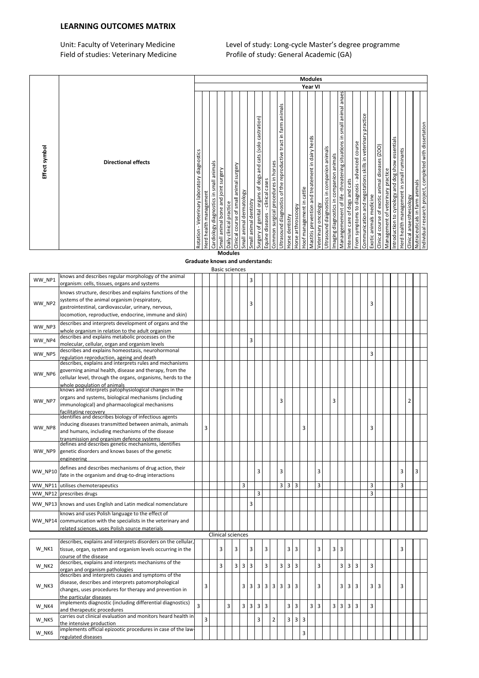### LEARNING OUTCOMES MATRIX

Unit: Faculty of Veterinary Medicine Level of study: Long-cycle Master's degree programme Field of studies: Veterinary Medicine Profile of study: Evily Cycle Musici 3 deg.<br>Profile of study: General Academic (GA)

| Effect symbol                                                                                                                                                                                                                                                                                                                                                                                                                                                                                                                                                                                                                                                                                                                                                                                                                                                                                                                                                                                                                                                                                                                                                                                                           |                |
|-------------------------------------------------------------------------------------------------------------------------------------------------------------------------------------------------------------------------------------------------------------------------------------------------------------------------------------------------------------------------------------------------------------------------------------------------------------------------------------------------------------------------------------------------------------------------------------------------------------------------------------------------------------------------------------------------------------------------------------------------------------------------------------------------------------------------------------------------------------------------------------------------------------------------------------------------------------------------------------------------------------------------------------------------------------------------------------------------------------------------------------------------------------------------------------------------------------------------|----------------|
| <b>Directional effects</b>                                                                                                                                                                                                                                                                                                                                                                                                                                                                                                                                                                                                                                                                                                                                                                                                                                                                                                                                                                                                                                                                                                                                                                                              |                |
| Year VI<br>small animal anaes<br>Ultrasound diagnostics of the reproductive tract in farm animals<br>Communication and negotations skills in veterinary practice<br>castration)<br>Manangemement of life-threatening situations in<br>Mastitis prevention and treatement in dairy herds<br>Introduction to cynology and dog show essentials<br>Surgery of genital organs of dogs and cats (solo<br>From symptoms to diagnosis - advanced course<br>Clinical course of exotic animal diseases (ZOO)<br>Ultrasound daignostics in companion animals<br>Herd health management in small ruminants<br>Rotation - Veterinary laboratory diagnostics<br>Imaging diagnostics in companion animals<br>Common surgical procedures in horses<br>animals<br>surgery<br>Small animal bone and joint surgery<br>Management of veterinary practice<br>- clinical cases<br>Intensive care of dogs and cats<br>Cardiology diagnostics in small<br>Clinical course of small animal<br>Hoof management in cattle<br>Small animal dermatology<br>Herd health management<br>Exotic animals medicine<br>Small animal dentistry<br>Daily clinical practice<br>Veterinary oncology<br>Horse arthroscoopy<br>Equine diseases<br>Horse dentistry | <b>Modules</b> |
| Individual research project, completed with dissertation<br>Nutraceuticals in farm animals<br>Clinical anaesthesiology                                                                                                                                                                                                                                                                                                                                                                                                                                                                                                                                                                                                                                                                                                                                                                                                                                                                                                                                                                                                                                                                                                  |                |

#### Graduate knows and understands: **Modules**

|         |                                                                                                                 |                |   |                | <b>Basic sciences</b>    |   |                |   |                     |                |   |                |                |   |                |   |   |                              |   |                |                         |   |  |   |                |  |
|---------|-----------------------------------------------------------------------------------------------------------------|----------------|---|----------------|--------------------------|---|----------------|---|---------------------|----------------|---|----------------|----------------|---|----------------|---|---|------------------------------|---|----------------|-------------------------|---|--|---|----------------|--|
| WW NP1  | knows and describes regular morphology of the animal                                                            |                |   |                |                          |   |                | 3 |                     |                |   |                |                |   |                |   |   |                              |   |                |                         |   |  |   |                |  |
|         | organism: cells, tissues, organs and systems                                                                    |                |   |                |                          |   |                |   |                     |                |   |                |                |   |                |   |   |                              |   |                |                         |   |  |   |                |  |
|         | knows structure, describes and explains functions of the                                                        |                |   |                |                          |   |                |   |                     |                |   |                |                |   |                |   |   |                              |   |                |                         |   |  |   |                |  |
|         | systems of the animal organism (respiratory,                                                                    |                |   |                |                          |   |                |   |                     |                |   |                |                |   |                |   |   |                              |   |                |                         |   |  |   |                |  |
| WW NP2  | gastrointestinal, cardiovascular, urinary, nervous,                                                             |                |   |                |                          |   |                | 3 |                     |                |   |                |                |   |                |   |   |                              |   |                | 3                       |   |  |   |                |  |
|         | locomotion, reproductive, endocrine, immune and skin)                                                           |                |   |                |                          |   |                |   |                     |                |   |                |                |   |                |   |   |                              |   |                |                         |   |  |   |                |  |
|         | describes and interprets development of organs and the                                                          |                |   |                |                          |   |                |   |                     |                |   |                |                |   |                |   |   |                              |   |                |                         |   |  |   |                |  |
| WW NP3  |                                                                                                                 |                |   |                |                          |   |                |   |                     |                |   |                |                |   |                |   |   |                              |   |                |                         |   |  |   |                |  |
|         | whole organism in relation to the adult organism<br>describes and explains metabolic processes on the           |                |   |                |                          |   |                |   |                     |                |   |                |                |   |                |   |   |                              |   |                |                         |   |  |   |                |  |
| WW NP4  | molecular, cellular, organ and organism levels                                                                  |                |   |                |                          |   |                | 3 |                     |                |   |                |                |   |                |   |   |                              |   |                |                         |   |  |   |                |  |
|         | describes and explains homeostasis, neurohormonal                                                               |                |   |                |                          |   |                |   |                     |                |   |                |                |   |                |   |   |                              |   |                |                         |   |  |   |                |  |
| WW NP5  | regulation reproduction, ageing and death                                                                       |                |   |                |                          |   |                |   |                     |                |   |                |                |   |                |   |   |                              |   |                | 3                       |   |  |   |                |  |
|         | describes, explains and interprets rules and mechanisms                                                         |                |   |                |                          |   |                |   |                     |                |   |                |                |   |                |   |   |                              |   |                |                         |   |  |   |                |  |
|         | governing animal health, disease and therapy, from the                                                          |                |   |                |                          |   |                |   |                     |                |   |                |                |   |                |   |   |                              |   |                |                         |   |  |   |                |  |
| WW NP6  | cellular level, through the organs, organisms, herds to the                                                     |                |   |                |                          |   |                |   |                     |                |   |                |                |   |                |   |   |                              |   |                |                         |   |  |   |                |  |
|         | whole population of animals                                                                                     |                |   |                |                          |   |                |   |                     |                |   |                |                |   |                |   |   |                              |   |                |                         |   |  |   |                |  |
|         | knows and interprets patophysiological changes in the                                                           |                |   |                |                          |   |                |   |                     |                |   |                |                |   |                |   |   |                              |   |                |                         |   |  |   |                |  |
| WW NP7  | organs and systems, biological mechanisms (including                                                            |                |   |                |                          |   |                |   |                     |                | 3 |                |                |   |                |   | 3 |                              |   |                |                         |   |  |   | $\overline{2}$ |  |
|         | immunological) and pharmacological mechanisms                                                                   |                |   |                |                          |   |                |   |                     |                |   |                |                |   |                |   |   |                              |   |                |                         |   |  |   |                |  |
|         | facilitating recovery                                                                                           |                |   |                |                          |   |                |   |                     |                |   |                |                |   |                |   |   |                              |   |                |                         |   |  |   |                |  |
|         | identifies and describes biology of infectious agents<br>inducing diseases transmitted between animals, animals |                |   |                |                          |   |                |   |                     |                |   |                |                |   |                |   |   |                              |   |                |                         |   |  |   |                |  |
| WW_NP8  |                                                                                                                 |                | 3 |                |                          |   |                |   |                     |                |   |                |                | 3 |                |   |   |                              |   |                | 3                       |   |  |   |                |  |
|         | and humans, including mechanisms of the disease                                                                 |                |   |                |                          |   |                |   |                     |                |   |                |                |   |                |   |   |                              |   |                |                         |   |  |   |                |  |
|         | transmission and organism defence systems<br>defines and describes genetic mechanisms, identifies               |                |   |                |                          |   |                |   |                     |                |   |                |                |   |                |   |   |                              |   |                |                         |   |  |   |                |  |
| WW NP9  | genetic disorders and knows bases of the genetic                                                                |                |   |                |                          |   |                |   |                     |                |   |                |                |   |                |   |   |                              |   |                |                         |   |  |   |                |  |
|         | engineering                                                                                                     |                |   |                |                          |   |                |   |                     |                |   |                |                |   |                |   |   |                              |   |                |                         |   |  |   |                |  |
|         |                                                                                                                 |                |   |                |                          |   |                |   |                     |                |   |                |                |   |                |   |   |                              |   |                |                         |   |  |   |                |  |
| WW_NP10 | defines and describes mechanisms of drug action, their                                                          |                |   |                |                          |   |                |   | 3                   |                | 3 |                |                |   |                | 3 |   |                              |   |                |                         |   |  | 3 | 3              |  |
|         | fate in the organism and drug-to-drug interactions                                                              |                |   |                |                          |   |                |   |                     |                |   |                |                |   |                |   |   |                              |   |                |                         |   |  |   |                |  |
| WW NP11 | utilises chemoterapeutics                                                                                       |                |   |                |                          |   | 3              |   |                     |                | 3 | $\overline{3}$ | 3              |   |                | 3 |   |                              |   |                | 3                       |   |  | 3 |                |  |
| WW NP12 | prescribes drugs                                                                                                |                |   |                |                          |   |                |   | 3                   |                |   |                |                |   |                |   |   |                              |   |                | 3                       |   |  |   |                |  |
|         | WW_NP13 knows and uses English and Latin medical nomenclature                                                   |                |   |                |                          |   |                | 3 |                     |                |   |                |                |   |                |   |   |                              |   |                |                         |   |  |   |                |  |
|         |                                                                                                                 |                |   |                |                          |   |                |   |                     |                |   |                |                |   |                |   |   |                              |   |                |                         |   |  |   |                |  |
|         | knows and uses Polish language to the effect of                                                                 |                |   |                |                          |   |                |   |                     |                |   |                |                |   |                |   |   |                              |   |                |                         |   |  |   |                |  |
|         | WW NP14 communication with the specialists in the veterinary and                                                |                |   |                |                          |   |                |   |                     |                |   |                |                |   |                |   |   |                              |   |                |                         |   |  |   |                |  |
|         | related sciences, uses Polish source materials                                                                  |                |   |                |                          |   |                |   |                     |                |   |                |                |   |                |   |   |                              |   |                |                         |   |  |   |                |  |
|         |                                                                                                                 |                |   |                | <b>Clinical sciences</b> |   |                |   |                     |                |   |                |                |   |                |   |   |                              |   |                |                         |   |  |   |                |  |
|         | describes, explains and interprets disorders on the cellular,                                                   |                |   |                |                          |   |                |   |                     |                |   |                |                |   |                |   |   |                              |   |                |                         |   |  |   |                |  |
| W NK1   | tissue, organ, system and organism levels occurring in the                                                      |                |   | 3              |                          | 3 |                | 3 | 3                   |                |   | 3              | 3              |   |                | 3 |   | $\overline{\mathbf{3}}$<br>3 |   |                |                         |   |  | 3 |                |  |
|         | course of the disease<br>describes, explains and interprets mechanisms of the                                   |                |   |                |                          |   |                |   |                     |                |   |                |                |   |                |   |   |                              |   |                |                         |   |  |   |                |  |
| W NK2   | organ and organism pathologies                                                                                  |                |   | $\overline{3}$ |                          | 3 | $\overline{3}$ | 3 | $\overline{3}$      |                | 3 | 3              | 3              |   |                | 3 |   | 3                            | 3 | $\overline{3}$ | 3                       |   |  |   |                |  |
|         | describes and interprets causes and symptoms of the                                                             |                |   |                |                          |   |                |   |                     |                |   |                |                |   |                |   |   |                              |   |                |                         |   |  |   |                |  |
|         | disease, describes and interprets patomorphological                                                             |                |   |                |                          |   |                |   |                     |                |   |                |                |   |                |   |   |                              |   |                |                         |   |  |   |                |  |
| W_NK3   | changes, uses procedures for therapy and prevention in                                                          |                | 3 |                |                          |   | 3              | 3 | 3<br>$\overline{3}$ | 3              | 3 | 3              | 3              |   |                | 3 |   | 3                            | 3 | 3              | $\overline{\mathbf{3}}$ | 3 |  | 3 |                |  |
|         | the particular diseases                                                                                         |                |   |                |                          |   |                |   |                     |                |   |                |                |   |                |   |   |                              |   |                |                         |   |  |   |                |  |
|         | implements diagnostic (including differential diagnostics)                                                      | $\overline{3}$ |   |                |                          |   |                |   |                     |                |   |                |                |   |                |   |   |                              |   |                |                         |   |  |   |                |  |
| W NK4   | and therapeutic procedures                                                                                      |                |   |                | 3                        |   | 3              | 3 | 3<br>$\overline{3}$ |                |   | 3              | 3              |   | $\overline{3}$ | 3 |   | $\overline{3}$<br>3          | 3 | $\overline{3}$ | 3                       |   |  |   |                |  |
|         | carries out clinical evaluation and monitors heard health in                                                    |                | 3 |                |                          |   |                |   | 3                   | $\overline{2}$ |   | 3              | $\overline{3}$ | 3 |                |   |   |                              |   |                |                         |   |  |   |                |  |
| W_NK5   | the intensive production                                                                                        |                |   |                |                          |   |                |   |                     |                |   |                |                |   |                |   |   |                              |   |                |                         |   |  |   |                |  |
| W NK6   | implements official epizootic procedures in case of the law-                                                    |                |   |                |                          |   |                |   |                     |                |   |                |                | 3 |                |   |   |                              |   |                |                         |   |  |   |                |  |
|         | regulated diseases                                                                                              |                |   |                |                          |   |                |   |                     |                |   |                |                |   |                |   |   |                              |   |                |                         |   |  |   |                |  |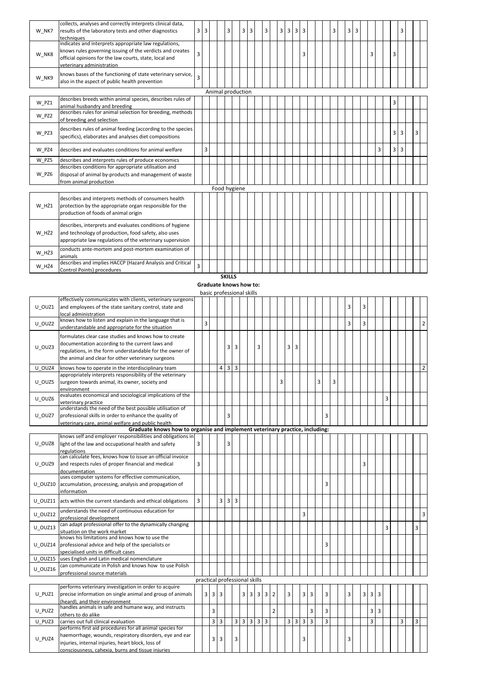| W NK7 | collects, analyses and correctly interprets clinical data,<br>results of the laboratory tests and other diagnostics<br>techniques                                                                         | 3 | 3 |                   | 3 | 3 | 3 | 3 | 3 | 3 | $\overline{3}$ | 3 |  | 3 | $\overline{3}$ | 3 |   |   |                | 3              |   |  |
|-------|-----------------------------------------------------------------------------------------------------------------------------------------------------------------------------------------------------------|---|---|-------------------|---|---|---|---|---|---|----------------|---|--|---|----------------|---|---|---|----------------|----------------|---|--|
| W NK8 | indicates and interprets appropriate law regulations,<br>knows rules governing issuing of the verdicts and creates<br>official opinions for the law courts, state, local and<br>veterinary administration | 3 |   |                   |   |   |   |   |   |   |                | 3 |  |   |                |   | 3 |   | 3              |                |   |  |
| W NK9 | knows bases of the functioning of state veterinary service,<br>also in the aspect of public health prevention                                                                                             | 3 |   |                   |   |   |   |   |   |   |                |   |  |   |                |   |   |   |                |                |   |  |
|       |                                                                                                                                                                                                           |   |   | Animal production |   |   |   |   |   |   |                |   |  |   |                |   |   |   |                |                |   |  |
| W PZ1 | describes breeds within animal species, describes rules of<br>animal husbandry and breeding                                                                                                               |   |   |                   |   |   |   |   |   |   |                |   |  |   |                |   |   |   | 3              |                |   |  |
| W PZ2 | describes rules for animal selection for breeding, methods<br>of breeding and selection                                                                                                                   |   |   |                   |   |   |   |   |   |   |                |   |  |   |                |   |   |   |                |                |   |  |
| W PZ3 | describes rules of animal feeding (according to the species<br>specifics), elaborates and analyses diet compositions                                                                                      |   |   |                   |   |   |   |   |   |   |                |   |  |   |                |   |   |   | 3              | $\overline{3}$ | 3 |  |
| W PZ4 | describes and evaluates conditions for animal welfare                                                                                                                                                     |   | 3 |                   |   |   |   |   |   |   |                |   |  |   |                |   |   | 3 | 3 <sup>1</sup> | 3              |   |  |
| W PZ5 | describes and interprets rules of produce economics                                                                                                                                                       |   |   |                   |   |   |   |   |   |   |                |   |  |   |                |   |   |   |                |                |   |  |
| W PZ6 | describes conditions for appropriate utilisation and<br>disposal of animal by-products and management of waste<br>from animal production                                                                  |   |   |                   |   |   |   |   |   |   |                |   |  |   |                |   |   |   |                |                |   |  |
|       |                                                                                                                                                                                                           |   |   | Food hygiene      |   |   |   |   |   |   |                |   |  |   |                |   |   |   |                |                |   |  |
| W HŻ1 | describes and interprets methods of consumers health<br>protection by the appropriate organ responsible for the<br>production of foods of animal origin                                                   |   |   |                   |   |   |   |   |   |   |                |   |  |   |                |   |   |   |                |                |   |  |
| W HŻ2 | describes, interprets and evaluates conditions of hygiene<br>and technology of production, food safety, also uses<br>appropriate law regulations of the veterinary supervision                            |   |   |                   |   |   |   |   |   |   |                |   |  |   |                |   |   |   |                |                |   |  |
| W HŻ3 | conducts ante-mortem and post-mortem examination of<br>animals                                                                                                                                            |   |   |                   |   |   |   |   |   |   |                |   |  |   |                |   |   |   |                |                |   |  |
| W HŻ4 | describes and implies HACCP (Hazard Analysis and Critical<br>Control Points) procedures                                                                                                                   | 3 |   |                   |   |   |   |   |   |   |                |   |  |   |                |   |   |   |                |                |   |  |

**SKILLS** 

| Graduate knows how to:    |
|---------------------------|
| basic professional skills |

| U_OUZ1  | effectively communicates with clients, veterinary surgeons<br>and employees of the state sanitary control, state and                                                                                                          |   |                               |   |                |                                 |                         |            |     |                |                |                |   |   |                         |                |                |   |   |   | 3 | 3                       |                |                |   |   |   |                |
|---------|-------------------------------------------------------------------------------------------------------------------------------------------------------------------------------------------------------------------------------|---|-------------------------------|---|----------------|---------------------------------|-------------------------|------------|-----|----------------|----------------|----------------|---|---|-------------------------|----------------|----------------|---|---|---|---|-------------------------|----------------|----------------|---|---|---|----------------|
|         | local administration                                                                                                                                                                                                          |   |                               |   |                |                                 |                         |            |     |                |                |                |   |   |                         |                |                |   |   |   |   |                         |                |                |   |   |   |                |
| U OUZ2  | knows how to listen and explain in the language that is<br>understandable and appropriate for the situation                                                                                                                   |   | 3                             |   |                |                                 |                         |            |     |                |                |                |   |   |                         |                |                |   |   |   | 3 | 3                       |                |                |   |   |   | $\overline{2}$ |
| U OUZ3  | formulates clear case studies and knows how to create<br>documentation according to the current laws and<br>regulations, in the form understandable for the owner of<br>the animal and clear for other veterinary surgeons    |   |                               |   |                | 3                               | 3                       |            |     | 3              |                |                |   | 3 | 3                       |                |                |   |   |   |   |                         |                |                |   |   |   |                |
| U OUZ4  | knows how to operate in the interdisciplinary team                                                                                                                                                                            |   |                               |   | 4              | $3 \overline{\smash{\big)}\ 3}$ |                         |            |     |                |                |                |   |   |                         |                |                |   |   |   |   |                         |                |                |   |   |   | $\overline{2}$ |
| U_OUZ5  | appropriately interprets responsibility of the veterinary<br>surgeon towards animal, its owner, society and<br>environment                                                                                                    |   |                               |   |                |                                 |                         |            |     |                |                |                | 3 |   |                         |                |                | 3 |   | 3 |   |                         |                |                |   |   |   |                |
| U_OUZ6  | evaluates economical and sociological implications of the<br>veterinary practice                                                                                                                                              |   |                               |   |                |                                 |                         |            |     |                |                |                |   |   |                         |                |                |   |   |   |   |                         |                |                | 3 |   |   |                |
| U OUZ7  | understands the need of the best possible utilisation of<br>professional skills in order to enhance the quality of<br>veterinary care, animal welfare and public health                                                       |   |                               |   |                | 3                               |                         |            |     |                |                |                |   |   |                         |                |                |   | 3 |   |   |                         |                |                |   |   |   |                |
|         | Graduate knows how to organise and implement veterinary practice, including:                                                                                                                                                  |   |                               |   |                |                                 |                         |            |     |                |                |                |   |   |                         |                |                |   |   |   |   |                         |                |                |   |   |   |                |
|         | knows self and employer responsibilities and obligations in                                                                                                                                                                   |   |                               |   |                |                                 |                         |            |     |                |                |                |   |   |                         |                |                |   |   |   |   |                         |                |                |   |   |   |                |
| U OUZ8  | light of the law and occupational health and safety<br>regulations                                                                                                                                                            | 3 |                               |   |                | 3                               |                         |            |     |                |                |                |   |   |                         |                |                |   |   |   |   |                         |                |                |   |   |   |                |
| U OUZ9  | can calculate fees, knows how to issue an official invoice<br>and respects rules of proper financial and medical<br>documentation                                                                                             | 3 |                               |   |                |                                 |                         |            |     |                |                |                |   |   |                         |                |                |   |   |   |   | 3                       |                |                |   |   |   |                |
| U OUZ10 | uses computer systems for effective communication,<br>accumulation, processing, analysis and propagation of<br>information                                                                                                    |   |                               |   |                |                                 |                         |            |     |                |                |                |   |   |                         |                |                |   | 3 |   |   |                         |                |                |   |   |   |                |
|         | U OUZ11 acts within the current standards and ethical obligations                                                                                                                                                             | 3 |                               |   | 3              | 3                               | $\overline{3}$          |            |     |                |                |                |   |   |                         |                |                |   |   |   |   |                         |                |                |   |   |   |                |
| U OUZ12 | understands the need of continuous education for<br>professional development                                                                                                                                                  |   |                               |   |                |                                 |                         |            |     |                |                |                |   |   |                         | 3              |                |   |   |   |   |                         |                |                |   |   |   | $\overline{3}$ |
| U_OUZ13 | can adapt professional offer to the dynamically changing<br>situation on the work market                                                                                                                                      |   |                               |   |                |                                 |                         |            |     |                |                |                |   |   |                         |                |                |   |   |   |   |                         |                |                | 3 |   | 3 |                |
| U OUZ14 | knows his limitations and knows how to use the<br>professional advice and help of the specialists or<br>specialised units in difficult cases                                                                                  |   |                               |   |                |                                 |                         |            |     |                |                |                |   |   |                         |                |                |   | 3 |   |   |                         |                |                |   |   |   |                |
| U OUZ15 | uses English and Latin medical nomenclature                                                                                                                                                                                   |   |                               |   |                |                                 |                         |            |     |                |                |                |   |   |                         |                |                |   |   |   |   |                         |                |                |   |   |   |                |
| U OUZ16 | can communicate in Polish and knows how to use Polish<br>professional source materials                                                                                                                                        |   |                               |   |                |                                 |                         |            |     |                |                |                |   |   |                         |                |                |   |   |   |   |                         |                |                |   |   |   |                |
|         |                                                                                                                                                                                                                               |   | practical professional skills |   |                |                                 |                         |            |     |                |                |                |   |   |                         |                |                |   |   |   |   |                         |                |                |   |   |   |                |
| U PUZ1  | performs veterinary investigation in order to acquire<br>precise information on single animal and group of animals                                                                                                            |   | $3 \mid 3$                    |   | $\overline{3}$ |                                 |                         |            | 3 3 | $\overline{3}$ | $\overline{3}$ | $\overline{2}$ |   | 3 |                         | 3              | $\overline{3}$ |   | 3 |   | 3 | $\overline{\mathbf{3}}$ | $\overline{3}$ | l 3            |   |   |   |                |
|         | (heard), and their environment<br>handles animals in safe and humane way, and instructs                                                                                                                                       |   |                               |   |                |                                 |                         |            |     |                |                |                |   |   |                         |                |                |   |   |   |   |                         |                |                |   |   |   |                |
| U PUZ2  | others to do alike                                                                                                                                                                                                            |   |                               | 3 |                |                                 |                         |            |     |                |                | $\overline{2}$ |   |   |                         |                | 3              |   | 3 |   |   |                         | 3              | $\overline{3}$ |   |   |   |                |
| U PUZ3  | carries out full clinical evaluation                                                                                                                                                                                          |   |                               | 3 | 3              |                                 | $\overline{\mathbf{3}}$ | $3 \mid 3$ |     | $\overline{3}$ | $\overline{3}$ |                |   | 3 | $\overline{\mathbf{3}}$ | $\overline{3}$ | $\overline{3}$ |   | 3 |   |   |                         | 3              |                |   | 3 | 3 |                |
| U PUZ4  | performs first aid procedures for all animal species for<br>haemorrhage, wounds, respiratory disorders, eye and ear<br>injuries, internal injuries, heart block, loss of<br>consciousness. cahexia. burns and tissue iniuries |   |                               | 3 | 3              |                                 | 3                       |            |     |                |                |                |   |   |                         | 3              |                |   |   |   | 3 |                         |                |                |   |   |   |                |
|         |                                                                                                                                                                                                                               |   |                               |   |                |                                 |                         |            |     |                |                |                |   |   |                         |                |                |   |   |   |   |                         |                |                |   |   |   |                |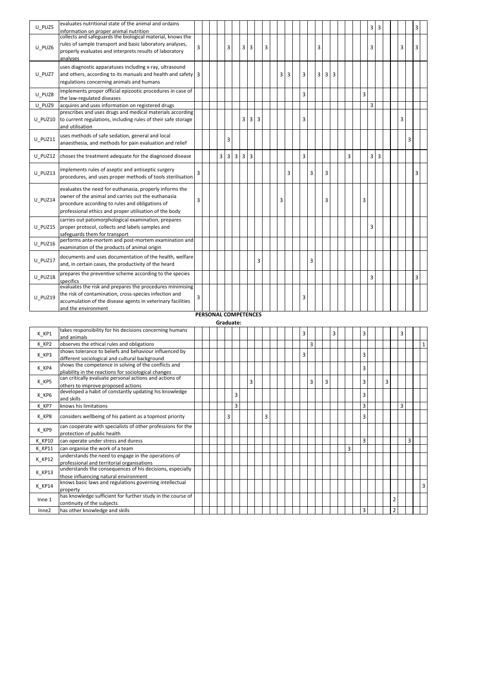| U PUZ5  | evaluates nutritional state of the animal and ordains<br>information on proper animal nutrition                                                                                                                            |   |                      |   |                |                |                |                |   |   |   |                |   |   |   |                |                |   |   | 3 | 3              |  |   | 3 |  |
|---------|----------------------------------------------------------------------------------------------------------------------------------------------------------------------------------------------------------------------------|---|----------------------|---|----------------|----------------|----------------|----------------|---|---|---|----------------|---|---|---|----------------|----------------|---|---|---|----------------|--|---|---|--|
| U PUZ6  | collects and safeguards the biological material, knows the<br>rules of sample transport and basic laboratory analyses,<br>properly evaluates and interprets results of laboratory<br>analyses                              | 3 |                      |   | 3              |                | $\overline{3}$ | 3              |   | 3 |   |                |   |   | 3 |                |                |   |   | 3 |                |  | 3 | 3 |  |
| U PUZ7  | uses diagnostic apparatuses including x-ray, ultrasound<br>and others, according to its manuals and health and safety 3<br>regulations concerning animals and humans                                                       |   |                      |   |                |                |                |                |   |   | 3 | $\overline{3}$ | 3 |   | 3 | $\overline{3}$ | $\overline{3}$ |   |   |   |                |  |   |   |  |
| U PUZ8  | implements proper official epizootic procedures in case of<br>the law-regulated diseases                                                                                                                                   |   |                      |   |                |                |                |                |   |   |   |                | 3 |   |   |                |                |   | 3 |   |                |  |   |   |  |
| U PUZ9  | acquires and uses information on registered drugs                                                                                                                                                                          |   |                      |   |                |                |                |                |   |   |   |                |   |   |   |                |                |   |   | 3 |                |  |   |   |  |
| U PUZ10 | prescribes and uses drugs and medical materials according<br>to current regulations, including rules of their safe storage<br>and utilisation                                                                              |   |                      |   |                |                | $\overline{3}$ | $\overline{3}$ | 3 |   |   |                | 3 |   |   |                |                |   |   |   |                |  | 3 |   |  |
| U PUZ11 | uses methods of safe sedation, general and local<br>anaesthesia, and methods for pain evaluation and relief                                                                                                                |   |                      |   | 3              |                |                |                |   |   |   |                |   |   |   |                |                |   |   |   |                |  |   | 3 |  |
| U PUZ12 | choses the treatment adequate for the diagnosed disease                                                                                                                                                                    |   |                      | 3 | $\overline{3}$ | $\overline{3}$ | $\overline{3}$ | $\overline{3}$ |   |   |   |                | 3 |   |   |                |                | 3 |   | 3 | $\overline{3}$ |  |   |   |  |
| U PUZ13 | implements rules of aseptic and antiseptic surgery<br>procedures, and uses proper methods of tools sterilisation                                                                                                           | 3 |                      |   |                |                |                |                |   |   |   | 3              |   | 3 |   | 3              |                |   |   |   |                |  |   | 3 |  |
| U PUZ14 | evaluates the need for euthanasia, properly informs the<br>owner of the animal and carries out the euthanasia<br>procedure according to rules and obligations of<br>professional ethics and proper utilisation of the body | 3 |                      |   |                |                |                |                |   |   | 3 |                |   |   |   | 3              |                |   | 3 |   |                |  |   |   |  |
| U PUZ15 | carries out patomorphological examination, prepares<br>proper protocol, collects and labels samples and<br>safeguards them for transport                                                                                   |   |                      |   |                |                |                |                |   |   |   |                |   |   |   |                |                |   |   | 3 |                |  |   |   |  |
| U PUZ16 | performs ante-mortem and post-mortem examination and<br>examination of the products of animal origin                                                                                                                       |   |                      |   |                |                |                |                |   |   |   |                |   |   |   |                |                |   |   |   |                |  |   |   |  |
| U PUZ17 | documents and uses documentation of the health, welfare<br>and, in certain cases, the productivity of the heard                                                                                                            |   |                      |   |                |                |                |                | 3 |   |   |                |   | 3 |   |                |                |   |   |   |                |  |   |   |  |
| U PUZ18 | prepares the preventive scheme according to the species<br>specifics                                                                                                                                                       |   |                      |   |                |                |                |                |   |   |   |                |   |   |   |                |                |   |   | 3 |                |  |   | 3 |  |
| U PUZ19 | evaluates the risk and prepares the procedures minimising<br>the risk of contamination, cross-species infection and<br>accumulation of the disease agents in veterinary facilities<br>and the environment                  | 3 | PERSONAL COMPETENCES |   |                |                |                |                |   |   |   |                | 3 |   |   |                |                |   |   |   |                |  |   |   |  |
|         |                                                                                                                                                                                                                            |   |                      |   |                |                |                |                |   |   |   |                |   |   |   |                |                |   |   |   |                |  |   |   |  |

## Graduate:

| K KP1  | takes responsibility for his decisions concerning humans    |  |   |   |   |   |  |  | 3 |   |   | 3 |   | 3              |  |                | 3 |   |   |
|--------|-------------------------------------------------------------|--|---|---|---|---|--|--|---|---|---|---|---|----------------|--|----------------|---|---|---|
|        | and animals                                                 |  |   |   |   |   |  |  |   |   |   |   |   |                |  |                |   |   |   |
| K KP2  | observes the ethical rules and obligations                  |  |   |   |   |   |  |  |   | 3 |   |   |   |                |  |                |   |   |   |
| K KP3  | shows tolerance to beliefs and behaviour influenced by      |  |   |   |   |   |  |  | 3 |   |   |   |   | $\overline{3}$ |  |                |   |   |   |
|        | different sociological and cultural background              |  |   |   |   |   |  |  |   |   |   |   |   |                |  |                |   |   |   |
| K KP4  | shows the competence in solving of the conflicts and        |  |   |   |   |   |  |  |   |   |   |   |   | 3              |  |                |   |   |   |
|        | pliability in the reactions for sociological changes        |  |   |   |   |   |  |  |   |   |   |   |   |                |  |                |   |   |   |
| K KP5  | can critically evaluate personal actions and actions of     |  |   |   | 3 |   |  |  |   | 3 | 3 |   |   | 3              |  | 3              |   |   |   |
|        | others to improve proposed actions                          |  |   |   |   |   |  |  |   |   |   |   |   |                |  |                |   |   |   |
| K KP6  | developed a habit of constantly updating his knowledge      |  |   | 3 |   |   |  |  |   |   |   |   |   | 3              |  |                |   |   |   |
|        | and skills                                                  |  |   |   |   |   |  |  |   |   |   |   |   |                |  |                |   |   |   |
| K KP7  | knows his limitations                                       |  |   | 3 |   |   |  |  |   |   |   |   |   | 3              |  |                | 3 |   |   |
| K KP8  | considers wellbeing of his patient as a topmost priority    |  | 3 |   |   | 3 |  |  |   |   |   |   |   | 3              |  |                |   |   |   |
|        |                                                             |  |   |   |   |   |  |  |   |   |   |   |   |                |  |                |   |   |   |
| K KP9  | can cooperate with specialists of other professions for the |  |   |   |   |   |  |  |   |   |   |   |   |                |  |                |   |   |   |
|        | protection of public health                                 |  |   |   |   |   |  |  |   |   |   |   |   |                |  |                |   |   |   |
| K KP10 | can operate under stress and duress                         |  |   |   |   |   |  |  |   |   |   |   |   | 3              |  |                |   | 3 |   |
| K KP11 | can organise the work of a team                             |  |   |   |   |   |  |  |   |   |   |   | 3 |                |  |                |   |   |   |
| K KP12 | understands the need to engage in the operations of         |  |   |   |   |   |  |  |   |   |   |   |   |                |  |                |   |   |   |
|        | professional and territorial organisations                  |  |   |   |   |   |  |  |   |   |   |   |   |                |  |                |   |   |   |
| K KP13 | understands the consequences of his decisions, especially   |  |   |   |   |   |  |  |   |   |   |   |   |                |  |                |   |   |   |
|        | those influencing natural environment                       |  |   |   |   |   |  |  |   |   |   |   |   |                |  |                |   |   |   |
| K KP14 | knows basic laws and regulations governing intellectual     |  |   |   |   |   |  |  |   |   |   |   |   |                |  |                |   |   | 3 |
|        | property                                                    |  |   |   |   |   |  |  |   |   |   |   |   |                |  |                |   |   |   |
| Inne 1 | has knowledge sufficient for further study in the course of |  |   |   |   |   |  |  |   |   |   |   |   |                |  | 2              |   |   |   |
|        | continuity of the subjects                                  |  |   |   |   |   |  |  |   |   |   |   |   |                |  |                |   |   |   |
| Inne2  | has other knowledge and skills                              |  |   |   |   |   |  |  |   |   |   |   |   | 3              |  | $\overline{2}$ |   |   |   |